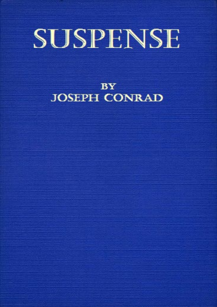# SUSPENSE

**BY JOSEPH CONRAD**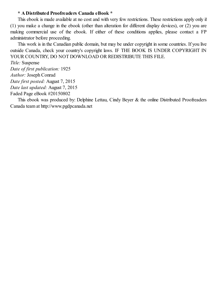#### **\* A Distributed Proofreaders Canada eBook \***

This ebook is made available at no cost and with very few restrictions. These restrictions apply only if (1) you make a change in the ebook (other than alteration for different display devices), or (2) you are making commercial use of the ebook. If either of these conditions applies, please contact a FP administrator before proceeding.

This work is in the Canadian public domain, but may be under copyright in some countries. If you live outside Canada, check your country's copyright laws. IF THE BOOK IS UNDER COPYRIGHT IN YOUR COUNTRY, DO NOT DOWNLOAD OR REDISTRIBUTE THIS FILE.

*Title:* Suspense *Date of first publication:* 1925 *Author:* Joseph Conrad *Date first posted:* August 7, 2015 *Date last updated:* August 7, 2015 Faded Page eBook #20150802

This ebook was produced by: Delphine Lettau, Cindy Beyer & the online Distributed Proofreaders Canada team at http://www.pgdpcanada.net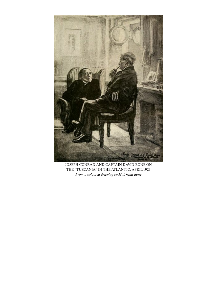

JOSEPH CONRAD AND CAPTAIN DAVID BONE ON THE "TUSCANIA" IN THE ATLANTIC, APRIL1923 *From a coloured drawing by Muirhead Bone*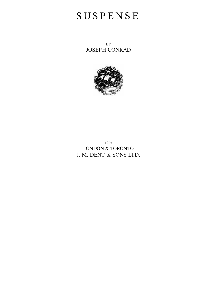## **SUSPENSE**

BY JOSEPH CONRAD



1925 LONDON & TORONTO J. M. DENT & SONS LTD.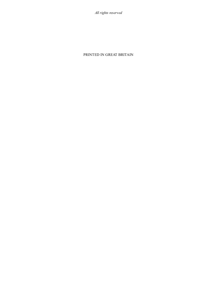*All rights reserved*

#### PRINTED IN GREAT BRITAIN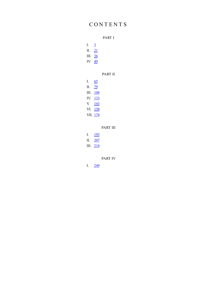## C O N T E N T S

|                  |          | PART I          |
|------------------|----------|-----------------|
| I. $\frac{3}{2}$ |          |                 |
| II. $21$         |          |                 |
| III. 36          |          |                 |
| IV. 49           |          |                 |
|                  |          |                 |
|                  |          | <b>PART II</b>  |
| I. $65$          |          |                 |
| II. 79           |          |                 |
|                  | III. 108 |                 |
|                  | IV. 133  |                 |
|                  | V. 143   |                 |
|                  | VI. 158  |                 |
|                  | VII. 174 |                 |
|                  |          |                 |
|                  |          | <b>PART III</b> |
|                  | I. $193$ |                 |
|                  | II. 207  |                 |
|                  | III. 218 |                 |

PART IV

I. 249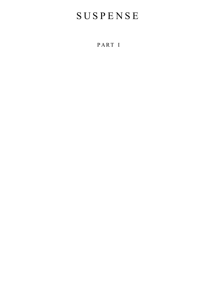# **SUSPENSE**

P ART I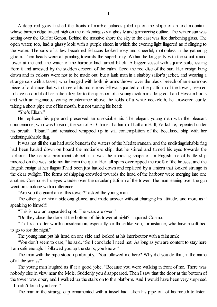A deep red glow flushed the fronts of marble palaces piled up on the slope of an arid mountain, whose barren ridge traced high on the darkening sky a ghostly and glimmering outline. The winter sun was setting over the Gulf of Genoa. Behind the massive shore the sky to the east was like darkening glass. The open water, too, had a glassy look with a purple sheen in which the evening light lingered as if clinging to the water. The sails of a few becalmed feluccas looked rosy and cheerful, motionless in the gathering gloom. Their heads were all pointing towards the superb city. Within the long jetty with the squat round tower at the end, the water of the harbour had turned black. A bigger vessel with square sails, issuing from it and arrested by the sudden descent of the calm, faced the red disc of the sun. Her ensign hung down and its colours were not to be made out; but a lank man in a shabby sailor's jacket, and wearing a strange cap with a tassel, who lounged with both his arms thrown over the black breech of an enormous piece of ordnance that with three of its monstrous fellows squatted on the platform of the tower, seemed to have no doubt of her nationality; for to the question of a young civilian in a long coat and Hessian boots and with an ingenuous young countenance above the folds of a white neckcloth, he answered curtly, taking a short pipe out of his mouth, but not turning his head:

"She's Elban"

He replaced his pipe and preserved an unsociable air. The elegant young man with the pleasant countenance, who was Cosmo, the son of Sir Charles Latham, of Latham Hall, Yorkshire, repeated under his breath, "Elban," and remained wrapped up in still contemplation of the becalmed ship with her undistinguishable flag.

It was not till the sun had sunk beneath the waters of the Mediterranean, and the undistinguishable flag had been hauled down on board the motionless ship, that he stirred and turned his eyes towards the harbour. The nearest prominent object in it was the imposing shape of an English line-of-battle ship moored on the west side not far from the quay. Her tall spars overtopped the roofs of the houses, and the English ensign at her flagstaff had been just hauled down and replaced by a lantern that looked strange in the clear twilight. The forms of shipping crowded towards the head of the harbour were merging into one another. Cosmo let his eyes wander over the circular platform of the tower. The man leaning over the gun went on smoking with indifference.

"Are you the guardian of this tower?" asked the young man.

The other gave him a sidelong glance, and made answer without changing his attitude, and more as if speaking to himself:

"This is now an unguarded spot. The wars are over."

"Do they close the door at the bottom of this tower at night?" inquired Cosmo.

"That is a matter worth consideration, especially for those like you, for instance, who have a soft bed to go to for the night."

The young man put his head on one side and looked at his interlocutor with a faint smile.

"You don't seem to care," he said. "So I conclude I need not. As long as you are content to stay here I am safe enough. I followed you up the stairs, you know."

The man with the pipe stood up abruptly. "You followed me here? Why did you do that, in the name of all the saints?"

The young man laughed as if at a good joke. "Because you were walking in front of me. There was nobody else in view near the Mole. Suddenly you disappeared. Then I saw that the door at the bottom of the tower was open, and I walked up the stairs on to this platform. And I would have been very surprised if I hadn't found you here."

The man in the strange cap ornamented with a tassel had taken his pipe out of his mouth to listen.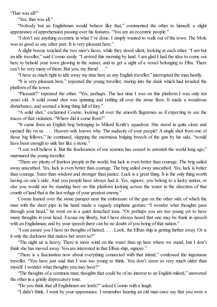"That was all?"

"Yes, that was all."

"Nobody but an Englishman would behave like that," commented the other to himself, a slight appearance of apprehension passing over his features. "You are an eccentric people."

"I don't see anything eccentric in what I've done. I simply wanted to walk out of the town. The Mole was as good as any other part. It is very pleasant here."

A slight breeze touched the two men's faces, while they stood silent, looking at each other. "I am but an idle traveller," said Cosmo easily. "I arrived this morning by land. I am glad I had the idea to come out here to behold your town glowing in the sunset, and to get a sight of a vessel belonging to Elba. There can't be very many of them. But you, my friend . . ."

"I have as much right to idle away my time here as any English traveller," interrupted the man hastily.

"It is very pleasant here," repeated the young traveller, staring into the dusk which had invaded the platform of the tower.

"Pleasant?" repeated the other. "Yes, perhaps. The last time I was on this platform I was only ten years old. A solid round shot was spinning and rattling all over the stone floor. It made a wondrous disturbance, and seemed a living thing full of fury."

"A solid shot," exclaimed Cosmo, looking all over the smooth flagstones as if expecting to see the traces of that visitation. "Where did it come from?"

"It came from an English brig belonging to Milord Keith's squadron. She stood in quite close and opened fire on us. . . . Heaven only knows why. The audacity of your people! A single shot from one of those big fellows," he continued, slapping the enormous bulging breech of the gun by his side, "would have been enough to sink her like a stone."

"I can well believe it. But the fearlessness of our seamen has ceased to astonish the world long ago," murmured the young traveller.

"There are plenty of fearless people in the world, but luck is even better than courage. The brig sailed away unscathed. Yes, luck is even better than courage. The brig sailed away unscathed. Yes, luck is better than courage. Surer than wisdom and stronger than justice. Luck is a great thing. It is the only thing worth having on one's side. And you people have always had it. Yes, signore, you belong to a lucky nation, or else you would not be standing here on this platform looking across the water in the direction of that crumb of land that is the last refuge of your greatest enemy."

Cosmo leaned over the stone parapet near the embrasure of the gun on the other side of which the man with the short pipe in his hand made a vaguely emphatic gesture: "I wonder what thoughts pass through your head," he went on in a quiet detached tone. "Or perhaps you are too young yet to have many thoughts in your head. Excuse my liberty, but I have always heard that one may be frank in speech with an Englishman; and by your speech there can be no doubt of you being of that nation."

"I can assure you I have no thoughts of hatred. . . . Look, the Elban ship is getting further away. Or is it only the darkness that makes her seem so?"

"The night air is heavy. There is more wind on the water than up here where we stand; but I don't think she has moved away. You are interested in that Elban ship, signore."

"There is a fascination now about everything connected with that island," confessed the ingenuous traveller. "You have just said that I was too young to think. You don't seem so very much older than myself. I wonder what thoughts you may have?"

"The thoughts of a common man; thoughts that could be of no interest to an English milord," answered the other in a grimly deprecatory tone.

"Do you think that all Englishmen are lords?" asked Cosmo with a laugh.

"I didn't think. I went by your appearance. I remember hearing an old man once say that you were a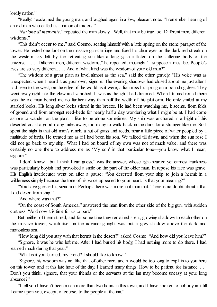lordly nation."

"Really!" exclaimed the young man, and laughed again in a low, pleasant note. "I remember hearing of an old man who called us a nation of traders."

"*Nazione di mercante*," repeated the man slowly. "Well, that may be true too. Different men, different wisdoms<sup>"</sup>

"This didn't occur to me," said Cosmo, seating himself with a little spring on the stone parapet of the tower. He rested one foot on the massive gun-carriage and fixed his clear eyes on the dark red streak on the western sky left by the retreating sun like a long gash inflicted on the suffering body of the universe. . . . "Different men, different wisdoms," he repeated, musingly. "I suppose it must be. People's lives are so very different. . . . And of what kind was the wisdom of your old man?"

"The wisdom of a great plain as level almost as the sea," said the other gravely. "His voice was as unexpected when I heard it as your own, signore. The evening shadows had closed about me just after I had seen to the west, on the edge of the world as it were, a lion miss his spring on a bounding deer. They went away right into the glow and vanished. It was as though I had dreamed. When I turned round there was the old man behind me no further away than half the width of this platform. He only smiled at my startled looks. His long silver locks stirred in the breeze. He had been watching me, it seems, from folds of ground and from amongst reed-beds for nearly half a day wondering what I might be at. I had come ashore to wander on the plain. I like to be alone sometimes. My ship was anchored in a bight of this deserted coast a good many miles away, too many to walk back in the dark for a stranger like me. So I spent the night in that old man's ranch, a hut of grass and reeds, near a little piece of water peopled by a multitude of birds. He treated me as if I had been his son. We talked till dawn, and when the sun rose I did not go back to my ship. What I had on board of my own was not of much value, and there was certainly no one there to address me as 'My son' in that particular tone—you know what I mean, signore."

"I don't know—but I think I can guess," was the answer, whose light-hearted yet earnest frankness was particularly boyish and provoked a smile on the part of the older man. In repose his face was grave. His English interlocutor went on after a pause: "You deserted from your ship to join a hermit in a wilderness simply because the tone of his voice appealed to your heart. Is that your meaning?"

"You have guessed it, signorino. Perhaps there was more in it than that. There is no doubt about it that I did desert from ship."

"And where was that?"

"On the coast of South America," answered the man from the other side of the big gun, with sudden curtness. "And now it is time for us to part."

But neither of them stirred, and for some time they remained silent, growing shadowy to each other on the massive tower, which itself in the advancing night was but a grey shadow above the dark and motionless sea.

"How long did you stay with that hermit in the desert?" asked Cosmo. "And how did you leave him?"

"Signore, it was he who left me. After I had buried his body, I had nothing more to do there. I had learned much during that year."

"What is it you learned, my friend? I should like to know."

"Signore, his wisdom was not like that of other men, and it would be too long to explain to you here on this tower, and at this late hour of the day. I learned many things. How to be patient, for instance. . . . Don't you think, signore, that your friends or the servants at the inn may become uneasy at your long absence?"

"I tell you I haven't been much more than two hours in this town, and I have spoken to nobody in it till I came upon you, except, of course, to the people at the inn."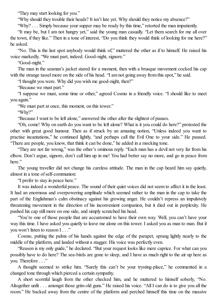"They may start looking for you."

"Why should they trouble their heads? It isn't late yet. Why should they notice my absence?"

"Why? . . . Simply because your supper may be ready by this time," retorted the man impatiently.

"It may be, but I am not hungry yet," said the young man casually. "Let them search for me all over the town, if they like." Then in a tone of interest, "Do you think they would think of looking for me here?" he asked.

"No. This is the last spot anybody would think of," muttered the other as if to himself. He raised his voice markedly. "We must part, indeed. Good-night, signore."

"Good-night."

The man in the seaman's jacket stared for a moment, then with a brusque movement cocked his cap with the strange tassel more on the side of his head. "I am not going away from this spot," he said.

"I thought you were. Why did you wish me good-night, then?"

"Because we must part."

"I suppose we must, some time or other," agreed Cosmo in a friendly voice. "I should like to meet you again."

"We must part at once, this moment, on this tower."

"Why?"

"Because I want to be left alone," answered the other after the slightest of pauses.

"Oh, come! Why on earth do you want to be left alone? What is it you could do here?" protested the other with great good humour. Then as if struck by an amusing notion, "Unless indeed you want to practise incantations," he continued lightly, "and perhaps call the Evil One to your side." He paused. "There are people, you know, that think it can be done," he added in a mocking tone.

"They are not far wrong," was the other's ominous reply. "Each man has a devil not very far from his elbow. Don't argue, signore, don't call him up in me! You had better say no more, and go in peace from here."

The young traveller did not change his careless attitude. The man in the cap heard him say quietly, almost in a tone ofself-communion:

"I prefer to stay in peace here."

It was indeed a wonderful peace. The sound of their quiet voices did not seem to affect it in the least. It had an enormous and overpowering amplitude which seemed rather to the man in the cap to take the part of the Englishman's calm obstinacy against his growing anger. He couldn't repress an impulsively threatening movement in the direction of his inconvenient companion, but it died out in perplexity. He pushed his cap still more on one side, and simply scratched his head.

"You're one of those people that are accustomed to have their own way. Well, you can't have your way this time. I have asked you quietly to leave me alone on this tower. I asked you as man to man. But if you won't listen to reason I . . ."

Cosmo, putting the palms of his hands against the edge of the parapet, sprang lightly nearly to the middle of the platform, and landed without a stagger. His voice was perfectly even.

"Reason is my only guide," he declared. "But your request looks like mere caprice. For what can you possibly have to do here? The sea-birds are gone to sleep, and I have as much right to the air up here as you. Therefore . . ."

A thought seemed to strike him. "Surely this can't be your trysting-place," he commented in a changed tone through which pierced a certain sympathy.

A short scornful laugh from the other checked him, and he muttered to himself soberly, "No. Altogether unfit . . . amongst those grim old guns." He raised his voice. "All I can do is to give you all the room." He backed away from the centre of the platform and perched himself this time on the massive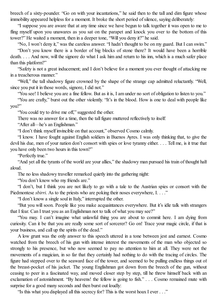breech of a sixty-pounder. "Go on with your incantations," he said then to the tall and dim figure whose immobility appeared helpless for a moment. It broke the short period ofsilence, saying deliberately:

"I suppose you are aware that at any time since we have begun to talk together it was open to me to fling myself upon you unawares as you sat on the parapet and knock you over to the bottom of this tower?" He waited a moment, then in a deeper tone, "Will you deny it?" he said.

"No, I won't deny it," was the careless answer. "I hadn't thought to be on my guard. But I can swim."

"Don't you know there is a border of big blocks of stone there? It would have been a horrible death. . . . And now, will the signore do what I ask him and return to his inn, which is a much safer place than this platform?"

"Safety is not a great inducement; and I don't believe for a moment you ever thought of attacking me in a treacherous manner."

"Well," the tall shadowy figure crowned by the shape of the strange cap admitted reluctantly. "Well, since you put it in those words, signore, I did not."

"You see! I believe you are a fine fellow. But as it is, I am under no sort of obligation to listen to you."

"You are crafty," burst out the other violently. "It's in the blood. How is one to deal with people like you?"

"You could try to drive me off," suggested the other.

There was no answer for a time, then the tall figure muttered reflectively to itself.

"After all—he's an Englishman."

"I don't think myself invincible on that account," observed Cosmo calmly.

"I know. I have fought against English soldiers in Buenos Ayres. I was only thinking that, to give the devil his due, men of your nation don't consort with spies or love tyranny either. . . . Tell me, is it true that you have only been two hours in this town?"

"Perfectly true."

"And yet all the tyrants of the world are your allies," the shadowy man pursued his train of thought half aloud.

The no less shadowy traveller remarked quietly into the gathering night:

"You don't know who my friends are."

"I don't, but I think you are not likely to go with a tale to the Austrian spies or consort with the Piedmontese *sbirri*. As to the priests who are poking their noses everywhere, I...."

"I don't know a single soul in Italy," interrupted the other.

"But you will soon. People like you make acquaintances everywhere. But it's idle talk with strangers that I fear. Can I trust you as an Englishman not to talk of what you may see?"

"You may. I can't imagine what unlawful thing you are about to commit here. I am dying from curiosity. Can it be that you are really some sort of sorcerer? Go on! Trace your magic circle, if that is your business, and call up the spirits of the dead."

A low grunt was the only answer to this speech uttered in a tone between jest and earnest. Cosmo watched from the breech of his gun with intense interest the movements of the man who objected so strongly to his presence, but who now seemed to pay no attention to him at all. They were not the movements of a magician, in so far that they certainly had nothing to do with the tracing of circles. The figure had stepped over to the seaward face of the tower, and seemed to be pulling endless things out of the breast-pocket of his jacket. The young Englishman got down from the breech of the gun, without ceasing to peer in a fascinated way, and moved closer step by step, till he threw himself back with an exclamation of astonishment. "By heavens! the fellow is going to fish." . . . Cosmo remained mute with surprise for a good many seconds and then burst out loudly:

"Is this what you displayed all this secrecy for? This is the worst hoax I ever . . ."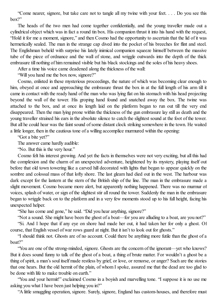"Come nearer, signore, but take care not to tangle all my twine with your feet. . . . Do you see this box?"

The heads of the two men had come together confidentially, and the young traveller made out a cylindrical object which was in fact a round tin box. His companion thrust it into his hand with the request, "Hold it for me a moment, signore," and then Cosmo had the opportunity to ascertain that the lid of it was hermetically sealed. The man in the strange cap dived into the pocket of his breeches for flint and steel. The Englishman beheld with surprise his lately inimical companion squeeze himself between the massive tube of the piece of ordnance and the wall of stone, and wriggle outwards into the depth of the thick embrasure till nothing of him remained visible but his black stockings and the soles of his heavy shoes.

After a time his voice came deadened along the thickness of the wall:

"Will you hand me the box now, signore?"

Cosmo, enlisted in these mysterious proceedings, the nature of which was becoming clear enough to him, obeyed at once and approaching the embrasure thrust the box in at the full length of his arm till it came in contact with the ready hand of the man who was lying flat on his stomach with his head projecting beyond the wall of the tower. His groping hand found and snatched away the box. The twine was attached to the box, and at once its length laid on the platform began to run out till the very end disappeared. Then the man lying prone within the thickness of the gun embrasure lay still as death and the young traveller strained his ears in the absolute silence to catch the slightest sound at the foot of the tower. But all he could hear was the faint sound ofsome distant clock striking somewhere in the town. He waited a little longer, then in the cautious tone of a willing accomplice murmured within the opening:

"Got a bite yet?"

The answer came hardly audible:

"No. But this is the very hour."

Cosmo felt his interest growing. And yet the facts in themselves were not very exciting, but all this had the complexion and the charm of an unexpected adventure, heightened by its mystery, playing itself out before that old town towering like a carved hill decorated with lights that began to appear quickly on the sombre and colossal mass of that lofty shore. The last gleam had died out in the west. The harbour was dark except for the lantern at the stern of the British ship of the line. The man in the embrasure made a slight movement. Cosmo became more alert, but apparently nothing happened. There was no murmur of voices, splash of water, or sign of the slightest stir all round the tower. Suddenly the man in the embrasure began to wriggle back on to the platform and in a very few moments stood up to his full height, facing his unexpected helper.

"She has come and gone," he said. "Did you hear anything, signore?"

"Not a sound. She might have been the ghost of a boat—for you are alluding to a boat, are you not?"

"Si. And I hope that if any eye on shore had made her out, it had taken her for only a ghost. Of course, that English vessel of war rows guard at night. But it isn't to look out for ghosts."

"I should think not. Ghosts are of no account. Could there be anything more futile than the ghost of a boat?"

"You are one of the strong-minded, signore. Ghosts are the concern of the ignorant—yet who knows? But it does sound funny to talk of the ghost of a boat, a thing of brute matter. For wouldn't a ghost be a thing ofspirit, a man's soul itself made restless by grief, or love, or remorse, or anger? Such are the stories that one hears. But the old hermit of the plain, of whom I spoke, assured me that the dead are too glad to be done with life to make trouble on earth."

"You and your hermit!" exclaimed Cosmo in a boyish and marvelling tone. "I suppose it is no use me asking you what I have been just helping you in?"

"A little smuggling operation, signore. Surely, signore, England has custom-houses, and therefore must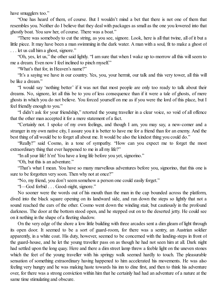have smugglers too."

"One has heard of them, of course. But I wouldn't mind a bet that there is not one of them that resembles you. Neither do I believe that they deal with packages as small as the one you lowered into that ghostly boat. You saw her, of course. There was a boat."

"There was somebody to cut the string, as you see, signore. Look, here is all that twine, all of it but a little piece. It may have been a man swimming in the dark water. A man with a soul, fit to make a ghost of . . . let us call him a ghost, signore."

"Oh, yes, let us," the other said lightly. "I am sure that when I wake up to-morrow all this willseem to me a dream. Even now I feel inclined to pinch myself."

"What's that for, in Heaven's name?"

"It's a saying we have in our country. Yes, you, your hermit, our talk and this very tower, all this will be like a dream."

"I would say 'nothing better' if it was not that most people are only too ready to talk about their dreams. No, signore, let all this be to you of less consequence than if it were a tale of ghosts, of mere ghosts in which you do not believe. You forced yourself on me as if you were the lord of this place, but I feel friendly enough to you."

"I didn't ask for your friendship," retorted the young traveller in a clear voice, so void of all offence that the other man accepted it for a mere statement of a fact.

"Certainly not. I spoke of my own feelings, and though I am, you may say, a new-comer and a stranger in my own native city, I assure you it is better to have me for a friend than for an enemy. And the best thing of all would be to forget all about me. It would be also the kindest thing you could do."

"Really?" said Cosmo, in a tone of sympathy. "How can you expect me to forget the most extraordinary thing that ever happened to me in all my life?"

"In all your life! h'm! You have a long life before you yet, signorino."

"Oh, but this is an adventure."

"That's what I mean. You have so many marvellous adventures before you, signorino, that this one is sure to be forgotten very soon. Then why not at once?"

"No, my friend, you don't seem somehow a person one could easily forget."

"I—God forbid . . . Good-night, signore."

No sooner were the words out of his mouth than the man in the cap bounded across the platform, dived into the black square opening on its landward side, and ran down the steps so lightly that not a sound reached the ears of the other. Cosmo went down the winding stair, but cautiously in the profound darkness. The door at the bottom stood open, and he stepped out on to the deserted jetty. He could see on it nothing in the shape of a fleeting shadow.

On the very edge of the shore a low little building with three arcades sent a dim gleam of light through its open door. It seemed to be a sort of guard-room, for there was a sentry, an Austrian soldier apparently, in a white coat. His duty, however, seemed to be concerned with the landing-steps in front of the guard-house, and he let the young traveller pass on as though he had not seen him at all. Dark night had settled upon the long quay. Here and there a dim street lamp threw a feeble light on the uneven stones which the feet of the young traveller with his springy walk seemed hardly to touch. The pleasurable sensation of something extraordinary having happened to him accelerated his movements. He was also feeling very hungry and he was making haste towards his inn to dine first, and then to think his adventure over, for there was a strong conviction within him that he certainly had had an adventure of a nature at the same time stimulating and obscure.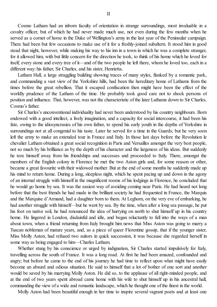Cosmo Latham had an inborn faculty of orientation in strange surroundings, most invaluable in a cavalry officer, but of which he had never made much use, not even during the few months when he served as a cornet of horse in the Duke of Wellington's army in the last year of the Peninsular campaign. There had been but few occasions to make use of it for a freshly-joined subaltern. It stood him in good stead that night, however, while making his way to his inn in a town in which he was a complete stranger, for it allowed him, with but little concern for the direction he took, to think of his home which he loved for itself, every stone and every tree of it—and of the two people he left there, whom he loved too, each in a different way: his father, Sir Charles, and his sister, Henrietta.

Latham Hall, a large straggling building showing traces of many styles, flanked by a romantic park, and commanding a vast view of the Yorkshire hills, had been the hereditary home of Lathams from the times before the great rebellion. That it escaped confiscation then might have been the effect of the worldly prudence of the Latham of the time. He probably took good care not to shock persons of position and influence. That, however, was not the characteristic of the later Lathams down to Sir Charles, Cosmo's father.

Sir Charles's unconventional individuality had never been understood by his country neighbours. Born endowed with a good intellect, a lively imagination, and a capacity for social intercourse, it had been his fate, owing to the idiosyncrasies of his own father, to spend his early youth in the depths of Yorkshire in surroundings not at all congenial to his taste. Later he served for a time in the Guards; but he very soon left the army to make an extended tour in France and Italy. In those last days before the Revolution le chevalier Latham obtained a great social recognition in Paris and Versailles amongst the very best people, not so much by his brilliance as by the depth of his character and the largeness of his ideas. But suddenly he tore himself away from his friendships and successes and proceeded to Italy. There, amongst the members of the English colony in Florence he met the two Aston girls and, for some reason or other, became a great favourite with their widowed mother. But at the end of some months he suddenly made up his mind to return home. During a long, sleepless night, which he spent pacing up and down in the agony of an internal struggle with himself in the magnificent rooms of his lodgings in Florence, he concluded that he would go home by sea. It was the easiest way of avoiding coming near Paris. He had heard not long before that the best friends he had made in the brilliant society he had frequented in France, the Marquis and the Marquise d'Armand, had a daughter born to them. At Leghorn, on the very eve of embarking, he had another struggle with himself—but he went by sea. By the time, when after a long sea passage, he put his foot on native soil, he had renounced the idea of hurrying on north to shut himself up in his country home. He lingered in London, disdainful and idle, and began reluctantly to fall into the ways of a man about town, when a friend returning from Italy brought him news that Miss Aston was going to marry a Tuscan nobleman of mature years, and, as a piece of queer Florentine gossip, that if the younger sister, Miss Molly Aston, had refused two suitors in quick succession, it was because she regarded herself in some way as being engaged to him—Charles Latham.

Whether stung by his conscience or urged by indignation, Sir Charles started impulsively for Italy, travelling across the south of France. It was a long road. At first he had been amazed, confounded and angry; but before he came to the end of his journey he had time to reflect upon what might have easily become an absurd and odious situation. He said to himself that a lot of bother of one sort and another would be saved by his marrying Molly Aston. He did so, to the applause of all right-minded people, and at the end of two years spent abroad came home with his wife to shut himself up in his ancestral hall, commanding the view of a wide and romantic landscape, which he thought one of the finest in the world.

Molly Aston had been beautiful enough in her time to inspire several vagrant poets and at least one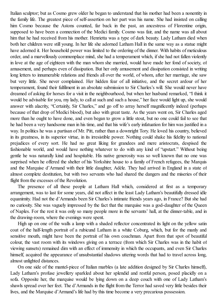Italian sculptor; but as Cosmo grew older he began to understand that his mother had been a nonentity in the family life. The greatest piece of self-assertion on her part was his name. She had insisted on calling him Cosmo because the Astons counted, far back in the past, an ancestress of Florentine origin, supposed to have been a connection of the Medici family. Cosmo was fair, and the name was all about him that he had received from his mother. Henrietta was a type of dark beauty. Lady Latham died when both her children were still young. In her life she adorned Latham Hall in the same way as a statue might have adorned it. Her household power was limited to the ordering of the dinner. With habits of meticulous order, and a marvellously commonplace mind, she had a temperament which, ifshe had not fallen violently in love at the age of eighteen with the man whom she married, would have made her fond of society, of amusement, and perhaps even of dissipation. But her only amusement and dissipation consisted in writing long letters to innumerable relations and friends all over the world, of whom, after her marriage, she saw but very little. She never complained. Her hidden fear of all initiative, and the secret ardour of her temperament, found their fulfilment in an absolute submission to Sir Charles's will. She would never have dreamed of asking for horses for a visit in the neighbourhood, but when her husband remarked, "I think it would be advisable for you, my lady, to call at such and such a house," her face would light up, she would answer with alacrity, "Certainly, Sir Charles," and go off to array herself magnificently indeed (perhaps because of that drop of Medici blood), but also with great taste. As the years went on, Sir Charles aged more than he ought to have done, and even began to grow a little stout, but no one could fail to see that he had been a very handsome man in his time, and that his wife's early infatuation for him was justified in a way. In politics he was a partisan of Mr. Pitt, rather than a downright Tory. He loved his country, believed in its greatness, in its superior virtue, in its irresistible power. Nothing could shake his fidelity to national prejudices of every sort. He had no great liking for grandees and mere aristocrats, despised the fashionable world, and would have nothing whatever to do with any kind of "upstart." Without being gentle he was naturally kind and hospitable. His native generosity was so well known that no one was surprised when he offered the shelter of his Yorkshire house to a family of French refugees, the Marquis and the Marquise d'Armand with their little daughter, Adèle. They had arrived in England in a state of almost complete destitution, but with two servants who had shared the dangers and the miseries of their flight from the excesses of the Revolution.

The presence of all these people at Latham Hall which, considered at first as a temporary arrangement, was to last for some years, did not affect in the least Lady Latham's beautifully dressed idle equanimity. Had not the d'Armands been Sir Charles's intimate friends years ago, in France? But she had no curiosity. She was vaguely impressed by the fact that the marquise was a god-daughter of the Queen of Naples. For the rest it was only so many people more in the servants' hall, at the dinner-table, and in the drawing-room, where the evenings were spent.

High up on one of the walls a lamp with a shaded reflector concentrated its light on the yellow satin coat of the half-length portrait of a rubicund Latham in a white Coburg, which, but for the manly and sensitive mouth, might have been the portrait of his own coachman. Apart from that spot of beautiful colour, the vast room with its windows giving on a terrace (from which Sir Charles was in the habit of viewing sunsets) remained dim with an effect of immensity in which the occupants, and even Sir Charles himself, acquired the appearance of unsubstantial shadows uttering words that had to travel across long, almost unlighted distances.

On one side of the mantel-piece of Italian marbles (a late addition designed by Sir Charles himself), Lady Latham's profuse jewellery sparkled about her splendid and restful person, posed placidly on a sofa. Opposite her, the marquise would be lying down on a deep couch with one of Lady Latham's shawls spread over her feet. The d'Armands in the flight from the Terror had saved very little besides their lives, and the Marquise d'Armand's life had by this time become a very precarious possession.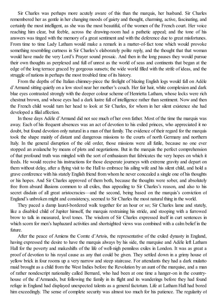Sir Charles was perhaps more acutely aware of this than the marquis, her husband. Sir Charles remembered her as gentle in her changing moods of gaiety and thought, charming, active, fascinating, and certainly the most intelligent, as she was the most beautiful, of the women of the French court. Her voice reaching him clear, but feeble, across the drawing-room had a pathetic appeal; and the tone of his answers was tinged with the memory of a great sentiment and with the deference due to great misfortunes. From time to time Lady Latham would make a remark in a matter-of-fact tone which would provoke something resembling curtness in Sir Charles's elaborately polite reply, and the thought that that woman would have made the very Lord's Prayer sound prosaic. And then in the long pauses they would pursue their own thoughts as perplexed and full of unrest as the world of seas and continents that began at the edge of the long terrace graced by gorgeous sunsets; the wide world filled with the strife of ideas, and the struggle of nations in perhaps the most troubled time of its history.

From the depths of the Italian chimney-piece the firelight of blazing English logs would fall on Adèle d'Armand sitting quietly on a low stool near her mother's couch. Her fair hair, white complexion and dark blue eyes contrasted strongly with the deeper colour scheme of Henrietta Latham, whose locks were rich chestnut brown, and whose eyes had a dark lustre full of intelligence rather than sentiment. Now and then the French child would turn her head to look at Sir Charles, for whom in her silent existence she had developed a filial affection.

In those days Adèle d'Armand did not see much of her own father. Most of the time the marquis was away. Each of his frequent absences was an act of devotion to his exiled princes, who appreciated it no doubt, but found devotion only natural in a man of that family. The evidence of their regard for the marquis took the shape mainly of distant and dangerous missions to the courts of north Germany and northern Italy. In the general disruption of the old order, those missions were all futile, because no one ever stopped an avalanche by means of plots and negotiations. But in the marquis the perfect comprehension of that profound truth was mingled with the sort of enthusiasm that fabricates the very hopes on which it feeds. He would receive his instructions for those desperate journeys with extreme gravity and depart on them without delay, after a flying visit to the Hall to embrace his ailing wife and his silent child, and hold a grave conference with his stately English friend from whom he never concealed a single one of his thoughts or his hopes. And Sir Charles approved of them both, because the thoughts were sober, and absolutely free from absurd illusions common to all exiles, thus appealing to Sir Charles's reason, and also to his secret disdain of all great aristocracies—and the second, being based on the marquis's conviction of England's unbroken might and consistency, seemed to Sir Charles the most natural thing in the world.

They paced a damp laurel-bordered walk together for an hour or so; Sir Charles lame and stately, like a disabled child of Jupiter himself, the marquis restraining his stride, and stooping with a furrowed brow to talk in measured, level tones. The wisdom of Sir Charles expressed itself in curt sentences in which scorn for men's haphazard activities and shortsighted views was combined with a calm belief in the future.

After the peace of Amiens the Comte d'Artois, the representative of the exiled dynasty in England, having expressed the desire to have the marquis always by his side, the marquise and Adèle left Latham Hall for the poverty and makeshifts of the life of well-nigh penniless exiles in London. It was as great a proof of devotion to his royal cause as any that could be given. They settled down in a grimy house of yellow brick in four rooms up a very narrow and steep staircase. For attendants they had a dark mulatto maid brought as a child from the West Indies before the Revolution by an aunt of the marquise, and a man of rather nondescript nationality called Bernard, who had been at one time a hanger-on in the countryhouse of the d'Armands, but following the family in its flight and its wanderings before they had found refuge in England had displayed unexpected talents as a general factotum. Life at Latham Hall had bored him exceedingly. The sense of complete security was almost too much for his patience. The regularity of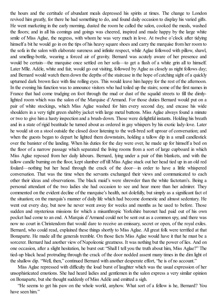the hours and the certitude of abundant meals depressed his spirits at times. The change to London revived him greatly, for there he had something to do, and found daily occasion to display his varied gifts. He went marketing in the early morning, dusted the room he called the salon, cooked the meals, washed the floors; and in all his comings and goings was cheered, inspired and made happy by the large white smile of Miss Aglae, the negress, with whom he was very much in love. At twelve o'clock after tidying himself a bit he would go in on the tips of his heavy square shoes and carry the marquise from her room to the sofa in the salon with elaborate sureness and infinite respect, while Aglae followed with pillow, shawl, and smelling-bottle, wearing a forced air of gravity. Bernard was acutely aware of her presence and would be certain—the marquise once settled on her sofa—to get a flash of a white grin all to himself. Later Mlle. Adèle, white and fair, would go out visiting, followed by Aglae as closely as night follows day; and Bernard would watch them down the depths of the staircase in the hope of catching sight of a quickly upturned dark brown face with fine rolling eyes. This would leave him happy for the rest of the afternoon. In the evening his function was to announce visitors who had toiled up the stairs; some of the first names in France that had come trudging on foot through the mud or dust of the squalid streets to fill the dimlylighted room which was the salon of the Marquise d'Armand. For those duties Bernard would put on a pair of white stockings, which Miss Aglae washed for him every second day, and encase his wide shoulders in a very tight green shabby jacket with large metal buttons. Miss Aglae always found a minute or two to give him a hasty inspection and a brush-down. Those were delightful instants. Holding his breath and in a state of rigid beatitude he turned about as ordered in gay whispers by his exotic lady-love. Later he would sit on a stool outside the closed door listening to the well-bred soft uproar of conversation; and when the guests began to depart he lighted them downstairs, holding a tallow dip in a small candlestick over the banister of the landing. When his duties for the day were over, he made up for himself a bed on the floor of a narrow passage which separated the living rooms from a sort of large cupboard in which Miss Aglae reposed from her daily labours. Bernard, lying under a pair of thin blankets, and with the tallow candle burning on the floor, kept slumber off till Miss Aglae stuck out her head tied up in an old red foulard—nothing but her head through the crack of the door—in order to have a little whispered conversation. That was the time when the servants exchanged their views and communicated to each other their ideas and observations. The black maid's were shrewder than the white factotum's. Being a personal attendant of the two ladies she had occasion to see and hear more than her admirer. They commented on the evident decline of the marquise's health, not dolefully, but simply as a significant fact of the situation; on the marquis's manner of daily life which had become domestic and almost sedentary. He went out every day, but now he never went away for weeks and months as he used to before. Those sudden and mysterious missions for which a misanthropic Yorkshire baronet had paid out of his own pocket had come to an end. A Marquis d'Armand could not be sent out as a common spy, and there was now no court in Christendom that would dare to receive an emissary, secret or open, of the royal exiles. Bernard, who could read, explained these things shortly to Miss Aglae. All great folk were terrified at that Bonaparte. He made all the generals tremble. On those facts Miss Aglae would have it that he must be a sorcerer. Bernard had another view of Napoleonic greatness. It was nothing but the power of lies. And on one occasion, after a slight hesitation, he burst out: "Shall I tell you the truth about him, Miss Aglae?" The tied-up black head protruding through the crack of the door nodded assent many times in the dim light of the shallow dip. "Well, then," continued Bernard with another desperate effort, "he is of no account."

Miss Aglae repressed with difficulty the loud burst of laughter which was the usual expression of her unsophisticated emotions. She had heard ladies and gentlemen in the salon express a very similar opinion on Bonaparte, but she thought suddenly of Miss Adèle and emitted a sigh.

"He seems to get his paw on the whole world, anyhow. What sort of a fellow is he, Bernard? You have seen him"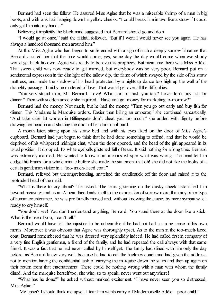Bernard had seen the fellow. He assured Miss Aglae that he was a miserable shrimp of a man in big boots, and with lank hair hanging down his yellow cheeks. "I could break him in two like a straw if I could only get him into my hands."

Believing it implicitly the black maid suggested that Bernard should go and do it.

"I would go at once," said the faithful follower. "But if I went I would never see you again. He has always a hundred thousand men around him."

At this Miss Aglae who had begun to smile ended with a sigh of such a deeply sorrowful nature that Bernard assured her that the time would come; yes, some day the day would come when everybody would get back his own. Aglae was ready to believe this prophecy. But meantime there was Miss Adèle. That sweet child was now ready to get married, but everybody was so very poor. Bernard put on a sentimental expression in the dim light of the tallow dip, the flame of which swayed by the side of his straw mattress, and made the shadow of his head protected by a nightcap dance too high up the wall of the draughty passage. Timidly he muttered of love. That would get over all the difficulties.

"You very stupid man, Mr. Bernard. Love! What sort of trash you talk? Love don't buy fish for dinner." Then with sudden anxiety she inquired, "Have you got money for marketing to-morrow?"

Bernard had the money. Not much, but he had the money. "Then you go out early and buy fish for dinner. This Madame le Marquise orders. Easier than killing an emperor," she continued sarcastically. "And take care fat woman in Billingsgate don't cheat you too much," she added with dignity before drawing her head in and shutting the door of her dark cupboard.

A month later, sitting upon his straw bed and with his eyes fixed on the door of Miss Aglae's cupboard, Bernard had just begun to think that he had done something to offend, and that he would be deprived of his whispered midnight chat, when the door opened, and the head of the girl appeared in its usual position. It drooped. Its white eyeballs glistened full of tears. It said nothing for a long time. Bernard was extremely alarmed. He wanted to know in an anxious whisper what was wrong. The maid let him cudgel his brains for a whole minute before she made the statement that oh! she did not like the looks of a certain gentleman visitor in a "too-much-laced coat."

Bernard, relieved but uncomprehending, snatched the candlestick off the floor and raised it to the protruded head of the maid.

"What is there to cry about?" he asked. The tears glistening on the dusky cheek astonished him beyond measure; and as an African face lends itself to the expression of sorrow more than any other type of human countenance, he was profoundly moved and, without knowing the cause, by mere sympathy felt ready to cry himself.

"You don't see! You don't understand anything, Bernard. You stand there at the door like a stick. What is the use of you, I can't tell."

Bernard would have felt the injustice to be unbearable if he had not had a strong sense of his own merits. Moreover it was obvious that Aglae was thoroughly upset. As to the man in the too-much-laced coat, Bernard remembered that he was dressed very splendidly indeed. He had called first in company of a very fine English gentleman, a friend of the family, and he had repeated the call always with that same friend. It was a fact that he had never called by himself yet. The family had dined with him only the day before, as Bernard knew very well, because he had to call the hackney coach and had given the address, not to mention having the confidential task of carrying the marquise down the stairs and then up again on their return from that entertainment. There could be nothing wrong with a man with whom the family dined. And the marquise herself too, she who, so to speak, never went out anywhere!

"What has he done?" he asked without marked excitement. "I have never seen you so distressed, Miss Aglae."

"Me upset? I should think me upset. I fear him wants carry off Mademoiselle Adèle—poor child."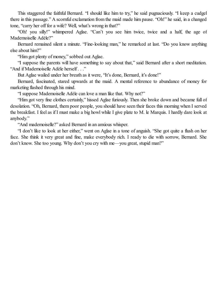This staggered the faithful Bernard. "I should like him to try," he said pugnaciously. "I keep a cudgel there in this passage." A scornful exclamation from the maid made him pause. "Oh!" he said, in a changed tone, "carry her off for a wife? Well, what's wrong in that?"

"Oh! you silly!" whimpered Aglae. "Can't you see him twice, twice and a half, the age of Mademoiselle Adèle?"

Bernard remained silent a minute. "Fine-looking man," he remarked at last. "Do you know anything else about him?"

"Him got plenty of money," sobbed out Aglae.

"I suppose the parents will have something to say about that," said Bernard after a short meditation. "And if Mademoiselle Adèle herself . . ."

But Aglae wailed under her breath as it were, "It's done, Bernard, it's done!"

Bernard, fascinated, stared upwards at the maid. A mental reference to abundance of money for marketing flashed through his mind.

"I suppose Mademoiselle Adèle can love a man like that. Why not?"

"Him got very fine clothes certainly," hissed Aglae furiously. Then she broke down and became full of desolation. "Oh, Bernard, them poor people, you should have seen their faces this morning when I served the breakfast. I feel as if I must make a big howl while I give plate to M. le Marquis. I hardly dare look at anybody."

"And mademoiselle?" asked Bernard in an anxious whisper.

"I don't like to look at her either," went on Aglae in a tone of anguish. "She got quite a flush on her face. She think it very great and fine, make everybody rich. I ready to die with sorrow, Bernard. She don't know. She too young. Why don't you cry with me—you great, stupid man?"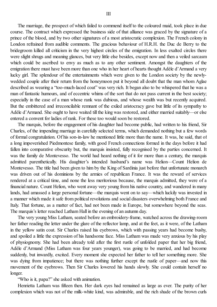The marriage, the prospect of which failed to commend itself to the coloured maid, took place in due course. The contract which expressed the business side of that alliance was graced by the signature of a prince of the blood, and by two other signatures of a most aristocratic complexion. The French colony in London refrained from audible comments. The gracious behaviour of H.R.H. the Duc de Berry to the bridegroom killed all criticism in the very highest circles of the emigration. In less exalted circles there were slight shrugs and meaning glances, but very little else besides, except now and then a veiled sarcasm which could be ascribed to envy as much as to any other sentiment. Amongst the daughters of the emigration there must have been more than one who in her heart of hearts thought Adèle d'Armand a very lucky girl. The splendour of the entertainments which were given to the London society by the newlywedded couple after their return from the honeymoon put it beyond all doubt that the man whom Aglae described as wearing a "too-much-laced coat" was very rich. It began also to be whispered that he was a man of fantastic humours, and of eccentric whims of the sort that do not pass current in the best society; especially in the case of a man whose rank was dubious, and whose wealth was but recently acquired. But the embittered and irreconcilable remnant of the exiled aristocracy gave but little of its sympathy to Adèle d'Armand. She ought to have waited till the king was restored, and either married suitably—or else

The marquis, before the engagement of his daughter had become public, had written to his friend, Sir Charles, of the impending marriage in carefully selected terms, which demanded nothing but a few words of formal congratulation. Of his son-in-law he mentioned little more than the name. It was, he said, that of a long impoverished Piedmontese family, with good French connections formed in the days before it had fallen into comparative obscurity but, the marquis insisted, fully recognised by the parties concerned. It was the family de Montevesso. The world had heard nothing of it for more than a century, the marquis admitted parenthetically. His daughter's intended husband's name was Helion—Count Helion de Montevesso. The title had been given to him by the King of Sardinia just before that unfortunate monarch was driven out of his dominions by the armies of republican France. It was the reward of services rendered at a critical time, and none the less meritorious because, the marquis admitted, they were of a financial nature. Count Helion, who went away very young from his native country, and wandered in many lands, had amassed a large personal fortune—the marquis went on to say—which luckily was invested in a manner which made it safe from political revolutions and social disasters overwhelming both France and Italy. That fortune, as a matter of fact, had not been made in Europe, but somewhere beyond the seas. The marquis's letter reached Latham Hall in the evening of an autumn day.

entered a convent for ladies of rank. For these too would soon be restored.

The very young Miss Latham, seated before an embroidery-frame, watched across the drawing-room her father reading the letter under the glare of the reflector lamp, and at the feet, as it were, of the Latham in the yellow satin coat. Sir Charles raised his eyebrows, which with passing years had become bushy, and spoiled a little the expression of his handsome face. Miss Latham was made very anxious by his play of physiognomy. She had been already told after the first rustle of unfolded paper that her big friend, Adèle d'Armand (Miss Latham was four years younger), was going to be married, and had become suddenly, but inwardly, excited. Every moment she expected her father to tell her something more. She was dying from impatience; but there was nothing further except the rustle of paper—and now this movement of the eyebrows. Then Sir Charles lowered his hands slowly. She could contain herself no longer.

"Who is it, papa?" she asked with animation.

Henrietta Latham was fifteen then. Her dark eyes had remained as large as ever. The purity of her complexion which was not of the milk-white kind, was admirable, and the rich shade of the brown curls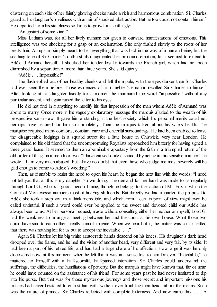clustering on each side of her faintly glowing cheeks made a rich and harmonious combination. Sir Charles gazed at his daughter's loveliness with an air ofshocked abstraction. But he too could not contain himself. He departed from his stateliness so far as to growl out scathingly:

"An upstart of some kind."

Miss Latham was, for all her lively manner, not given to outward manifestations of emotions. This intelligence was too shocking for a gasp or an exclamation. She only flushed slowly to the roots of her pretty hair. An upstart simply meant to her everything that was bad in the way of a human being, but the scathing tone of Sir Charles's outburst also augmented her profound emotion, for it seemed to extend to Adèle d'Armand herself. It shocked her tender loyalty towards the French girl, which had not been diminished by a separation of more than three years. She said quietly:

"Adèle . . . Impossible!"

The flush ebbed out of her healthy cheeks and left them pale, with the eyes darker than Sir Charles had ever seen them before. Those evidences of his daughter's emotion recalled Sir Charles to himself. After looking at his daughter fixedly for a moment he murmured the word "impossible" without any particular accent, and again raised the letter to his eyes.

He did not find in it anything to modify his first impression of the man whom Adèle d'Armand was about to marry. Once more in his vaguely explanatory message the marquis alluded to the wealth of his prospective son-in-law. It gave him a standing in the best society which his personal merits could not perhaps have secured for him so completely. Then the marquis talked about his wife's health. The marquise required many comforts, constant care and cheerfulsurroundings. He had been enabled to leave the disagreeable lodgings in a squalid street for a little house in Chiswick, very near London. He complained to his old friend that the uncompromising Royalists reproached him bitterly for having signed a three years' lease. It seemed to them an abominable apostacy from the faith in a triumphal return of the old order of things in a month or two. "I have caused quite a scandal by acting in this sensible manner," he wrote. "I am very much abused, but I have no doubt that even those who judge me most severely will be glad enough to come to Adèle's wedding."

Then, as if unable to resist the need to open his heart, he began the next line with the words: "I need not tell you that all this is my daughter's own doing. The demand for her hand was made to us regularly through Lord G., who is a good friend of mine, though he belongs to the faction of Mr. Fox in which the Count of Montevesso numbers most of his English friends. But directly we had imparted the proposal to Adèle she took a step you may think incredible, and which from a certain point of view might even be called undutiful, if such a word could ever be applied to the sweet and devoted child our Adèle has always been to us. At her personal request, made without consulting either her mother or myself, Lord G. had the weakness to arrange a meeting between her and the count at his own house. What those two could have said to each other I really cannot imagine. When we heard of it, the matter was so far settled that there was nothing left for us but to accept the inevitable. . . ."

Again Sir Charles let his big white aristocratic hands descend on his knees. His daughter's dark head drooped over the frame, and he had the vision of another head, very different and very fair, by its side. It had been a part of his retired life, and had had a large share of his affection. How large it was he only discovered now, at this moment, when he felt that it was in a sense lost to him for ever. "Inevitable," he muttered to himself with a half-scornful, half-pained intonation. Sir Charles could understand the sufferings, the difficulties, the humiliations of poverty. But the marquis might have known that, far or near, he could have counted on the assistance of his friend. For some years past he had never hesitated to dip into his purse. But that was for those mysterious journeys and those secret and important missions his princes had never hesitated to entrust him with, without ever troubling their heads about the means. Such was the nature of princes, Sir Charles reflected with complete bitterness. And now came this. . . . A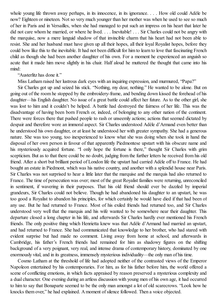whole young life thrown away perhaps, in its innocence, in its ignorance. . . . How old could Adèle be now? Eighteen or nineteen. Not so very much younger than her mother was when he used to see so much of her in Paris and in Versailles, when she had managed to put such an impress on his heart that later he did not care whom he married, or where he lived. . . . Inevitable! . . . Sir Charles could not be angry with the marquise, now a mere languid shadow of that invincible charm that his heart had not been able to resist. She and her husband must have given up all their hopes, all their loyal Royalist hopes, before they could bow like this to the inevitable. It had not been difficult for him to learn to love that fascinating French child as though she had been another daughter of his own. For a moment he experienced an anguish so acute that it made him move slightly in his chair. Half aloud he muttered the thought that came into his mind:

"Austerlitz has done it."

Miss Latham raised her lustrous dark eyes with an inquiring expression, and murmured, "Papa?"

Sir Charles got up and seized his stick. "Nothing, my dear, nothing." He wanted to be alone. But on going out of the room he stopped by the embroidery-frame, and bending down kissed the forehead of his daughter—his English daughter. No issue of a great battle could affect her future. As to the other girl, she was lost to him and it couldn't be helped. A battle had destroyed the fairness of her life. This was the disadvantage of having been born French or, indeed, of belonging to any other nation of the continent. There were forces there that pushed people to rash or unseemly actions; actions that seemed dictated by despair and therefore wore an immoral aspect. Sir Charles understood Adèle d'Armand even better than he understood his own daughter, or at least he understood her with greater sympathy. She had a generous nature. She was too young, too inexperienced to know what she was doing when she took in hand the disposal of her own person in favour of that apparently Piedmontese upstart with his obscure name and his mysteriously acquired fortune. "I only hope the fortune is there," thought Sir Charles with grim scepticism. But as to that there could be no doubt, judging from the further letters he received from his old friend. After a short but brilliant period of London life the upstart had carried Adèle off to France. He had bought an estate in Piedmont, which was his native country, and another with a splendid house near Paris. Sir Charles was not surprised to hear a little later that the marquise and the marquis had also returned to France. The time of persecution was over; most of the great Royalist families were returning, unreconciled in sentiment, if wavering in their purposes. That his old friend should ever be dazzled by imperial grandeurs, Sir Charles could not believe. Though he had abandoned his daughter to an upstart, he was too good a Royalist to abandon his principles, for which certainly he would have died if that had been of any use. But he had returned to France. Most of his exiled friends had returned too, and Sir Charles understood very well that the marquis and his wife wanted to be somewhere near their daughter. This departure closed a long chapter in his life, and afterwards Sir Charles hardly ever mentioned his French friends. The only positive thing which Henrietta knew was that Adèle d'Armand had married an upstart, and had returned to France. She had communicated that knowledge to her brother, who had stared with evident surprise but had made no comment. Living away from home at school, and afterwards in Cambridge, his father's French friends had remained for him as shadowy figures on the shifting background of a very poignant, very real, and intense drama of contemporary history, dominated by one enormously vital, and in its greatness, immensely mysterious individuality—the only man of his time.

Cosmo Latham at the threshold of life had adopted neither of the contrasted views of the Emperor Napoleon entertained by his contemporaries. For him, as for his father before him, the world offered a scene of conflicting emotions, in which facts appraised by reason preserved a mysterious complexity and a dual character. One evening during an artless discussion with young men of his own age, it had occurred to him to say that Bonaparte seemed to be the only man amongst a lot of old scarecrows. "Look how he knocks them over," he had explained. A moment of silence followed. Then a voice objected.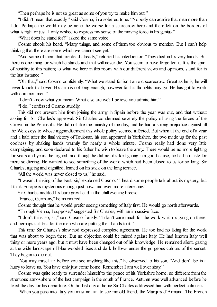"Then perhaps he is not so great as some of you try to make him out."

"I didn't mean that exactly," said Cosmo, in a sobered tone. "Nobody can admire that man more than I do. Perhaps the world may be none the worse for a scarecrow here and there left on the borders of what is right or just. I only wished to express my sense of the moving force in his genius."

"What does he stand for?" asked the same voice.

Cosmo shook his head. "Many things, and some of them too obvious to mention. But I can't help thinking that there are some which we cannot see yet."

"And some of them that are dead already," retorted his interlocutor. "They died in his very hands. But there is one thing for which he stands and that will never die. You seem to have forgotten it. It is the spirit of hostility to this nation; to what we here in this room, with our different views and opinions, stand for in the last instance."

"Oh, that," said Cosmo confidently. "What we stand for isn't an old scarecrow. Great as he is, he will never knock that over. His arm is not long enough, however far his thoughts may go. He has got to work with common men."

"I don't know what you mean. What else are we? I believe you admire him."

"I do," confessed Cosmo sturdily.

This did not prevent him from joining the army in Spain before the year was out, and that without asking for Sir Charles's approval. Sir Charles condemned severely the policy of using the forces of the Crown in the Peninsula. He did not like the ministry of the day, and he had a strong prejudice against all the Wellesleys to whose aggrandisement this whole policy seemed affected. But when at the end of a year and a half, after the final victory of Toulouse, his son appeared in Yorkshire, the two made up for the past coolness by shaking hands warmly for nearly a whole minute. Cosmo really had done very little campaigning, and soon declared to his father his wish to leave the army. There would be no more fighting for years and years, he argued, and though he did not dislike fighting in a good cause, he had no taste for mere soldiering. He wanted to see something of the world which had been closed to us for so long. Sir Charles, ageing and dignified, leaned on his stick on the long terrace.

"All the world was never closed to us," he said.

"I wasn't thinking of the East, sir," explained Cosmo. "I heard some people talk about its mystery, but I think Europe is mysterious enough just now, and even more interesting."

Sir Charles nodded his bare grey head in the chill evening breeze.

"France, Germany," he murmured.

Cosmo thought that he would prefer seeing something of Italy first. He would go north afterwards.

"Through Vienna, I suppose," suggested Sir Charles, with an impassive face.

"I don't think so, sir," said Cosmo frankly. "I don't care much for the work which is going on there, and perhaps still less for the men who are putting their hands to it."

This time Sir Charles's slow nod expressed complete agreement. He too had no liking for the work that was about to begin there. But no objection could be raised against Italy. He had known Italy well thirty or more years ago, but it must have been changed out of his knowledge. He remained silent, gazing at the wide landscape of blue wooded rises and dark hollows under the gorgeous colours of the sunset. They began to die out.

"You may travel far before you see anything like this," he observed to his son. "And don't be in a hurry to leave us. You have only just come home. Remember I am well over sixty."

Cosmo was quite ready to surrender himself to the peace of his Yorkshire home, so different from the strenuous atmosphere of the last campaign in the south of France. Autumn was well advanced before he fixed the day for his departure. On his last day at home Sir Charles addressed him with perfect calmness:

"When you pass into Italy you must not fail to see my old friend, the Marquis d'Armand. The French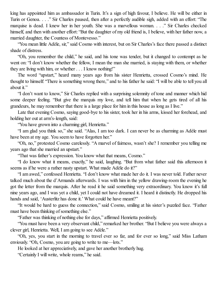king has appointed him as ambassador in Turin. It's a sign of high favour, I believe. He will be either in Turin or Genoa. . . ." Sir Charles paused, then after a perfectly audible sigh, added with an effort: "The marquise is dead. I knew her in her youth. She was a marvellous woman. . . ." Sir Charles checked himself, and then with another effort: "But the daughter of my old friend is, I believe, with her father now, a married daughter, the Countess of Montevesso."

"You mean little Adèle, sir," said Cosmo with interest, but on Sir Charles's face there passed a distinct shade of distress.

"Oh, you remember the child," he said, and his tone was tender, but it changed to contempt as he went on: "I don't know whether the fellow, I mean the man she married, is staying with them, or whether they are living with him, or whether . . . I know nothing!"

The word "upstart," heard many years ago from his sister Henrietta, crossed Cosmo's mind. He thought to himself: "There is something wrong there," and to his father he said: "I will be able to tell you all about it."

"I don't want to know," Sir Charles replied with a surprising solemnity of tone and manner which hid some deeper feeling. "But give the marquis my love, and tell him that when he gets tired of all his grandeurs, he may remember that there is a large place for him in this house as long as I live."

Late that evening Cosmo, saying good-bye to his sister, took her in his arms, kissed her forehead, and holding her out at arm's-length, said:

"You have grown into a charming girl, Henrietta."

"I am glad you think so," she said. "Alas, I am too dark. I can never be as charming as Adèle must have been at my age. You seem to have forgotten her."

"Oh, no," protested Cosmo carelessly. "A marvel of fairness, wasn't she? I remember you telling me years ago that she married an upstart."

"That was father's expression. You know what that means, Cosmo."

"I do know what it means, exactly," he said, laughing. "But from what father said this afternoon it seems as if he were a rather nasty upstart. What made Adèle do it?"

"I am awed," confessed Henrietta. "I don't know what made her do it. I was never told. Father never talked much about the d'Armands afterwards. I was with him in the yellow drawing-room the evening he got the letter from the marquis. After he read it he said something very extraordinary. You know it's full nine years ago, and I was yet a child, yet I could not have dreamed it. I heard it distinctly. He dropped his hands and said, 'Austerlitz has done it.' What could he have meant?"

"It would be hard to guess the connection," said Cosmo, smiling at his sister's puzzled face. "Father must have been thinking of something else."

"Father was thinking of nothing else for days," affirmed Henrietta positively.

"You must have been a very observant child," remarked her brother. "But I believe you were always a clever girl, Henrietta. Well, I am going to see Adèle."

"Oh, yes, you start in the morning to travel ever so far, and for ever so long," said Miss Latham enviously. "Oh, Cosmo, you are going to write to me—lots."

He looked at her appreciatively, and gave her another brotherly hug.

"Certainly I will write, whole reams," he said.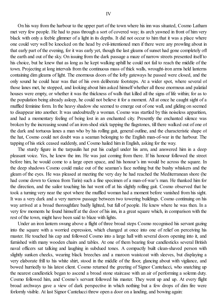On his way from the harbour to the upper part of the town where his inn was situated, Cosmo Latham met very few people. He had to pass through a sort of covered way; its arch yawned in front of him very black with only a feeble glimmer of a light in its depths. It did not occur to him that it was a place where one could very well be knocked on the head by evil-intentioned men if there were any prowling about in that early part of the evening, for it was early yet, though the last gleams ofsunset had gone completely off the earth and out of the sky. On issuing from the dark passage a maze of narrow streets presented itself to his choice, but he knew that as long as he kept walking uphill he could not fail to reach the middle of the town. Projecting at long intervals from the continuous mass of thick walls, wrought-iron arms held lanterns containing dim gleams of light. The enormous doors of the lofty gateways he passed were closed, and the only sound he could hear was that of his own deliberate footsteps. At a wider spot, where several of those lanes met, he stopped, and looking about him asked himself whether all those enormous and palatial houses were empty, or whether it was the thickness of walls that killed all the signs of life within; for as to the population being already asleep, he could not believe it for a moment. All at once he caught sight of a muffled feminine form. In the heavy shadow she seemed to emerge out of one wall, and gliding on seemed to disappear into another. It was undoubtedly a woman. Cosmo was startled by this noiseless apparition, and had a momentary feeling of being lost in an enchanted city. Presently the enchanted silence was broken by the increasing sound of an iron-shod stick tapping the flagstones, till there walked out of one of the dark and tortuous lanes a man who by his rolling gait, general outline, and the characteristic shape of the hat, Cosmo could not doubt was a seaman belonging to the English man-of-war in the harbour. The tapping of his stick ceased suddenly, and Cosmo hailed him in English, asking for the way.

The sturdy figure in the tarpaulin hat put his cudgel under his arm, and answered him in a deep pleasant voice. Yes, he knew the inn. He was just coming from there. If his honour followed the street before him, he would come to a large open space, and his honour's inn would be across the square. In the deep shadows Cosmo could make out of the seaman's face nothing but the bushy whiskers and the gleam of the eyes. He was pleased at meeting the very day he had reached the Mediterranean shore (he had come down to Genoa from Turin) such a fine specimen of a man-of-war's man. He thanked him for the direction, and the sailor touching his hat went off at his slightly rolling gait. Cosmo observed that he took a turning very near the spot where the muffled woman had a moment before vanished from his sight. It was a very dark and a very narrow passage between two towering buildings. Cosmo continuing on his way arrived at a broad thoroughfare badly lighted, but full of people. He knew where he was then. In a very few moments he found himself at the door of his inn, in a great square which, in comparison with the rest of the town, might have been said to blaze with lights.

Under an iron lantern swung above a flight of three broad steps Cosmo recognised his servant gazing into the square with a worried expression, which changed at once into one of relief on perceiving his master. He touched his cap and followed Cosmo into a large hall with several doors opening into it, and furnished with many wooden chairs and tables. At one of them bearing four candlesticks several British naval officers sat talking and laughing in subdued tones. A compactly built clean-shaved person with slightly sunken cheeks, wearing black breeches and a maroon waistcoat with sleeves, but displaying a very elaborate frill to his white shirt, stood in the middle of the floor, glancing about with vigilance, and bowed hurriedly to his latest client. Cosmo returned the greeting of Signor Cantelucci, who snatching up the nearest candlestick began to ascend a broad stone staircase with an air of performing a solemn duty. Cosmo followed him, and Cosmo's servant followed his master. They went up and up. At every flight broad archways gave a view of dark perspective in which nothing but a few drops of dim fire were forlornly visible. At last Signor Cantelucci threw open a door on a landing, and bowing again: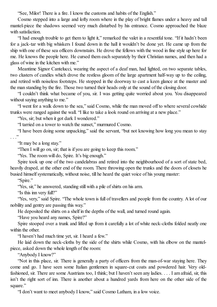"See, Milor! There is a fire. I know the customs and habits of the English."

Cosmo stepped into a large and lofty room where in the play of bright flames under a heavy and tall mantel-piece the shadows seemed very much disturbed by his entrance. Cosmo approached the blaze with satisfaction.

"I had enough trouble to get them to light it," remarked the valet in a resentful tone. "If it hadn't been for a jack-tar with big whiskers I found down in the hall it wouldn't be done yet. He came up from the ship with one of these sea officers downstairs. He drove the fellows with the wood in fine style up here for me. He knows the people here. He cursed them each separately by their Christian names, and then had a glass of wine in the kitchen with me."

Meantime Signor Cantelucci, wearing the aspect of a deaf man, had lighted, on two separate tables, two clusters of candles which drove the restless gloom of the large apartment half-way up to the ceiling, and retired with noiseless footsteps. He stopped in the doorway to cast a keen glance at the master and the man standing by the fire. Those two turned their heads only at the sound of the closing door.

"I couldn't think what became of you, sir. I was getting quite worried about you. You disappeared without saying anything to me."

"I went for a walk down to the sea," said Cosmo, while the man moved off to where several cowhide trunks were ranged against the wall. "I like to take a look round on arriving at a new place."

"Yes, sir; but when it got dark I wondered."

"I tarried on a tower to watch the sunset," murmured Cosmo.

"I have been doing some unpacking," said the servant, "but not knowing how long you mean to stay . . . "

"It may be a long stay."

"Then I will go on, sir; that is if you are going to keep this room."

"Yes. The room will do, Spire. It's big enough."

Spire took up one of the two candelabras and retired into the neighbourhood of a sort of state bed, heavily draped, at the other end of the room. There throwing open the trunks and the doors of closets he busied himself systematically, without noise, till he heard the quiet voice of his young master:

"Spire."

"Yes, sir," he answered, standing still with a pile of shirts on his arm.

"Is this inn very full?"

"Yes, very," said Spire. "The whole town is full of travellers and people from the country. A lot of our nobility and gentry are passing this way."

He deposited the shirts on a shelf in the depths of the wall, and turned round again.

"Have you heard any names, Spire?"

Spire stooped over a trunk and lifted up from it carefully a lot of white neck-cloths folded neatly one within the other.

"I haven't had much time yet, sir. I heard a few."

He laid down the neck-cloths by the side of the shirts while Cosmo, with his elbow on the mantelpiece, asked down the whole length of the room:

"Anybody I know?"

"Not in this place, sir. There is generally a party of officers from the man-of-war staying here. They come and go. I have seen some Italian gentlemen in square-cut coats and powdered hair. Very oldfashioned, sir. There are some Austrians too, I think; but I haven't seen any ladies. . . . I am afraid, sir, this isn't the right sort of inn. There is another about a hundred yards from here on the other side of the square."

"I don't want to meet anybody I know," said Cosmo Latham, in a low voice.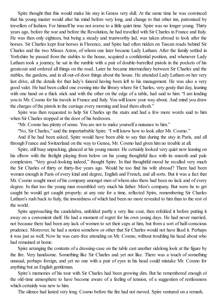Spire thought that this would make his stay in Genoa very dull. At the same time he was convinced that his young master would alter his mind before very long, and change to that other inn, patronised by travellers of fashion. For himself he was not averse to a little quiet time. Spire was no longer young. Thirty years ago, before the war and before the Revolution, he had travelled with Sir Charles in France and Italy. He was then only eighteen, but being a steady and trustworthy lad, was taken abroad to look after the horses. Sir Charles kept four horses in Florence, and Spire had often ridden on Tuscan roads behind Sir Charles and the two Misses Aston, of whom one later became Lady Latham. After the family settled in Yorkshire he passed from the stables to the house, acquired a confidential position, and whenever Lady Latham took a journey, he sat in the rumble with a pair of double-barrelled pistols in the pockets of his greatcoat and ordered all things on the road. Later he became intermediary between Sir Charles and the stables, the gardens, and in all out-of-door things about the house. He attended Lady Latham on her very last drive, all the details for that lady's funeral having been left to his management. He was also a very good valet. He had been called one evening into the library where Sir Charles, very gouty that day, leaning with one hand on a thick stick and with the other on the edge of a table, had said to him: "I am lending you to Mr. Cosmo for his travels in France and Italy. You will know your way about. And mind you draw the charges of the pistols in the carriage every morning and load them afresh."

Spire was then requested to help Sir Charles up the stairs and had a few more words said to him when Sir Charles stopped at the door of his bedroom.

"Mr. Cosmo has plenty of sense. You are not to make yourself a nuisance to him."

"No, Sir Charles," said the imperturbable Spire. "I will know how to look after Mr. Cosmo."

And if he had been asked, Spire would have been able to say that during the stay in Paris, and all through France and Switzerland on the way to Genoa, Mr. Cosmo had given him no trouble at all.

Spire, still busy unpacking, glanced at his young master. He certainly looked very quiet now leaning on his elbow with the firelight playing from below on his young thoughtful face with its smooth and pale complexion. "Very good-looking indeed," thought Spire. In that thoughtful mood he recalled very much the Sir Charles of thirty or thirty-five years ago. Would he too find his wife abroad? There had been women enough in Paris of every kind and degree, English and French, and allsorts. But it was a fact that Mr. Cosmo sought most of his company amongst men of whom also there had been no lack and of every degree. In that too the young man resembled very much his father. Men's company. But were he to get caught he would get caught properly; at any rate for a time, reflected Spire, remembering Sir Charles Latham's rush back to Italy, the inwardness of which had been no more revealed to him than to the rest of the world.

Spire approaching the candelabra, unfolded partly a very fine coat, then refolded it before putting it away on a convenient shelf. He had a moment of regret for his own young days. He had never married, not because there had been any lack of women to set their caps at him, but from a sort of half-conscious prudence. Moreover, he had a notion somehow or other that Sir Charles would not have liked it. Perhaps it was just as well. Now he was care-free attending on Mr. Cosmo, without troubling his head about who had remained at home.

Spire arranging the contents of a dressing-case on the table cast another sidelong look at the figure by the fire. Very handsome. Something like Sir Charles and yet not like. There was a touch of something unusual, perhaps foreign, and yet no one with a pair of eyes in his head could mistake Mr. Cosmo for anything but an English gentleman.

Spire's memories of his tour with Sir Charles had been growing dim. But he remembered enough of the old-time atmosphere to have become aware of a feeling of tension, of a suggestion of restlessness which certainly was new to him.

The silence had lasted very long. Cosmo before the fire had not moved. Spire ventured on a remark.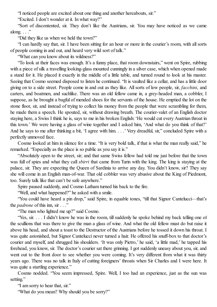"I noticed people are excited about one thing and another hereabouts, sir."

"Excited. I don't wonder at it. In what way?"

"Sort of discontented, sir. They don't like the Austrians, sir. You may have noticed as we came along.  $\ldots$ "

"Did they like us when we held the town?"

"I can hardly say that, sir. I have been sitting for an hour or more in the courier's room, with all sorts of people coming in and out, and heard very wild sort of talk."

"What can you know about its wildness?"

"To look at their faces was enough. It's a funny place, that room downstairs," went on Spire, rubbing with a piece of silk a travelling looking-glass mounted cunningly in a silver case, which when opened made a stand for it. He placed it exactly in the middle of a little table, and turned round to look at his master. Seeing that Cosmo seemed disposed to listen he continued. "It is vaulted like a cellar, and has a little door giving on to a side street. People come in and out as they like. All sorts of low people, sir, *facchini*, and carters, and boatmen, and suchlike. There was an old fellow came in, a grey-headed man, a cobbler, I suppose, as he brought a bagful of mended shoes for the servants of the house. He emptied the lot on the stone floor, sir, and instead of trying to collect his money from the people that were scrambling for them, he made them a speech. He spouted, sir, without drawing breath. The courier-valet of an English doctor staying here, a Swiss I think he is, says to me in his broken English:'He would cut every Austrian throat in this town.' We were having a glass of wine together and I asked him, 'And what do you think of that?' And he says to me after thinking a bit, 'I agree with him. . . .' Very dreadful, sir," concluded Spire with a perfectly unmoved face.

Cosmo looked at him in silence for a time. "It is very bold talk, if that is what the man really said," he remarked. "Especially as the place is so public as you say it is."

"Absolutely open to the street, sir; and that same Swiss fellow had told me just before that the town was full of spies and what they call *sbirri* that came from Turin with the king. The king is staying at the palace, sir. They are expecting the Queen of Sardinia to arrive any day. You didn't know, sir? They say she will come in an English man-of-war. That old cobbler was very abusive about the King of Piedmont, too. Surely talk like that can't be safe anywhere."

Spire paused suddenly, and Cosmo Latham turned his back to the fire.

"Well, and what happened?" he asked with a smile.

"You could have heard a pin drop," said Spire, in equable tones, "till that Signor Cantelucci—that's the *padrone* of this inn, sir . . ."

"The man who lighted me up?" said Cosmo.

"Yes, sir. . . . I didn't know he was in the room, till suddenly he spoke behind my back telling one of the scullions that was there to give the man a glass of wine. And what the old fellow must do but raise it above his head, and shout a toast to the Destructor of the Austrians before he tossed it down his throat. I was quite astonished, but Signor Cantelucci never turned a hair. He offered his snuff-box to that doctor's courier and myself, and shrugged his shoulders. 'It was only Pietro,' he said, 'a little mad,' he tapped his forehead, you know, sir. The doctor's courier sat there grinning. I got suddenly uneasy about you, sir, and went out to the front door to see whether you were coming. It's very different from what it was thirty years ago. There was no talk in Italy of cutting foreigners' throats when Sir Charles and I were here. It was quite a startling experience."

Cosmo nodded. "You seem impressed, Spire. Well, I too had an experience, just as the sun was setting."

"I am sorry to hear that, sir."

"What do you mean? Why should you be sorry?"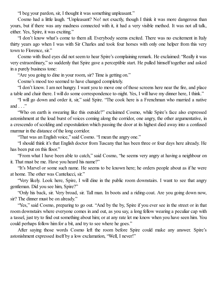"I beg your pardon, sir, I thought it was something unpleasant."

Cosmo had a little laugh. "Unpleasant? No! not exactly, though I think it was more dangerous than yours, but if there was any madness connected with it, it had a very visible method. It was not all talk, either. Yes, Spire, it was exciting."

"I don't know what's come to them all. Everybody seems excited. There was no excitement in Italy thirty years ago when I was with Sir Charles and took four horses with only one helper from this very town to Florence, sir."

Cosmo with fixed eyes did not seem to hear Spire's complaining remark. He exclaimed: "Really it was very extraordinary," so suddenly that Spire gave a perceptible start. He pulled himself together and asked in a purely business tone:

"Are you going to dine in your room, sir? Time is getting on."

Cosmo's mood too seemed to have changed completely.

"I don't know. I am not hungry. I want you to move one of those screens here near the fire, and place a table and chair there. I will do some correspondence to-night. Yes, I will have my dinner here, I think."

"I will go down and order it, sir," said Spire. "The cook here is a Frenchman who married a native and  $\ldots$ "

"Who on earth is swearing like this outside?" exclaimed Cosmo, while Spire's face also expressed astonishment at the loud burst of voices coming along the corridor, one angry, the other argumentative, in a crescendo ofscolding and expostulation which passing the door at its highest died away into a confused murmur in the distance of the long corridor.

"That was an English voice," said Cosmo. "I mean the angry one."

"I should think it's that English doctor from Tuscany that has been three or four days here already. He has been put on this floor."

"From what I have been able to catch," said Cosmo, "he seems very angry at having a neighbour on it. That must be me. Have you heard his name?"

"It's Marvel or some such name. He seems to be known here; he orders people about as if he were at home. The other was Cantelucci, sir."

"Very likely. Look here, Spire, I will dine in the public room downstairs. I want to see that angry gentleman. Did you see him, Spire?"

"Only his back, sir. Very broad, sir. Tall man. In boots and a riding-coat. Are you going down now, sir? The dinner must be on already."

"Yes," said Cosmo, preparing to go out. "And by the by, Spire if you ever see in the street or in that room downstairs where everyone comes in and out, as you say, a long fellow wearing a peculiar cap with a tassel, just try to find out something about him; or at any rate let me know when you have seen him. You could perhaps follow him for a bit, and try to see where he goes."

After saying those words Cosmo left the room before Spire could make any answer. Spire's astonishment expressed itself by a low exclamation, "Well, I never!"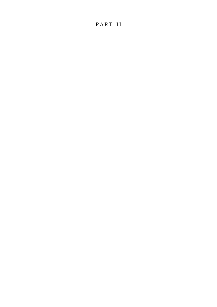## PART II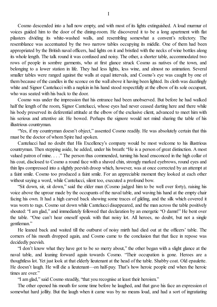Cosmo descended into a hall now empty, and with most of its lights extinguished. A loud murmur of voices guided him to the door of the dining-room. He discovered it to be a long apartment with flat pilasters dividing its white-washed walls, and resembling somewhat a convent's refectory. The resemblance was accentuated by the two narrow tables occupying its middle. One of them had been appropriated by the British naval officers, had lights on it and bristled with the necks of wine bottles along its whole length. The talk round it was confused and noisy. The other, a shorter table, accommodated two rows of people in sombre garments, who at first glance struck Cosmo as natives of the town, and belonging to a lower station in life. They had less lights, less wine, and almost no animation. Several smaller tables were ranged against the walls at equal intervals, and Cosmo's eye was caught by one of them because of the candles in the sconce on the wall above it having been lighted. Its cloth was dazzlingly white and Signor Cantelucci with a napkin in his hand stood respectfully at the elbow of its sole occupant, who was seated with his back to the door.

Cosmo was under the impression that his entrance had been unobserved. But before he had walked half the length of the room, Signor Cantelucci, whose eyes had never ceased darting here and there while his body preserved its deferential attitude at the elbow of the exclusive client, advanced to meet him with his serious and attentive air. He bowed. Perhaps the signore would not mind sharing the table of his illustrious countryman.

"Yes, if my countryman doesn't object," assented Cosmo readily. He was absolutely certain that this must be the doctor of whom Spire had spoken.

Cantelucci had no doubt that His Excellency's company would be most welcome to his illustrious countryman. Then stepping aside, he added, under his breath: "He is a person of great distinction. A most valued patron of mine. . . ." The person thus commended, turning his head ensconced in the high collar of his coat, disclosed to Cosmo a round face with a shaved chin, strongly marked eyebrows, round eyes and thin lips compressed into a slightly peevish droop which, however, was at once corrected by an attempt at a faint smile. Cosmo too produced a faint smile. For an appreciable moment they looked at each other without saying a word, while Cantelucci, silent too, executed a profound bow.

"Sit down, sir, sit down," said the elder man (Cosmo judged him to be well over forty), raising his voice above the uproar made by the occupants of the naval table, and waving his hand at the empty chair facing his own. It had a high carved back showing some traces of gilding, and the silk which covered it was worn to rags. Cosmo sat down while Cantelucci disappeared, and the man across the table positively shouted: "I am glad," and immediately followed that declaration by an energetic "O damn!" He bent over the table. "One can't hear oneself speak with that noisy lot. All heroes, no doubt, but not a single gentleman."

He leaned back and waited till the outburst of noisy mirth had died out at the officers' table. The corners of his mouth dropped again, and Cosmo came to the conclusion that that face in repose was decidedly peevish.

"I don't know what they have got to be so merry about," the other began with a slight glance at the naval table, and leaning forward again towards Cosmo. "Their occupation is gone. Heroes are a thoughtless lot. Yet just look at that elderly lieutenant at the head of the table. Shabby coat. Old epaulette. He doesn't laugh. He will die a lieutenant—on half-pay. That's how heroic people end when the heroic times are over"

"I am glad," said Cosmo steadily, "that you recognise at least their heroism."

The other opened his mouth for some time before he laughed, and that gave his face an expression of somewhat hard jollity. But the laugh when it came was by no means loud, and had a sort of ingratiating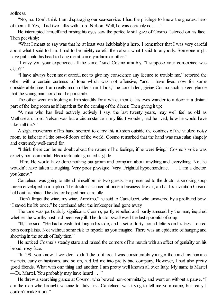softness.

"No, no. Don't think I am disparaging our sea-service. I had the privilege to know the greatest hero of them all. Yes, I had two talks with Lord Nelson. Well, he was certainly not . . ."

He interrupted himself and raising his eyes saw the perfectly still gaze of Cosmo fastened on his face. Then peevishly:

"What I meant to say was that he at least was indubitably a hero. I remember that I was very careful about what I said to him. I had to be mighty careful then about what I said to anybody. Someone might have put it into his head to hang me at some vardarm or other."

"I envy you your experience all the same," said Cosmo amiably. "I suppose your conscience was clear?"

"I have always been most careful not to give my conscience any licence to trouble me," retorted the other with a certain curtness of tone which was not offensive; "and I have lived now for some considerable time. I am really much older than I look," he concluded, giving Cosmo such a keen glance that the young man could not help a smile.

The other went on looking at him steadily for a while, then let his eyes wander to a door in a distant part of the long room as if impatient for the coming of the dinner. Then giving it up:

"A man who has lived actively, actively I say, the last twenty years, may well feel as old as Methuselah. Lord Nelson was but a circumstance in my life. I wonder, had he lived, how he would have taken all this?"

A slight movement of his hand seemed to carry this allusion outside the confines of the vaulted noisy room, to indicate all the out-of-doors of the world. Cosmo remarked that the hand was muscular, shapely and extremely well-cared for.

"I think there can be no doubt about the nature of his feelings, if he were living." Cosmo's voice was exactly non-committal. His interlocutor grunted slightly.

"H'm. He would have done nothing but groan and complain about anything and everything. No, he wouldn't have taken it laughing. Very poor physique. Very. Frightful hypochondriac. . . . I am a doctor, you know."

Cantelucci was going to attend himself on his two guests. He presented to the doctor a smoking soup tureen enveloped in a napkin. The doctor assumed at once a business-like air, and at his invitation Cosmo held out his plate. The doctor helped him carefully.

"Don't forget the wine, my wine, Anzelmo," he said to Cantelucci, who answered by a profound bow. "I saved his life once," he continued after the innkeeper had gone away.

The tone was particularly significant. Cosmo, partly repelled and partly amused by the man, inquired whether the worthy host had been very ill. The doctor swallowed the last spoonful of soup.

"Ill," he said. "He had a gash that long in his side, and a set of forty-pound fetters on his legs. I cured both complaints. Not without some risk to myself, as you imagine. There was an epidemic of hanging and shooting in the south of Italy then."

He noticed Cosmo's steady stare and raised the corners of his mouth with an effect of geniality on his broad, rosy face.

"In '99, you know. I wonder I didn't die of it too. I was considerably younger then and my humane instincts, early enthusiasms, and so on, had led me into pretty bad company. However, I had also pretty good friends. What with one thing and another, I am pretty well known all over Italy. My name is Martel —Dr. Martel. You probably may have heard . . ."

He threw a searching glance at Cosmo, who bowed non-committally, and went on without a pause. "I am the man who brought vaccine to Italy first. Cantelucci was trying to tell me your name, but really I couldn't make it out."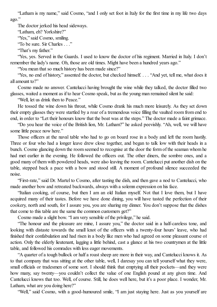"Latham is my name," said Cosmo, "and I only set foot in Italy for the first time in my life two days ago."

The doctor jerked his head sideways.

"Latham, eh? Yorkshire?"

"Yes," said Cosmo, smiling.

"To be sure. Sir Charles . . ."

"That's my father."

"Yes, yes. Served in the Guards. I used to know the doctor of his regiment. Married in Italy. I don't remember the lady's name. Oh, those are old times. Might have been a hundred years ago."

"You mean that so much history has been made since?"

"Yes, no end of history," assented the doctor, but checked himself. . . . "And yet, tell me, what does it all amount to?"

Cosmo made no answer. Cantelucci having brought the wine while they talked, the doctor filled two glasses, waited a moment as if to hear Cosmo speak, but as the young man remained silent he said:

"Well, let us drink then to Peace."

He tossed the wine down his throat, while Cosmo drank his much more leisurely. As they set down their empty glasses they were startled by a roar of a tremendous voice filling the vaulted room from end to end, in order to "Let their honours know that the boat was at the steps." The doctor made a faint grimace.

"Do you hear the voice of the British lion, Mr. Latham?" he asked peevishly. "Ah, well, we will have some little peace now here."

Those officers at the naval table who had to go on board rose in a body and left the room hastily. Three or four who had a longer leave drew close together, and began to talk low with their heads in a bunch. Cosmo glancing down the room seemed to recognise at the door the form of the seaman whom he had met earlier in the evening. He followed the officers out. The other diners, the sombre ones, and a good many of them with powdered heads, were also leaving the room. Cantelucci put another dish on the table, stepped back a pace with a bow and stood still. A moment of profound silence succeeded the noise.

"First-rate," said Dr. Martel to Cosmo, after tasting the dish, and then gave a nod to Cantelucci, who made another bow and retreated backwards, always with a solemn expression on his face.

"Italian cooking, of course, but then I am an old Italian myself. Not that I love them, but I have acquired many of their tastes. Before we have done dining, you will have tasted the perfection of their cookery, north and south, for I assure you, you are sharing my dinner. You don't suppose that the dishes that come to this table are the same the common customers get?"

Cosmo made a slight bow. "I am very sensible of the privilege," he said.

"The honour and the pleasure are mine, I assure you," the doctor said in a half-careless tone, and looking with distaste towards the small knot of the officers with a twenty-four hours' leave, who had finished their confabulation and had risen in a body like men who had agreed on some pleasant course of action. Only the elderly lieutenant, lagging a little behind, cast a glance at his two countrymen at the little table, and followed his comrades with less eager movements.

"A quarter of a tough bullock or half a roast sheep are more in their way, and Cantelucci knows it. As to that company that was sitting at the other table, well, I daresay you can tell yourself what they were, small officials or tradesmen of some sort. I should think that emptying all their pockets—and they were how many, say twenty—you couldn't collect the value of one English pound at any given time. And Cantelucci knows that too. Well, of course. Still, he does well here, but it's a poor place. I wonder, Mr. Latham, what are you doing here?"

"Well," said Cosmo, with a good-humoured smile, "I am just staying here. Just as you yourself are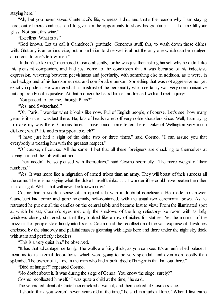staying here."

"Ah, but you never saved Cantelucci's life, whereas I did, and that's the reason why I am staying here; out of mere kindness, and to give him the opportunity to show his gratitude. . . . Let me fill your glass. Not bad, this wine."

"Excellent. What is it?"

"God knows. Let us call it Cantelucci's gratitude. Generous stuff, this, to wash down those dishes with. Gluttony is an odious vice, but an ambition to dine well is about the only one which can be indulged at no cost to one's fellow-men."

"It didn't strike me," murmured Cosmo absently, for he was just then asking himself why he didn't like this pleasant companion, and had just come to the conclusion that it was because of his indecisive expression, wavering between peevishness and jocularity, with something else in addition, as it were, in the background of his handsome, neat and comfortable person. Something that was not aggressive nor yet exactly impudent. He wondered at his mistrust of the personality which certainly was very communicative but apparently not inquisitive. At that moment he heard himself addressed with a direct inquiry:

"You passed, of course, through Paris?"

"Yes, and Switzerland."

"Oh, Paris. I wonder what it looks like now. Full of English people, of course. Let's see, how many years is it since I was last there. Ha, lots of heads rolled off very noble shoulders since. Well, I am trying to make my way there. Curious times. I have found some letters here. Duke of Wellington very much disliked; what? His nod is insupportable, eh?"

"I have just had a sight of the duke two or three times," said Cosmo. "I can assure you that everybody is treating him with the greatest respect."

"Of course, of course. All the same, I bet that all these foreigners are chuckling to themselves at having finished the job without him."

"They needn't be so pleased with themselves," said Cosmo scornfully. "The mere weight of their numbers."

"Yes. It was more like a migration of armed tribes than an army. They will boast of their success all the same. There is no saying what the duke himself thinks. . . . I wonder if he could have beaten the other in a fair fight. Well—that will never be known now."

Cosmo had a sudden sense of an epical tale with a doubtful conclusion. He made no answer. Cantelucci had come and gone solemnly, self-contained, with the usual two ceremonial bows. As he retreated he put out all the candles on the central table and became lost to view. From the illuminated spot at which he sat, Cosmo's eyes met only the shadows of the long refectory-like room with its lofty windows closely shuttered, so that they looked like a row of niches for statues. Yet the murmur of the piazza full of people stole faintly into his ear. Cosmo had the recollection of the vast expanse of flagstones enclosed by the shadowy and palatial masses gleaming with lights here and there under the night sky thick with stars and perfectly cloudless.

"This is a very quiet inn," he observed.

"It has that advantage, certainly. The walls are fairly thick, as you can see. It's an unfinished palace; I mean as to its internal decorations, which were going to be very splendid, and even more costly than splendid. The owner of it, I mean the man who had it built, died of hunger in that hall out there."

"Died of hunger?" repeated Cosmo.

"No doubt about it. It was during the siege of Genoa. You know the siege, surely?"

Cosmo recollected himself. "I was quite a child at the time," he said.

The venerated client of Cantelucci cracked a walnut, and then looked at Cosmo's face.

"I should think you weren't seven years old at the time," he said in a judicial tone. "When I first came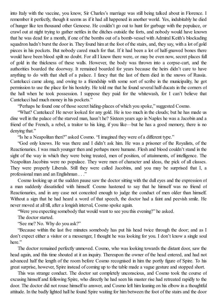into Italy with the vaccine, you know, Sir Charles's marriage was still being talked about in Florence. I remember it perfectly, though it seems as if it had all happened in another world. Yes, indubitably he died of hunger like ten thousand other Genoese. He couldn't go out to hunt for garbage with the populace, or crawl out at night trying to gather nettles in the ditches outside the forts, and nobody would have known that he was dead for a month, if one of the bombs out of a bomb-vessel with Admiral Keith's blockading squadron hadn't burst the door in. They found him at the foot of the stairs, and, they say, with a lot of gold pieces in his pockets. But nobody cared much for that. If it had been a lot of half-gnawed bones there would have been blood spilt no doubt. For all I know there were, or may be even now, secret places full of gold in the thickness of these walls. However, the body was thrown into a corpse-cart, and the authorities boarded the doorway. It remained boarded for years because the heirs didn't care to have anything to do with that shell of a palace. I fancy that the last of them died in the snows of Russia. Cantelucci came along, and owing to a friendship with some sort of scribe in the municipality, he got permission to use the place for his hostelry. He told me that he found several half-ducats in the corners of the hall when he took possession. I suppose they paid for the whitewash, for I can't believe that Cantelucci had much money in his pockets."

"Perhaps he found one of those secret hiding-places of which you spoke," suggested Cosmo.

"What? Cantelucci! He never looked for any gold. He is too much in the clouds; but he has made us dine well in the palace of the starved man, hasn't he? Sixteen years ago in Naples he was a Jacobin and a friend of the French, a rebel, a traitor to his king, if you like—but he has a good memory, there is no denying that."

"Is he a Neapolitan then?" asked Cosmo. "I imagined they were of a different type."

"God only knows. He was there and I didn't ask him. He was a prisoner of the Royalists, of the Reactionaries. I was much younger then and perhaps more humane. Flesh and blood couldn't stand in the sight of the way in which they were being treated, men of position, of attainments, of intelligence. The Neapolitan Jacobins were no populace. They were men of character and ideas, the pick of all classes. They were properly Liberals. Still they were called Jacobins, and you may be surprised that I, a professional man and an Englishman . . ."

Cosmo looking up at the sudden pause saw the doctor sitting with the dull eyes and the expression of a man suddenly dissatisfied with himself. Cosmo hastened to say that he himself was no friend of Reactionaries, and in any case not conceited enough to judge the conduct of men older than himself. Without a sign that he had heard a word of that speech, the doctor had a faint and peevish smile. He never moved at all till, after a longish interval, Cosmo spoke again.

"Were you expecting somebody that would want to see you this evening?" he asked.

The doctor started.

"See me? No. Why do you ask?"

"Because within the last five minutes somebody has put his head twice through the door; and as I don't expect either a visitor or a messenger, I thought he was looking for you. I don't know a single soul here."

The doctor remained perfectly unmoved. Cosmo, who was looking towards the distant door, saw the head again, and this time shouted at it an inquiry. Thereupon the owner of the head entered, and had not advanced half the length of the room before Cosmo recognised in him the portly figure of Spire. To his great surprise, however, Spire instead of coming up to the table made a vague gesture and stopped short.

This was strange conduct. The doctor sat completely unconscious, and Cosmo took the course of excusing himself and following Spire, who directly he had seen his master rise had retreated rapidly to the door. The doctor did not rouse himself to answer, and Cosmo left him leaning on his elbow in a thoughtful attitude. In the badly lighted hall he found Spire waiting for him between the foot of the stairs and the door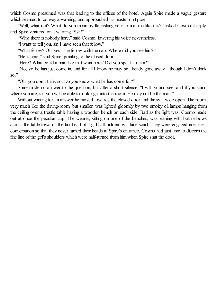which Cosmo presumed was that leading to the offices of the hotel. Again Spire made a vague gesture which seemed to convey a warning, and approached his master on tiptoe.

"Well, what is it? What do you mean by flourishing your arm at me like this?" asked Cosmo sharply, and Spire ventured on a warning "Ssh!"

"Why, there is nobody here," said Cosmo, lowering his voice nevertheless.

"I want to tell you, sir, I have seen that fellow."

"What fellow? Oh, yes. The fellow with the cap. Where did you see him?"

"He is here," said Spire, pointing to the closed door.

"Here? What could a man like that want here? Did you speak to him?"

"No, sir, he has just come in, and for all I know he may be already gone away—though I don't think so."

"Oh, you don't think so. Do you know what he has come for?"

Spire made no answer to the question, but after a short silence: "I will go and see, and if you stand where you are, sir, you will be able to look right into the room. He may not be the man."

Without waiting for an answer he moved towards the closed door and threw it wide open. The room, very much like the dining-room, but smaller, was lighted gloomily by two smoky oil lamps hanging from the ceiling over a trestle table having a wooden bench on each side. Bad as the light was, Cosmo made out at once the peculiar cap. The wearer, sitting on one of the benches, was leaning with both elbows across the table towards the fair head of a girl half-hidden by a lace scarf. They were engaged in earnest conversation so that they never turned their heads at Spire's entrance. Cosmo had just time to discern the fine line of the girl's shoulders which were half-turned from him when Spire shut the door.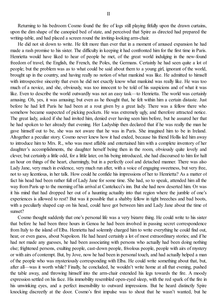Returning to his bedroom Cosmo found the fire of logs still playing fitfully upon the drawn curtains, upon the dim shape of the canopied bed of state, and perceived that Spire as directed had prepared the writing-table, and had placed a screen round the inviting-looking arm-chair.

He did not sit down to write. He felt more than ever that in a moment of amused expansion he had made a rash promise to his sister. The difficulty in keeping it had confronted him for the first time in Paris. Henrietta would have liked to hear of people he met, of the great world indulging in the new-found freedom of travel, the English, the French, the Poles, the Germans. Certainly he had seen quite a lot of people; but the problem was as to what could be said about them to a young girl, ignorant of the world, brought up in the country, and having really no notion of what mankind was like. He admitted to himself with introspective sincerity that even he did not exactly know what mankind was really like. He was too much of a novice, and she, obviously, was too innocent to be told of his suspicions and of what it was like. Even to describe the world outwardly was not an easy task—to Henrietta. The world was certainly amusing. Oh, yes, it was amusing; but even as he thought that, he felt within him a certain distaste. Just before he had left Paris he had been at a rout given by a great lady. There was a fellow there who somehow became suspected of picking pockets. He was extremely ugly, and therefore attracted notice. The great lady, asked if she had invited him, denied ever having seen him before, but he assured her that he had spoken to her already that evening. Her Ladyship then declared that if he was really the man he gave himself out to be, she was not aware that he was in Paris. She imagined him to be in Ireland. Altogether a peculiar story. Cosmo never knew how it had ended, because his friend Hollis led him away to introduce him to Mrs. R., who was most affable and entertained him with a complete inventory of her daughter's accomplishments, the daughter herself being then in the room, obviously quite lovely and clever, but certainly a little odd, for a little later, on his being introduced, she had discoursed to him for half an hour on things of the heart, charmingly, but in a perfectly cool and detached manner. There was also Lady Jane, very much in evidence, very much run after, with a voice of engaging sweetness, but very free, not to say licentious, in her talk. How could he confide his impressions of her to Henrietta? As a matter of fact his head had been rather full of Lady Jane for some time. She had, so to speak, attended him all the way from Paris up to the morning of his arrival at Cantelucci's inn. But she had now deserted him. Or was it his mind that had dropped her out of a haunting actuality into that region where the jumble of one's experiences is allowed to rest? But was it possible that a shabby fellow in tight breeches and bad boots, with a peculiarly shaped cap on his head, could have got between him and Lady Jane about the time of sunset?

Cosmo thought suddenly that one's personal life was a very bizarre thing. He could write to his sister that before he had been three hours in Genoa he had been involved in passing secret correspondence from Italy to the island of Elba. Henrietta had solemnly charged him to write everything he could find out, hear, or even guess, about Napoleon. He had heard certainly a lot of most extraordinary stories; and if he had not made any guesses, he had been associating with persons who actually had been doing nothing else; frightened persons, exulting people, cast-down people, frivolous people, people with airs of mystery or with airs of contempt. But, by Jove, now he had been in personal touch, and had actually helped a man of the people who was mysteriously corresponding with Elba. He could write something about that, but, after all—was it worth while? Finally, he concluded, he wouldn't write home at all that evening, pushed the table away, and throwing himself into the arm-chair extended his legs towards the fire. A moody expression settled on his face. His immobility resembled open-eyed sleep, with the red spark of the fire in his unwinking eyes, and a perfect insensibility to outward impressions. But he heard distinctly Spire knocking discreetly at the door. Cosmo's first impulse was to shout that he wasn't wanted, but he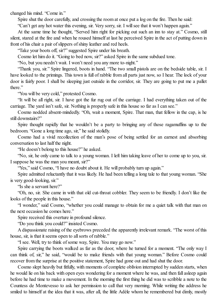changed his mind. "Come in."

Spire shut the door carefully, and crossing the room at once put a log on the fire. Then he said:

"Can't get any hot water this evening, sir. Very sorry, sir. I willsee that it won't happen again."

At the same time he thought, "Served him right for picking out such an inn to stay at." Cosmo, still silent, stared at the fire and when he roused himself at last he perceived Spire in the act of putting down in front of his chair a pair of slippers of shiny leather and red heels.

"Take your boots off, sir?" suggested Spire under his breath.

Cosmo let him do it. "Going to bed now, sir?" asked Spire in the same subdued tone.

"No, but you needn't wait. I won't need you any more to-night."

"Thank you, sir." Spire lingered, boots in hand. "The two small pistols are on the bedside table, sir. I have looked to the primings. This town is full of rabble from all parts just now, so I hear. The lock of your door is fairly poor. I shall be sleeping just outside in the corridor, sir. They are going to put me a pallet there."

"You will be very cold," protested Cosmo.

"It will be all right, sir. I have got the fur rug out of the carriage. I had everything taken out of the carriage. The yard isn't safe, sir. Nothing is properly safe in this house so far as I can see."

Cosmo nodded absent-mindedly. "Oh, wait a moment, Spire. That man, that fellow in the cap, is he still downstairs?"

Spire thought rapidly that he wouldn't be a party to bringing any of those ragamuffins up to the bedroom. "Gone a long time ago, sir," he said stolidly.

Cosmo had a vivid recollection of the man's pose of being settled for an earnest and absorbing conversation to last half the night.

"He doesn't belong to this house?" he asked.

"No, sir, he only came to talk to a young woman. I left him taking leave of her to come up to you, sir. I suppose he was the man you meant, sir?"

"Yes," said Cosmo, "I have no doubt about it. He will probably turn up again."

Spire admitted reluctantly that it was likely. He had been telling a long tale to that young woman. "She is very good-looking, sir."

"Is she a servant here?"

"Oh, no, sir. She came in with that old cut-throat cobbler. They seem to be friendly. I don't like the looks of the people in this house."

"I wonder," said Cosmo, "whether you could manage to obtain for me a quiet talk with that man on the next occasion he comes here."

Spire received this overture in profound silence.

"Do you think you could?" insisted Cosmo.

A dispassionate raising of the eyebrows preceded the apparently irrelevant remark. "The worst of this house, sir, is that it seems open to all sorts of rabble."

'I see. Well, try to think of some way, Spire. You may go now."

Spire carrying the boots walked as far as the door, where he turned for a moment. "The only way I can think of, sir," he said, "would be to make friends with that young woman." Before Cosmo could recover from the surprise at the positive statement, Spire had gone out and had shut the door.

Cosmo slept heavily but fitfully, with moments of complete oblivion interrupted by sudden starts, when he would lie on his back with open eyes wondering for a moment where he was, and then fall asleep again before he had time to make a movement. In the morning the first thing he did was to scribble a note to the Countess de Montevesso to ask her permission to call that very morning. While writing the address he smiled to himself at the idea that it was, after all, the little Adèle whom he remembered but dimly, mostly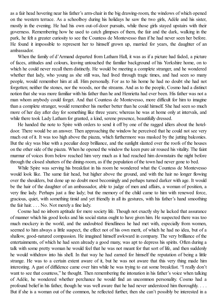as a fair head hovering near his father's arm-chair in the big drawing-room, the windows of which opened on the western terrace. As a schoolboy during his holidays he saw the two girls, Adèle and his sister, mostly in the evening. He had his own out-of-door pursuits, while those girls stayed upstairs with their governess. Remembering how he used to catch glimpses of them, the fair and the dark, walking in the park, he felt a greater curiosity to see the Countess de Montevesso than if he had never seen her before. He found it impossible to represent her to himself grown up, married for years, the daughter of an ambassador.

When the family of d'Armand departed from Latham Hall, it was as if a picture had faded, a picture of faces, attitudes and colours, leaving untouched the familiar background of his Yorkshire home, on to which he could never recall them distinctly. He would be meeting a complete stranger, and he wondered whether that lady, who young as she still was, had lived through tragic times, and had seen so many people, would remember him at all. Him personally. For as to his home he had no doubt she had not forgotten; neither the stones, nor the woods, nor the streams. And as to the people, Cosmo had a distinct notion that she was more familiar with his father than he and Henrietta had ever been. His father was not a man whom anybody could forget. And that Countess de Montevesso, more difficult for him to imagine than a complete stranger, would remember his mother better than he could himself. She had seen so much more of her day after day for something like three years; whereas he was at home only at intervals, and while there took Lady Latham for granted, a kind, serene presence, beautifully dressed.

He handed the note to Spire with orders to send it off by one of the ragged idlers about the hoteldoor. There would be an answer. Then approaching the window he perceived that he could not see very much out of it. It was too high above the piazza, which furthermore was masked by the jutting balconies. But the sky was blue with a peculiar deep brilliance, and the sunlight slanted over the roofs of the houses on the other side of the piazza. When he opened the window the keen pure air roused his vitality. The faint murmur of voices from below reached him very much as it had reached him downstairs the night before through the closed shutters of the dining-room, as if the population of the town had never gone to bed.

While Spire was serving his breakfast in his room he wondered what the Countess de Montevesso would look like. The same fair head, but higher above the ground, and with the hair no longer flowing over the shoulders, but done up no doubt most becomingly and perhaps turned darker with age. It would be the hair of the daughter of an ambassador, able to judge of men and affairs, a woman of position, a very fine lady. Perhaps just a fine lady; but the memory of the child came to him with renewed force, gracious, quiet, with something timid and yet friendly in all its gestures, with his father's hand smoothing the fair hair. . . . No. Not merely a fine lady.

Cosmo had no inborn aptitude for mere society life. Though not exactly shy he lacked that assurance of manner which his good looks and his socialstatus ought to have given him. He suspected there was too much mockery in the world, and the undoubted friendliness he had met with, especially from women, seemed to him always a little suspect, the effect not of his own merit, of which he had no idea, but of a shallow, good-natured compassion. He imagined himself awkward in company. The very brilliance of the entertainments, of which he had seen already a good many, was apt to depress his spirits. Often during a talk with some pretty woman he would feel that he was not meant for that sort of life, and then suddenly he would withdraw into his shell. In that way he had earned for himself the reputation of being a little strange. He was to a certain extent aware of it, but he was not aware that this very thing made him interesting. A gust of diffidence came over him while he was trying to eat some breakfast. "I really don't want to see that countess," he thought. Then remembering the intonation in his father's voice when talking of Adèle, he wondered whether perchance he would find an uncommon personality. Cosmo had a profound belief in his father, though he was well aware that he had never understood him thoroughly. . . . But if she is a woman out of the common, he reflected further, then she can't possibly be interested in a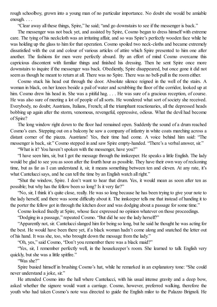rough schoolboy, grown into a young man of no particular importance. No doubt she would be amiable enough. . . .

"Clear away all these things, Spire," he said; "and go downstairs to see if the messenger is back."

The messenger was not back yet, and assisted by Spire, Cosmo began to dress himself with extreme care. The tying of his neckcloth was an irritating affair, and so was Spire's perfectly wooden face while he was holding up the glass to him for that operation. Cosmo spoiled two neck-cloths and became extremely dissatisfied with the cut and colour of various articles of attire which Spire presented to him one after another. The fashions for men were perfectly absurd. By an effort of mind Cosmo overcame this capricious discontent with familiar things and finished his dressing. Then he sent Spire once more downstairs to inquire if the messenger was back. Obediently, Spire disappeared, but once gone it did not seem as though he meant to return at all. There was no Spire. There was no bell-pull in the room either.

Cosmo stuck his head out through the door. Absolute silence reigned in the well of the stairs. A woman in black, on her knees beside a pail of water and scrubbing the floor of the corridor, looked up at him. Cosmo drew his head in. She was a pitiful hag. . . . He was sure of a gracious reception, of course. He was also sure of meeting a lot of people of all sorts. He wondered what sort of society she received. Everybody, no doubt; Austrians, Italians, French; all the triumphant reactionaries, all the depressed heads bobbing up again after the storm, venomous, revengeful, oppressive, odious. What the devil had become of Spire?

The long window right down to the floor had remained open. Suddenly the sound of a drum reached Cosmo's ears. Stepping out on a balcony he saw a company of infantry in white coats marching across a distant corner of the piazza. Austrians! Yes, their time had come. A voice behind him said: "The messenger is back, sir." Cosmo stepped in and saw Spire empty-handed. "There's a verbal answer, sir."

"What is it? You haven't spoken with the messenger, have you?"

"I have seen him, sir, but I got the message through the innkeeper. He speaks a little English. The lady would be glad to see you as soon after the fourth hour as possible. They have their own way of reckoning time, but as far as I can understand it, sir, it means something between ten and eleven. At any rate, it's what Cantelucci says, and he can tell the time by an English watch all right."

"Shut the window, Spire. I don't want to hear that drum. Yes, it would mean as soon after ten as possible; but why has the fellow been so long? Is it very far?"

"No, sir, I think it's quite close, really. He was so long because he has been trying to give your note to the lady herself, and there was some difficulty about it. The innkeeper tells me that instead of handing it to the porter the fellow got in through the kitchen door and was dodging about a passage for some time."

Cosmo looked fixedly at Spire, whose face expressed no opinion whatever on those proceedings.

"Dodging in a passage," repeated Cosmo. "But did he see the lady herself?"

"Apparently not, sir. Canteluccislanged him for being so long, but he said he thought he was acting for the best. He would have been there yet, if a black woman hadn't come along and snatched the letter out of his hand. It was she, too, who brought down the message from the lady."

"Oh, yes," said Cosmo, "Don't you remember there was a black maid?"

"Yes, sir, I remember perfectly well, in the housekeeper's room. She learned to talk English very quickly, but she was a little spitfire."

"Was she?"

Spire busied himself in brushing Cosmo's hat, while he remarked in an explanatory tone: "She could never understand a joke, sir."

He attended Cosmo into the hall where Cantelucci, with his usual intense gravity and a deep bow, asked whether the signore would want a carriage. Cosmo, however, preferred walking, therefore the youth who had taken Cosmo's note was directed to guide the English milor to the Palazzo Brignoli. He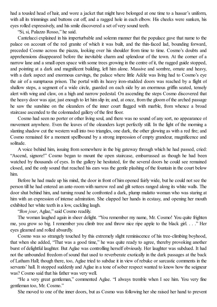had a tousled head of hair, and wore a jacket that might have belonged at one time to a hussar's uniform, with all its trimmings and buttons cut off, and a ragged hole in each elbow. His cheeks were sunken, his eyes rolled expressively, and his smile discovered a set of very sound teeth.

"Si, si, Palazzo Rosso," he said.

Cantelucci explained in his imperturbable and solemn manner that the populace gave that name to the palace on account of the red granite of which it was built, and the thin-faced lad, bounding forward, preceded Cosmo across the piazza, looking over his shoulder from time to time. Cosmo's doubts and apprehensions disappeared before the inevitable charm and splendour of the town. At the corner of a narrow lane and a small open space with some trees growing in the centre of it, the ragged guide stopped, and pointing at a dark and magnificent building, left him alone. Massive and sombre, ornate and heavy, with a dark aspect and enormous carvings, the palace where little Adèle was living had to Cosmo's eve the air of a sumptuous prison. The portal with its heavy iron-studded doors was reached by a flight of shallow steps, a segment of a wide circle, guarded on each side by an enormous griffin seated, tensely alert with wing and claw, on a high and narrow pedestal. On ascending the steps Cosmo discovered that the heavy door was ajar, just enough to let him slip in; and, at once, from the gloom of the arched passage he saw the sunshine on the oleanders of the inner court flagged with marble, from whence a broad staircase ascended to the colonnaded gallery of the first floor.

Cosmo had seen no porter or other living soul, and there was no sound of any sort, no appearance of movement anywhere. Even the leaves of the oleanders kept perfectly still. In the light of the morning a slanting shadow cut the western wall into two triangles, one dark, the other glowing as with a red fire; and Cosmo remained for a moment spellbound by a strong impression of empty grandeur, magnificence and solitude.

A voice behind him, issuing from somewhere in the big gateway through which he had passed, cried: "Ascend, signore!" Cosmo began to mount the open staircase, embarrassed as though he had been watched by thousands of eyes. In the gallery he hesitated, for the several doors he could see remained closed, and the only sound that reached his ears was the gentle plashing of the fountain in the court below him.

Before he had made up his mind, the door in front of him opened fairly wide, but he could not see the person till he had entered an ante-room with narrow red and gilt settees ranged along its white walls. The door shut behind him, and turning round he confronted a dark, plump mulatto woman who was staring at him with an expression of intense admiration. She clapped her hands in ecstasy, and opening her mouth exhibited her white teeth in a low, cackling laugh.

"*Bon jour*, Aglae," said Cosmo readily.

The woman laughed again in sheer delight. "You remember my name, Mr. Cosmo! You quite frighten me, you grow so big. I remember you climb tree and throw nice ripe apple to the black girl. . . ." Her eyes gleamed and rolled absurdly.

Cosmo was so strangely touched by this extremely slight reminiscence of his tree-climbing boyhood, that when she added, "That was a good time," he was quite ready to agree, thereby provoking another burst of delightful laughter. But Aglae was controlling herself obviously. Her laughter was subdued. It had not the unbounded freedom of sound that used to reverberate exotically in the dark passages at the back of Latham Hall; though there, too, Aglae tried to subdue it in view of rebuke or sarcastic comments in the servants' hall. It stopped suddenly and Aglae in a tone of sober respect wanted to know how the seigneur was? Cosmo said that his father was very well.

"He a very great gentleman," commented Aglae. "I always tremble when I see him. You very fine gentleman too, Mr. Cosmo."

She moved to one of the inner doors, but as Cosmo was following her she raised her hand to prevent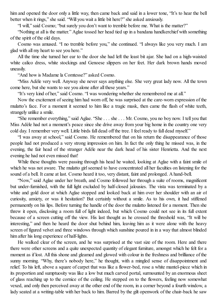him and opened the door only a little way, then came back and said in a lower tone. "It's to hear the bell better when it rings," she said. "Will you wait a little bit here?" she asked anxiously.

"I will," said Cosmo; "but surely you don't want to tremble before me. What is the matter?"

"Nothing at all is the matter." Aglae tossed her head tied up in a bandana handkerchief with something of the spirit of the old days.

Cosmo was amused. "I no tremble before you," she continued. "I always like you very much. I am glad with all my heart to see you here."

All the time she turned her ear to the door she had left the least bit ajar. She had on a high-waisted white calico dress, white stockings and Genoese slippers on her feet. Her dark brown hands moved uneasily.

"And how is Madame la Comtesse?" asked Cosmo.

"Miss Adèle very well. Anyway she never says anything else. She very great lady now. All the town come here, but she wants to see you alone after all these years."

"It's very kind of her," said Cosmo. "I was wondering whether she remembered me at all."

Now the excitement of seeing him had worn off, he was surprised at the care-worn expression of the mulatto's face. For a moment it seemed to him like a tragic mask, then came the flash of white teeth, strangely unlike a smile.

"She remember everything," said Aglae. "She . . . she . . . Mr. Cosmo, you no boy now. I tell you that Miss Adèle had not a moment's peace since she drive away from your big home in the country one very cold day. I remember very well. Little birds fall dead off the tree. I feelready to fall dead myself."

"I was away at school," said Cosmo. He remembered that on his return the disappearance of those people had not produced a very strong impression on him. In fact the only thing he missed was, in the evening, the fair head of the stranger Adèle near the dark head of his sister Henrietta. And the next evening he had not even missed that!

While these thoughts were passing through his head he waited, looking at Aglae with a faint smile of which he was not aware. The mulatto girl seemed to have concentrated all her faculties on listening for the sound of a bell. It came at last. Cosmo heard it too, very distant, faint and prolonged. A hand-bell.

"Now," said Aglae under her breath, and Cosmo followed her through a suite of rooms, magnificent but under-furnished, with the full light excluded by half-closed jalousies. The vista was terminated by a white and gold door at which Aglae stopped and looked back at him over her shoulder with an air of curiosity, anxiety, or was it hesitation? But certainly without a smile. As to his own, it had stiffened permanently on his lips. Before turning the handle of the door the mulatto listened for a moment. Then she threw it open, disclosing a room full of light indeed, but which Cosmo could not see in its full extent because of a screen cutting off the view. His last thought as he crossed the threshold was, "It will be interesting," and then he heard the door shut behind him, leaving him as it were alone with the heavy screen of figured velvet and three windows through which sunshine poured in in a way that almost blinded him after his long experience of half-lights.

He walked clear of the screen, and he was surprised at the vast size of the room. Here and there there were other screens and a quite unexpected quantity of elegant furniture, amongst which he felt for a moment as if lost. All this shone and gleamed and glowed with colour in the freshness and brilliance of the sunny morning. "Why, there's nobody here," he thought, with a mingled sense of disappointment and relief. To his left, above a square of carpet that was like a flower-bed, rose a white mantel-piece which in its proportion and sumptuosity was like a low but much carved portal, surmounted by an enormous sheet of glass reaching up to the cornice of the ceiling. He stepped on to the flowers, feeling now somewhat vexed, and only then perceived away at the other end of the room, in a corner beyond a fourth window, a lady seated at a writing-table with her back to him. Barred by the gilt openwork of the chair-back he saw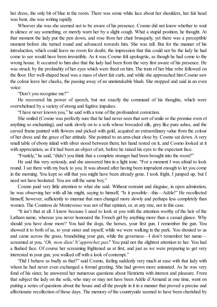her dress, the only bit of blue in the room. There was some white lace about her shoulders, her fair head was bent, she was writing rapidly.

Whoever she was she seemed not to be aware of his presence. Cosmo did not know whether to wait in silence or say something, or merely warn her by a slight cough. What a stupid position, he thought. At that moment the lady put the pen down, and rose from her chair brusquely, yet there was a perceptible moment before she turned round and advanced towards him. She was tall. But for the manner of his introduction, which could leave no room for doubt, the impression that this could not be the lady he had come to see would have been irresistible. As it was Cosmo felt apologetic, as though he had come to the wrong house. It occurred to him also that the lady had been from the very first aware of his presence. He was struck by the profundity of her eyes which were fixed on him. The train of her blue robe followed on the floor. Her well-shaped head was a mass ofshort fair curls, and while she approached him Cosmo saw the colour leave her cheeks, the passing away of an unmistakable blush. She stopped and said in an even voice:

"Don't you recognise me?"

He recovered his power of speech, but not exactly the command of his thoughts, which were overwhelmed by a variety of strong and fugitive impulses.

"I have never known you," he said with a tone of the profoundest conviction.

She smiled (Cosmo was perfectly sure that he had never seen that sort of smile or the promise even of anything so enchanting), and sank slowly on to a sofa whose brocaded silk, grey like pure ashes, and the carved frame painted with flowers and picked with gold, acquired an extraordinary value from the colour of her dress and the grace of her attitude. She pointed to an arm-chair close by. Cosmo sat down. A very small table of ebony inlaid with silver stood between them; her hand rested on it, and Cosmo looked at it with appreciation, as if it had been an object of art, before he raised his eyes to the expectant face.

"Frankly," he said, "didn't you think that a complete stranger had been brought into the room?"

He said this very seriously, and she answered him in a light tone. "For a moment I was afraid to look round. I sat there with my back to you. It was absurd after having been imprudent enough to let you come in the morning. You kept so still that you might have been already gone. I took fright, I jumped up, but I need not have hesitated. You are still the same boy."

Cosmo paid very little attention to what she said. Without restraint and disguise, in open admiration, he was observing her with all his might, saying to himself, "Is it possible—this—Adèle!" He recollected himself, however, sufficiently to murmur that men changed more slowly and perhaps less completely than women. The Countess de Montevesso was not of that opinion, or, at any rate, not in this case.

"It isn't that at all. I know because I used to look at you with the attention worthy of the heir of the Latham name, whereas you never honoured the French girl by anything more than a casual glance. Why should you have done more? You had the dogs, the horses, your first gun. I remember the gun. You showed it to both of us, to your sister and myself, while we were walking in the park. You shouted to us and came across the grass, brandishing your gun, while the governess—I don't remember her name screamed at you, '*Oh, mon dieu! N'approchez pas!*' You paid not the slightest attention to her. You had a flushed face. Of course her screaming frightened us at first, and just as we were preparing to get very interested in your gun, you walked off with a look of contempt."

"Did I behave as badly as that?" said Cosmo, feeling suddenly very much at ease with that lady with whom he had never even exchanged a formal greeting. She had grown more animated. As he was very fond of his sister, he answered her numerous questions about Henrietta with interest and pleasure. From that subject the lady on the sofa, who may or may not have been Adèle d'Armand at one time, went on putting a series of questions about the house and all the people in it in a manner that proved a precise and affectionate recollection of those days. The memory of the countryside seemed to have been cherished by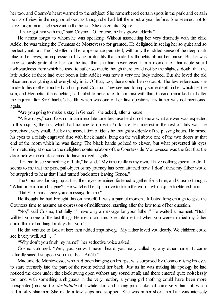her too, and Cosmo's heart warmed to the subject. She remembered certain spots in the park and certain points of view in the neighbourhood as though she had left them but a year before. She seemed not to have forgotten a single servant in the house. She asked after Spire.

"I have got him with me," said Cosmo. "Of course, he has grown elderly."

He almost forgot to whom he was speaking. Without associating her very distinctly with the child Adèle, he was taking the Countess de Montevesso for granted. He delighted in seeing her so quiet and so perfectly natural. The first effect of her appearance persisted, with only the added sense of the deep dark blue of her eyes, an impression of living profundity that made his thoughts about her pause. But he was unconsciously grateful to her for the fact that she had never given him a moment of that acute social awkwardness from which he used to suffer so much; though there could not be the slightest doubt that the little Adèle (if there had ever been a little Adèle) was now a very fine lady indeed. But she loved the old place and everything and everybody in it. Of that, too, there could be no doubt. The few references she made to his mother touched and surprised Cosmo. They seemed to imply some depth in her which he, the son, and Henrietta, the daughter, had failed to penetrate. In contrast with that, Cosmo remarked that after the inquiry after Sir Charles's health, which was one of her first questions, his father was not mentioned again.

"Are you going to make a stay in Genoa?" she asked, after a pause.

"A few days," said Cosmo, in an irresolute tone because he did not know what answer was expected to this inquiry, the first which had nothing to do with Yorkshire. His interest in the rest of Italy was, he perceived, very small. But by the association of ideas he thought suddenly of the passing hours. He raised his eyes to a faintly engraved disc with black hands, hung on the wall above one of the two doors at that end of the room which he was facing. The black hands pointed to eleven, but what prevented his eyes from returning at once to the delighted contemplation of the Countess de Montevesso was the fact that the door below the clock seemed to have moved slightly.

"I intend to see something of Italy," he said. "My time really is my own, I have nothing special to do. It seems to me that the principal object of my journey has been attained now. I don't think my father would be surprised to hear that I had turned back after leaving Genoa."

The Countess looking up at this, their eyes remained fastened together for a time, and Cosmo thought: "What on earth am I saying?" He watched her lips move to form the words which quite frightened him:

"Did Sir Charles give you a message for me?"

He thought he had brought this on himself. It was a painful moment. It lasted long enough to give the Countess time to assume an expression of indifference, startling after the low tone of her question.

"No," said Cosmo, truthfully. "I have only a message for your father." He waited a moment. "But I will tell you one of the last things Henrietta told me. She told me that when you were married my father could think of nothing for days but you."

He did venture to look at her; then added impulsively, "My father loved you dearly. We children could see it very well, Ad . . ."

"Why don't you finish my name?" her seductive voice asked.

Cosmo coloured. "Well, you know, I never heard you really called by any other name. It came naturally since I suppose you must be—Adèle."

Madame de Montevesso, who had been hanging on his lips, was surprised by Cosmo raising his eyes to stare intensely into the part of the room behind her back. Just as he was making his apology he had noticed the door under the clock swing open without any sound at all; and there entered quite noiselessly too, and with something ambiguous in the very motion, a young girl (nothing could have been more unexpected) in a sort of *déshabillé* of a white skirt and a long pink jacket of some very thin stuff which had a silky shimmer. She made a few steps and stopped. She was rather short, her hair was intensely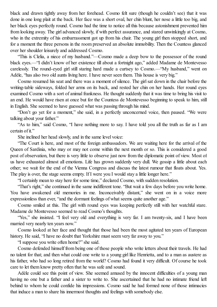black and drawn tightly away from her forehead. Cosmo felt sure (though he couldn't see) that it was done in one long plait at the back. Her face was a short oval, her chin blunt, her nose a little too big, and her black eyes perfectly round. Cosmo had the time to notice all this because astonishment prevented him from looking away. The girl advanced slowly, if with perfect assurance, and stared unwinkingly at Cosmo, who in the extremity of his embarrassment got up from his chair. The young girl then stopped short, and for a moment the three persons in the room preserved an absolute immobility. Then the Countess glanced over her shoulder leisurely and addressed Cosmo.

"This is Clelia, a niece of my husband."—Cosmo made a deep bow to the possessor of the round black eyes.—"I didn't know of her existence till about a fortnight ago," added Madame de Montevesso carelessly. The round-eyed girl still staring hard made a curtsey to Cosmo.—"My husband," went on Adèle, "has also two old aunts living here. I have never seen them. This house is very big."

Cosmo resumed his seat and there was a moment ofsilence. The girlsat down in the chair before the writing-table sideways, folded her arms on its back, and rested her chin on her hands. Her round eyes examined Cosmo with a sort of animal frankness. He thought suddenly that it was time to bring his visit to an end. He would have risen at once but for the Countess de Montevesso beginning to speak to him, still in English. She seemed to have guessed what was passing through his mind.

"Don't go yet for a moment," she said, in a perfectly unconcerned voice, then paused. "We were talking about your father."

"As to him," said Cosmo, "I have nothing more to say. I have told you all the truth as far as I am certain of it."

She inclined her head slowly, and in the same level voice:

"The Court is here, and most of the foreign ambassadors. We are waiting here for the arrival of the Queen of Sardinia, who may or may not come within the next month or so. This is considered a good post of observation, but there is very little to observe just now from the diplomatic point of view. Most of us have exhausted almost all emotions. Life has grown suddenly very dull. We gossip a little about each other; we wait for the end of the Vienna Congress and discuss the latest rumour that floats about. Yes. The play is over, the stage seems empty. If I were you I would stay a little longer here."

"I certainly mean to stay here for some time," declared Cosmo, with sudden resolution.

"That's right," she continued in the same indifferent tone. "But wait a few days before you write home. You have awakened old memories in me. Inconceivably distant," she went on in a voice more expressionless than ever, "and the dormant feelings of what seems quite another age."

Cosmo smiled at this. The girl with round eyes was keeping perfectly still with her watchful stare. Madame de Montevesso seemed to read Cosmo's thoughts.

"Yes," she insisted. "I feel very old and everything is very far. I am twenty-six, and I have been married very nearly ten years now."

Cosmo looked at her face and thought that those had been the most agitated ten years of European history. He said, "I have no doubt that Yorkshire must seem very far away to you."

"I suppose you write often home?" she said.

Cosmo defended himself from being one of those people who write letters about their travels. He had no talent for that; and then what could one write to a young girl like Henrietta, and to a man as austere as his father, who had so long retired from the world? Cosmo had found it very difficult. Of course he took care to let them know pretty often that he was safe and sound.

Adèle could see this point of view. She seemed amused by the innocent difficulties of a young man having no one but a father and a sister to write to. She ascertained that he had no intimate friend left behind to whom he could confide his impressions. Cosmo said he had formed none of those intimacies that induce a man to share his innermost thoughts and feelings with somebody else.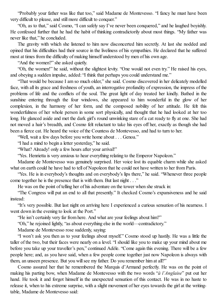"Probably your father was like that too," said Madame de Montevesso. "I fancy he must have been very difficult to please, and still more difficult to conquer."

"Oh, as to that," said Cosmo, "I can safely say I've never been conquered," and he laughed boyishly. He confessed further that he had the habit of thinking contradictorily about most things. "My father was never like that," he concluded.

The gravity with which she listened to him now disconcerted him secretly. At last she nodded and opined that his difficulties had their source in the liveliness of his sympathies. He declared that he suffered most at times from the difficulty of making himself understood by men of his own age.

"And the women?" she asked quietly.

"Oh, the women!" he said, without the slightest levity. "One would not even try." He raised his eyes, and obeying a sudden impulse, added: "I think that perhaps you could understand me."

"That would be because I am so much older," she said. Cosmo discovered in her delicately modelled face, with all its grace and freshness of youth, an interrogative profundity of expression, the impress of the problems of life and the conflicts of the soul. The great light of day treated her kindly. Bathed in the sunshine entering through the four windows, she appeared to him wonderful in the glow of her complexion, in the harmony of her form, and the composed nobility of her attitude. He felt this wonderfulness of her whole person in some sort physically, and thought that he had looked at her too long. He glanced aside and met the dark girl's round unwinking stare of a cat ready to fly at one. She had not moved a hair's breadth, and Cosmo felt reluctant to take his eyes off her, exactly as though she had been a fierce cat. He heard the voice of the Countess de Montevesso, and had to turn to her.

"Well, wait a few days before you write home about . . . Genoa."

"I had a mind to begin a letter yesterday," he said.

"What? Already! only a few hours after your arrival!"

"Yes. Henrietta is very anxious to hear everything relating to the Emperor Napoleon."

Madame de Montevesso was genuinely surprised. Her voice lost its equable charm while she asked what on earth could he have had to tell of Napoleon that he could not have written to her from Paris.

"Yes. He is in everybody's thoughts and on everybody's lips there," he said. "Whenever three people come together he is the presence that is with them. But last night . . ."

He was on the point of telling her of his adventure on the tower when she struck in:

"The Congress will put an end to all that presently." It checked Cosmo's expansiveness and he said instead:

"It's very possible. But last night on arriving here I experienced a curious sensation of his nearness. I went down in the evening to look at the Port."

"He isn't certainly very far from here. And what are your feelings about him?"

"Oh," he rejoined lightly, "as about everything else in the world—contradictory."

Madame de Montevesso rose suddenly, saying:

"I won't ask you then as to your feelings about myself." Cosmo stood up hastily. He was a little the taller of the two, but their faces were nearly on a level. "I should like you to make up your mind about me before you take up your traveller's pen," continued Adèle. "Come again this evening. There will be a few people here; and, as you have said, when a few people come together just now Napoleon is always with them, an unseen presence. But you will see my father. Do you remember him at all?"

Cosmo assured her that he remembered the Marquis d'Armand perfectly. He was on the point of making his parting bow, when Madame de Montevesso with the two words "*à l'Anglaise*" put out her hand. He took it and forgot himself in the unexpected sensation of this contact. He was in no haste to release it, when to his extreme surprise, with a slight movement of her eyes towards the girl at the writingtable, Madame de Montevesso said: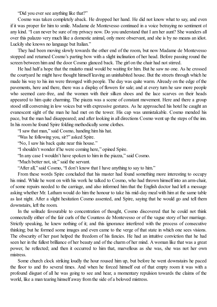"Did you ever see anything like that?"

Cosmo was taken completely aback. He dropped her hand. He did not know what to say, and even if it was proper for him to smile. Madame de Montevesso continued in a voice betraying no sentiment of any kind. "I can never be sure of my privacy now. Do you understand that I am her aunt? She wanders all over this palazzo very much like a domestic animal, only more observant, and she is by no means an idiot. Luckily she knows no language but Italian."

They had been moving slowly towards the other end of the room, but now Madame de Montevesso stopped and returned Cosmo's parting bow with a slight inclination of her head. Before passing round the screen between him and the door Cosmo glanced back. The girl on the chair had not stirred.

He had half a hope that the mulatto maid would be waiting for him. But he saw no one. As he crossed the courtyard he might have thought himself leaving an uninhabited house. But the streets through which he made his way to his inn were thronged with people. The day was quite warm. Already on the edge of the pavements, here and there, there was a display of flowers for sale; and at every turn he saw more people who seemed care-free, and the women with their silken shoes and the lace scarves on their heads appeared to him quite charming. The piazza was a scene of constant movement. Here and there a group stood still conversing in low voices but with expressive gestures. As he approached his hotel he caught an evanescent sight of the man he had met on the tower. His cap was unmistakable. Cosmo mended his pace, but the man had disappeared; and after looking in all directions Cosmo went up the steps of the inn. In his room he found Spire folding methodically some clothes.

"I saw that man," said Cosmo, handing him his hat.

"Was he following you, sir?" asked Spire.

"No, I saw his back quite near this house."

"I shouldn't wonder if he were coming here," opined Spire.

"In any case I wouldn't have spoken to him in the piazza," said Cosmo.

"Much better not, sir," said the servant.

"After all," said Cosmo, "I don't know that I have anything to say to him."

From these words Spire concluded that his master had found something more interesting to occupy his mind. While he went on with his work he talked to Cosmo, who had thrown himself into an arm-chair, of some repairs needed to the carriage, and also informed him that the English doctor had left a message asking whether Mr. Latham would do him the honour to take his mid-day meal with him at the same table as last night. After a slight hesitation Cosmo assented, and Spire, saying that he would go and tell them downstairs, left the room.

In the solitude favourable to concentration of thought, Cosmo discovered that he could not think connectedly either of the fair curls of the Countess de Montevesso or of the vague story of her marriage. Strictly speaking, he knew nothing of it; and this ignorance interfered with the process of consecutive thinking; but he formed some images and even came to the verge of that state in which one sees visions. The obscurity of her past helped the freedom of his fancies. He had an intuitive conviction that he had seen her in the fullest brilliance of her beauty and of the charm of her mind. A woman like that was a great power, he reflected; and then it occurred to him that, marvellous as she was, she was not her own mistress.

Some church clock striking loudly the hour roused him up, but before he went downstairs he paced the floor to and fro several times. And when he forced himself out of that empty room it was with a profound disgust of all he was going to see and hear, a momentary repulsion towards the claims of the world, like a man tearing himself away from the side of a beloved mistress.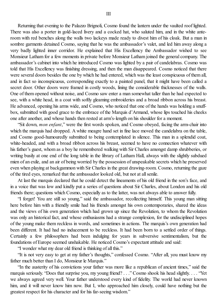Returning that evening to the Palazzo Brignoli, Cosmo found the lantern under the vaulted roof lighted. There was also a porter in gold-laced livery and a cocked hat, who saluted him, and in the white anteroom with red benches along the walls two lackeys made ready to divest him of his cloak. But a man in sombre garments detained Cosmo, saying that he was the ambassador's valet, and led him away along a very badly lighted inner corridor. He explained that His Excellency the Ambassador wished to see Monsieur Latham for a few moments in private before Monsieur Latham joined the general company. The ambassador's cabinet into which he introduced Cosmo was lighted by a pair of candelabras. Cosmo was told that His Excellency was finishing dressing, and then the man disappeared. Cosmo noticed that there were several doors besides the one by which he had entered, which was the least conspicuous of them all, and in fact so inconspicuous, corresponding exactly to a painted panel, that it might have been called a secret door. Other doors were framed in costly woods, lining the considerable thicknesses of the walls. One of them opened without noise, and Cosmo saw enter a man somewhat taller than he had expected to see, with a white head, in a coat with softly gleaming embroideries and a broad ribbon across his breast. He advanced, opening his arms wide, and Cosmo, who noticed that one of the hands was holding a snuffbox, submitted with good grace to the embrace of the Marquis d'Armand, whose lips touched his cheeks one after another, and whose hands then rested at arm's-length on his shoulder for a moment.

"Sit down, *mon enfant*," were the first words spoken, and Cosmo obeyed, facing the arm-chair into which the marquis had dropped. A white meagre hand set in fine lace moved the candelabra on the table, and Cosmo good-humouredly submitted to being contemplated in silence. This man in a splendid coat, white-headed, and with a broad ribbon across his breast, seemed to have no connection whatever with his father's guest, whom as a boy he remembered walking with Sir Charles amongst damp shrubberies, or writing busily at one end of the long table in the library of Latham Hall, always with the slightly subdued mien of an exile, and an air of being worried by the possession of unspeakable secrets which he preserved even when playing at backgammon with Sir Charles in the great drawing-room. Cosmo, returning the gaze of the tired eyes, remarked that the ambassador looked old, but not at allsenile.

At last the marquis declared that he could detect the lineaments of his old friend in the son's face, and in a voice that was low and kindly put a series of questions about Sir Charles, about London and his old friends there; questions which Cosmo, especially as to the latter, was not always able to answer fully.

"I forget! You are still so young," said the ambassador, recollecting himself. This young man sitting here before him with a friendly smile had his friends amongst his own contemporaries, shared the ideas and the views of his own generation which had grown up since the Revolution, to whom the Revolution was only an historical fact, and whose enthusiasms had a strange complexion, for the undisciplined hopes of the young make them reckless in words, and sometimes in actions. The marquis's own generation had been different. It had had no inducement to be reckless. It had been born to a settled order of things. Certainly a few philosophers had been indulging for years in subversive sentimentalism, but the foundations of Europe seemed unshakable. He noticed Cosmo's expectant attitude and said:

"I wonder what my dear old friend is thinking of all this."

"It is not very easy to get at my father's thoughts," confessed Cosmo. "After all, you must know my father much better than I do, Monsieur le Marquis."

"In the austerity of his convictions your father was more like a republican of ancient times," said the marquis seriously. "Does that surprise you, my young friend? . . ." Cosmo shook his head slightly. . . . "Yet we always agreed very well. Your father understood every kind of fidelity. The world had never known him, and it will never know him now. But I, who approached him closely, could have nothing but the greatest respect for his character and for his far-seeing wisdom."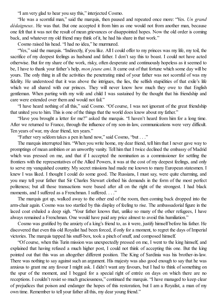"I am very glad to hear you say this," interjected Cosmo.

"He was a scornful man," said the marquis, then paused and repeated once more: "Yes. *Un grand dédaigneux*. He was that. But one accepted it from him as one would not from another man, because one felt that it was not the result of mean grievances or disappointed hopes. Now the old order is coming back, and whatever my old friend may think of it, he had his share in that work."

Cosmo raised his head. "I had no idea," he murmured.

"Yes," said the marquis. "Indirectly, if you like. All I could offer to my princes was my life, my toil, the sacrifice of my deepest feelings as husband and father. I don't say this to boast. I could not have acted otherwise. But for my share of the work, risky, often desperate and continuously hopeless as it seemed to be, I have to thank your father's help, *mon jeune ami*. It came out of that fortune which some day will be yours. The only thing in all the activities the penetrating mind of your father was not scornful of was my fidelity. He understood that it was above the intrigues, the lies, the selfish stupidities of that exile's life which we all shared with our princes. They will never know how much they owe to that English gentleman. When parting with my wife and child I was sustained by the thought that his friendship and care were extended over them and would not fail."

"I have heard nothing of all this," said Cosmo. "Of course, I was not ignorant of the great friendship that united you to him. This is one of the things that the world does know about my father."

"Have you brought a letter for me?" asked the marquis. "I haven't heard from him for a long time. After we returned to France, through the influence of my son-in-law, communications were very difficult. Ten years of war, my dear friend, ten years."

"Father very seldom takes a pen in hand now," said Cosmo, "but . . ."

The marquis interrupted him. "When you write home, my dear friend, tell him that I never gave way to promptings of mean ambition or an unworthy vanity. Tell him that I twice declined the embassy of Madrid which was pressed on me, and that if I accepted the nomination as a commissioner for settling the frontiers with the representatives of the Allied Powers, it was at the cost of my deepest feelings, and only to serve my vanquished country. My secret missions had made me known to many European statesmen. I knew I was liked. I thought I could do some good. The Russians, I must say, were quite charming, and you may tell your father that Sir Charles Stewart clothed his demands in the form of the most perfect politeness; but all those transactions were based after all on the right of the strongest. I had black moments, and I suffered as a Frenchman. I suffered. . . ."

The marquis got up, walked away to the other end of the room, then coming back dropped into the arm-chair again. Cosmo was too startled by this display of feeling to rise. The ambassadorial figure in the laced coat exhaled a deep sigh. "Your father knows that, unlike so many of the other refugees, I have always remained a Frenchman. One would have paid any price almost to avoid this humiliation."

Cosmo was gratified by the anxiety of a king's friend to, as it were, justify himself before his father. He discovered that even this old Royalist had been forced, if only for a moment, to regret the days of Imperial victories. The marquis tapped his snuff-box, took a pinch of snuff, and composed himself.

"Of course, when this Turin mission was unexpectedly pressed on me, I went to the king himself, and explained that having refused a much higher post, I could not think of accepting this one. But the king pointed out that this was an altogether different position. The King of Sardinia was his brother-in-law. There was nothing to say against such an argument. His majesty was also good enough to say that he was anxious to grant me any favour I might ask. I didn't want any favours, but I had to think of something on the spur of the moment, and I begged for a special right of entrée on days on which there are no receptions. I couldn't resist so much graciousness," continued the marquis. "I have managed to keep clear of prejudices that poison and endanger the hopes of this restoration, but I am a Royalist, a man of my own time. Remember to tell your father all this, my dear young friend."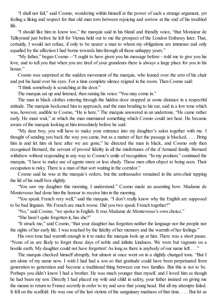"I shall not fail," said Cosmo, wondering within himself at the power of such a strange argument, yet feeling a liking and respect for that old man torn between rejoicing and sorrow at the end of his troubled life.

"I should like him to know too," the marquis said in his bland and friendly voice, "that Monsieur de Talleyrand just before he left for Vienna held out to me the prospect of the London Embassy later. That, certainly, I would not refuse, if only to be nearer a man to whom my obligations are immense and only equalled by the affection I had borne towards him through all those unhappy years."

"My father," began Cosmo—"I ought to have given you his message before—told me to give you his love, and to tell you that when you are tired of your grandeurs there is always a large place for you in his house."

Cosmo was surprised at the sudden movement of the marquis, who leaned over the arm of his chair and put his hand over his eyes. For a time complete silence reigned in the room. Then Cosmo said:

"I think somebody is scratching at the door."

The marquis sat up and listened, then raising his voice: "You may come in."

The man in black clothes entering through the hidden door stopped at some distance in a respectful attitude. The marquis beckoned him to approach, and the man bending to his ear, said in a low tone which was, however, audible to Cosmo, "He is here." The marquis answered in an undertone, "He came rather early. He must wait," at which the man murmured something which Cosmo could not hear. He became aware of the marquis looking at him irresolutely before he said:

"My dear boy, you will have to make your entrance into my daughter's salon together with me. I thought of sending you back the way you came, but as a matter of fact the passage is blocked. . . . Bring him in and let him sit here after we are gone," he directed the man in black, and Cosmo only then recognised Bernard, the servant of proved fidelity in all the misfortunes of the d'Armand family. Bernard withdrew without responding in any way to Cosmo's smile of recognition. "In my position," continued the marquis, "I have to make use of agents more or less shady. Those men often object to being seen. Their occupation is risky. There is a man of that sort waiting in the corridor."

Cosmo said he was at the marquis's orders, but the ambassador remained in the arm-chair tapping the lid of his snuff-box slightly.

"You saw my daughter this morning, I understand." Cosmo made an assenting bow. Madame de Montevesso had done him the honour to receive him in the morning.

"You speak French very well," said the marquis. "I don't really know why the English are supposed to be bad linguists. We French are much worse. Did you two speak French together?"

"No," said Cosmo, "we spoke in English. It was Madame de Montevesso's own choice."

"She hasn't quite forgotten it, has she?"

"It struck me," said Cosmo, "that your daughter has forgotten neither the language nor the people nor the sights of her early life. I was touched by the fidelity of her memory and the warmth of her feelings."

His own tone had warmth enough in it to make the marquis look up at him. There was a short pause. "None of us are likely to forget those days of noble and infinite kindness. We were but vagrants on a hostile earth. My daughter could not have forgotten! As long as there is anybody of our name left . . ."

The marquis checked himself abruptly, but almost at once went on in a slightly changed tone. "But I am alone of my name now. I wish I had had a son so that gratitude could have been perpetuated from generation to generation and become a traditional thing between our two families. But this is not to be. Perhaps you didn't know I had a brother. He was much younger than myself, and I loved him as though he had been my son. Directly I had placed my wife and child in safety, your father insisted on giving me the means to return to France secretly in order to try and save that young head. But all my attempts failed. It fell on the scaffold. He was one of the last victims of the sanguinary madness of that time. . . . But let us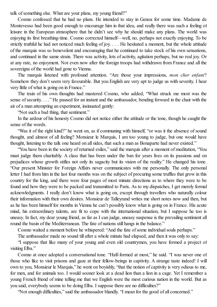talk of something else. What are your plans, my young friend?"

Cosmo confessed that he had no plans. He intended to stay in Genoa for some time. Madame de Montevesso had been good enough to encourage him in that idea, and really there was such a feeling of leisure in the European atmosphere that he didn't see why he should make any plans. The world was enjoying its first breathing-time. Cosmo corrected himself—well, no, perhaps not exactly enjoying. To be strictly truthful he had not noticed much feeling of joy. . . . He hesitated a moment, but the whole attitude of the marquis was so benevolent and encouraging that he continued to take stock of his own sensations, and continued in the same strain. There was activity, lots of activity, agitation perhaps, but no real joy. Or at any rate, no enjoyment. Not even now after the foreign troops had withdrawn from France and all the sovereigns of the world had gone to Vienna.

The marquis listened with profound attention. "Are those your impressions, *mon cher enfant*? Somehow they don't seem very favourable. But you English are very apt to judge us with severity. I hear very little of what is going on in France."

The train of his own thoughts had mastered Cosmo, who added, "What struck me most was the sense of security. . . . " He paused for an instant and the ambassador, bending forward in the chair with the air of a man attempting an experiment, insinuated gently:

"Not such a bad thing, that sentiment."

In the ardour of his honesty Cosmo did not notice either the attitude or the tone, though he caught the sense of the words.

"Was it of the right kind?" he went on, as if communing with himself, "or was it the absence of sound thought, and almost of all feeling? Monsieur le Marquis, I am too young to judge, but one would have thought, listening to the talk one heard on allsides, that such a man as Bonaparte had never existed."

"You have been in the society of returned exiles," said the marquis after a moment of meditation, "You must judge them charitably. A class that has been under the ban for years lives on its passions and on prejudices whose growth stifles not only its sagacity but its vision of the reality." He changed his tone. "Our present Minister for Foreign Affairs never communicates with me personally. The only personal letter I had from him in the last four months was on the subject of procuring some truffles that grow in this country for the king, and there were four pages of most minute directions as to where they were to be found and how they were to be packed and transmitted to Paris. As to my dispatches, I get merely formal acknowledgments. I really don't know what is going on, except through travellers who naturally colour their information with their own desires. Monsieur de Talleyrand writes me short notes now and then, but as he has been himself for months in Vienna he can't possibly know what is going on in France. His acute mind, his extraordinary talents, are fit to cope with the international situation, but I suppose he too is uneasy. In fact, my dear young friend, as far as I can judge, uneasy suspense is the prevailing sentiment all round the basin of the Mediterranean. The fate of nations still hangs in the balance."

Cosmo waited a moment before he whispered: "And the fate ofsome individualsouls perhaps."

The ambassador made no sound till after a whole minute had elapsed, and then it was only to say:

"I suppose that like many of your young and even old countrymen, you have formed a project of visiting Elba."

Cosmo at once adopted a conversational tone. "Half-formed at most," he said. "I was never one of those who like to visit prisons and gaze at their fellow-beings in captivity. A strange taste indeed! I will own to you, Monsieur le Marquis," he went on boyishly, "that the notion of captivity is very odious to me, for men, and for animals too. I would sooner look at a dead lion than a lion in a cage. Yet I remember a young French friend of mine telling me that we English were the most curious nation in the world. But as you said, everybody seems to be doing Elba. I suppose there are no difficulties?"

"Not enough difficulties," said the ambassador blandly. "I mean for the good of all concerned."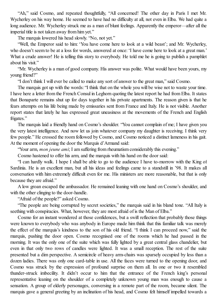"Ah," said Cosmo, and repeated thoughtfully, "All concerned! The other day in Paris I met Mr. Wycherley on his way home. He seemed to have had no difficulty at all, not even in Elba. We had quite a long audience. Mr. Wycherley struck me as a man of blunt feelings. Apparently the emperor—after all the imperial title is not taken away from him yet."

The marquis lowered his head slowly. "No, not yet."

"Well, the Emperor said to him: 'You have come here to look at a wild beast'; and Mr. Wycherley, who doesn't seem to be at a loss for words, answered at once: 'I have come here to look at a great man.' What a crude answer! He is telling this story to everybody. He told me he is going to publish a pamphlet about his visit."

"Mr. Wycherley is a man of good company. His answer was polite. What would have been yours, my young friend?"

"I don't think I will ever be called to make any sort of answer to the great man," said Cosmo.

The marquis got up with the words: "I think that on the whole you will be wise not to waste your time. I have here a letter from the French Consul in Leghorn quoting the latest report he had from Elba. It states that Bonaparte remains shut up for days together in his private apartments. The reason given is that he fears attempts on his life being made by emissaries sent from France and Italy. He is not visible. Another report states that lately he has expressed great uneasiness at the movements of the French and English frigates."

The marquis laid a friendly hand on Cosmo's shoulder. "You cannot complain of me; I have given you the very latest intelligence. And now let us join whatever company my daughter is receiving. I think very few people." He crossed the room followed by Cosmo, and Cosmo noticed a distinct lameness in his gait. At the moment of opening the door the Marquis d'Armand said:

"Your arm, *mon jeune ami*; I am suffering from rheumatism considerably this evening."

Cosmo hastened to offer his arm, and the marquis with his hand on the door said:

"I can hardly walk. I hope I shall be able to go to the audience I have to-morrow with the King of Sardinia. He is an excellent man, but all his ideas and feelings came to a standstill in '98. It makes all conversation with him extremely difficult even for me. His ministers are more reasonable, but that is only because they are afraid."

A low groan escaped the ambassador. He remained leaning with one hand on Cosmo's shoulder, and with the other clinging to the door-handle.

"Afraid of the people?" asked Cosmo.

"The people are being corrupted by secret societies," the marquis said in his bland tone. "All Italy is seething with conspiracies. What, however, they are most afraid of is the Man of Elba."

Cosmo for an instant wondered at those confidences, but a swift reflection that probably those things were known to everybody who was anybody in Europe made him think that this familiar talk was merely the effect of the marquis's kindness to the son of his old friend. "I think I can proceed now," said the marquis, pushing the door open. Cosmo recognised one of the rooms which he had passed in the morning. It was the only one of the suite which was fully lighted by a great central glass chandelier, but even in that only two rows of candles were lighted. It was a small reception. The rest of the suite presented but a dim perspective. A semicircle of heavy arm-chairs was sparsely occupied by less than a dozen ladies. There was only one card-table in use. All the faces were turned to the opening door, and Cosmo was struck by the expression of profound surprise on them all. In one or two it resembled thunder-struck imbecility. It didn't occur to him that the entrance of the French king's personal representative leaning on the shoulder of a completely unknown young man was enough to cause a sensation. A group of elderly personages, conversing in a remote part of the room, became silent. The marquis gave a general greeting by an inclination of his head, and Cosmo felt himself impelled towards a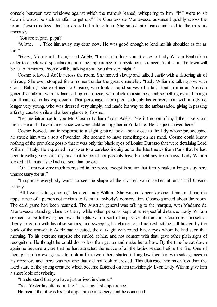console between two windows against which the marquis leaned, whispering to him, "If I were to sit down it would be such an affair to get up." The Countess de Montevesso advanced quickly across the room. Cosmo noticed that her dress had a long train. She smiled at Cosmo and said to the marquis anxiously:

"You are in pain, papa?"

"A little. . . . Take him away, my dear, now. He was good enough to lend me his shoulder as far as this."

"*Venez*, Monsieur Latham," said Adèle, "I must introduce you at once to Lady William Bentinck in order to check wild speculation about the appearance of a mysterious stranger. As it is, all the town will be full of rumours. People will be talking about you this very night."

Cosmo followed Adèle across the room. She moved slowly and talked easily with a flattering air of intimacy. She even stopped for a moment under the great chandelier. "Lady William is talking now with Count Bubna," she explained to Cosmo, who took a rapid survey of a tall, stout man in an Austrian general's uniform, with his hair tied up in a queue, with black moustaches, and something cynical though not ill-natured in his expression. That personage interrupted suddenly his conversation with a lady no longer very young, who was dressed very simply, and made his way to the ambassador, giving in passing a faintly caustic smile and a keen glance to Cosmo.

"Let me introduce to you Mr. Cosmo Latham," said Adèle. "He is the son of my father's very old friend. He and I haven't met since we were children together in Yorkshire. He has just arrived here."

Cosmo bowed, and in response to a slight gesture took a seat close to the lady whose preoccupied air struck him with a sort of wonder. She seemed to have something on her mind. Cosmo could know nothing of the prevalent gossip that it was only the black eyes of Louise Durazzo that were detaining Lord William in Italy. He explained in answer to a careless inquiry as to the latest news from Paris that he had been travelling very leisurely, and that he could not possibly have brought any fresh news. Lady William looked at him as if she had not seen him before.

"Oh, I am not very much interested in the news, except in so far that it may make a longer stay here unnecessary for us."

"I suppose everybody wants to see the shape of the civilised world settled at last," said Cosmo politely.

"All I want is to go home," declared Lady William. She was no longer looking at him, and had the appearance of a person not anxious to listen to anybody's conversation. Cosmo glanced about the room. The card game had been resumed. The Austrian general was talking to the marquis, with Madame de Montevesso standing close to them, while other persons kept at a respectful distance. Lady William seemed to be following her own thoughts with a sort of impassive abstraction. Cosmo felt himself at liberty to go on with his observations, and sweeping his glance round noticed, sitting half-hidden by the back of the arm-chair Adèle had vacated, the dark girl with round black eyes whom he had seen that morning. To his extreme surprise she smiled at him, and not content with that, gave other plain signs of recognition. He thought he could do no less than get up and make her a bow. By the time he sat down again he became aware that he had attracted the notice of all the ladies seated before the fire. One of them put up her eye-glasses to look at him, two others started talking low together, with side-glances in his direction, and there was not one that did not look interested. This disturbed him much less than the fixed stare of the young creature which became fastened on him unwinkingly. Even Lady William gave him a short look of curiosity.

"I understand that you have just arrived in Genoa."

"Yes. Yesterday afternoon late. This is my first appearance."

He meant that it was his first appearance in society, and he continued: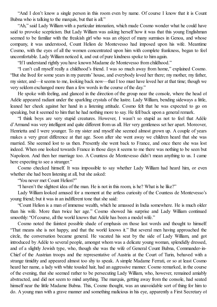"And I don't know a single person in this room even by name. Of course I know that it is Count Bubna who is talking to the marquis, but that is all."

"Ah," said Lady William with a particular intonation, which made Cosmo wonder what he could have said to provoke scepticism. But Lady William was asking herself how it was that this young Englishman seemed to be familiar with the freakish girl who was an object of many surmises in Genoa, and whose company, it was understood, Count Helion de Montevesso had imposed upon his wife. Meantime Cosmo, with the eyes of all the women concentrated upon him with complete frankness, began to feel uncomfortable. Lady William noticed it, and out of pure kindness spoke to him again.

"If I understand rightly you have known Madame de Montevesso from childhood."

"I can't call myself really a childhood's friend. I was so much away from home," explained Cosmo. "But she lived for some years in my parents' house, and everybody loved her there; my mother, my father, my sister, and—it seems to me, looking back now—that I too must have loved her at that time; though we very seldom exchanged more than a few words in the course of the day."

He spoke with feeling, and glanced in the direction of the group near the console, where the head of Adèle appeared radiant under the sparkling crystals of the lustre. Lady William, bending sideways a little, leaned her cheek against her hand in a listening attitude. Cosmo felt that he was expected to go on speaking, but it seemed to him that he had nothing more to say. He fell back upon a general remark.

"I think boys are very stupid creatures. However, I wasn't so stupid as not to feel that Adèle d'Armand was very intelligent and quite different from us all. Her very gentleness set her apart. Moreover, Henrietta and I were younger. To my sister and myself she seemed almost grown up. A couple of years makes a very great difference at that age. Soon after she went away we children heard that she was married. She seemed lost to us then. Presently she went back to France, and once there she was lost indeed. When one looked towards France in those days it seems to me there was nothing to be seen but Napoleon. And then her marriage too. A Countess de Montevesso didn't mean anything to us. I came here expecting to see a stranger."

Cosmo checked himself. It was impossible to say whether Lady William had heard him, or even whether she had been listening at all, but she asked:

"You never met Count Helion?"

"I haven't the slightest idea of the man. He is not in this room, is he? What is he like?"

Lady William looked amused for a moment at the artless curiosity of the Countess de Montevesso's young friend; but it was in an indifferent tone that she said:

"Count Helion is a man of immense wealth, which he amassed in India somewhere. He is much older than his wife. More than twice her age." Cosmo showed his surprise and Lady William continued smoothly: "Of course, all the world knows that Adèle has been a model wife."

Cosmo noted the faintest possible shade of emphasis on those last words and thought to himself: "That means she is not happy, and that the world knows it." But several men having approached the circle, the conversation became general. He vacated his seat by the side of Lady William, and got introduced by Adèle to several people, amongst whom was a delicate young woman, splendidly dressed, and of a slightly Jewish type, who, though she was the wife of General Count Bubna, Commander-in-Chief of the Austrian troops and the representative of Austria at the Court of Turin, behaved with a strange timidity and appeared almost too shy to speak. A simple Madame Ferrati, or so at least Cosmo heard her name, a lady with white tousled hair, had an aggressive manner. Cosmo remarked, in the course of the evening, that she seemed rather to be persecuting Lady William, who, however, remained amiably abstracted, and did not seem to mind anything. The marquis, getting away from the console, had seated himself near the little Madame Bubna. This, Cosmo thought, was an unavoidable sort of thing for him to do. A young man with a grave manner and something malicious in his eye, apparently a First Secretary of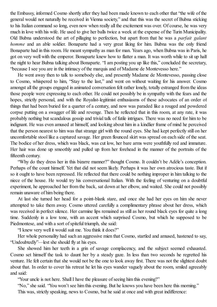the Embassy, informed Cosmo shortly after they had been made known to each other that "the wife of the general would not naturally be received in Vienna society," and that this was the secret of Bubna sticking to his Italian command so long, even now when really all the excitement was over. Of course, he was very much in love with his wife. He used to give her balls twice a week at the expense of the Turin Municipality. Old Bubna understood the art of pillaging to perfection, but apart from that he was a *parfait galant homme* and an able soldier. Bonaparte had a very great liking for him. Bubna was the only friend Bonaparte had in this room. He meant sympathy as man for man. Years ago, when Bubna was in Paris, he got on very well with the emperor. Bonaparte knew how to flatter a man. It was worth while to sit up half the night to hear Bubna talking about Bonaparte. "I am posting you up like this," concluded the secretary, "because I see you are in the intimacy of the marquis and of Madame de Montevesso here."

He went away then to talk to somebody else, and presently Madame de Montevesso, passing close to Cosmo, whispered to him, "Stay to the last," and went on without waiting for his answer. Cosmo amongst all the groups engaged in animated conversation felt rather lonely, totally estranged from the ideas those people were expressing to each other. He could not possibly be in sympathy with the fears and the hopes, strictly personal, and with the Royalist-legitimist enthusiasms of these advocates of an order of things that had been buried for a quarter of a century, and now was paraded like a rouged and powdered corpse putting on a swagger of life and revenge. Then he reflected that in this room, at any rate, it was probably nothing but scandalous gossip and trivial talk of futile intrigues. There was no need for him to be indignant. He was even amused at himself, and looking about him in a kindlier frame of mind he perceived that the person nearest to him was that strange girl with the round eyes. She had kept perfectly still on her uncomfortable stool like a captured savage. Her green flounced skirt was spread on each side of the seat. The bodice of her dress, which was black, was cut low, her bare arms were youthfully red and immature. Her hair was done up smoothly and pulled up from her forehead in the manner of the portraits of the fifteenth century.

"Why do they dress her in this bizarre manner?" thought Cosmo. It couldn't be Adèle's conception. Perhaps of the count himself. Yet that did not seem likely. Perhaps it was her own atrocious taste. But if so it ought to have been repressed. He reflected that there could be nothing improper in him talking to the niece of the house. He would try his conversational Italian. With the feeling of venturing on a doubtful experiment, he approached her from the back, sat down at her elbow, and waited. She could not possibly remain unaware of him being there.

At last she turned her head for a point-blank stare, and once she had her eyes on him she never attempted to take them away. Cosmo uttered carefully a complimentary phrase about her dress, which was received in perfect silence. Her carmine lips remained as still as her round black eyes for quite a long time. Suddenly in a low tone, with an accent which surprised Cosmo, but which he supposed to be Piedmontese, and with a sort of spiteful triumph, she said:

"I knew very well it would suit me. You think it does?"

Her whole personality had such an aggressive mien that Cosmo, startled and amused, hastened to say, "Undoubtedly"—lest she should fly at his eyes.

She showed him her teeth in a grin of savage complacency, and the subject seemed exhausted. Cosmo set himself the task to daunt her by a steady gaze. In less than two seconds he regretted his venture. He felt certain that she would not be the one to look away first. There was not the slightest doubt about that. In order to cover his retreat he let his eyes wander vaguely about the room, smiled agreeably and said:

"Your uncle is not here. Shall I have the pleasure of seeing him this evening?"

"No," she said. "You won't see him this evening. But he knows you have been here this morning."

This was, strictly speaking, news to Cosmo, but he said at once and with great indifference: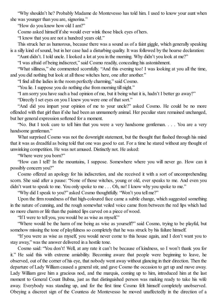"Why shouldn't he? Probably Madame de Montevesso has told him. I used to know your aunt when she was younger than you are, signorina."

"How do you know how old I am?"

Cosmo asked himself if she would ever wink those black eyes of hers.

"I know that you are not a hundred years old."

This struck her as humorous, because there was a sound as of a faint giggle, which generally speaking is a silly kind ofsound, but in her case had a disturbing quality. It was followed by the hoarse declaration:

"Aunt didn't. I told uncle. I looked a lot at you in the morning. Why didn't you look at me?"

"I was afraid of being indiscreet," said Cosmo readily, concealing his astonishment.

"What silliness," she commented scornfully. "And this evening too! I was looking at you all the time, and you did nothing but look at all those witches here, one after another."

"I find all the ladies in the room perfectly charming," said Cosmo.

"You lie. I suppose you do nothing else from morning till night."

"I am sorry you have such a bad opinion of me, but it being what it is, hadn't I better go away?"

"Directly I set eyes on you I knew you were one of that sort."

"And did you impart your opinion of me to your uncle?" asked Cosmo. He could be no more offended with that girl than if she had been an unmannerly animal. Her peculiar stare remained unchanged, but her general expression softened for a moment.

"No. But I took care to tell him that you were a very handsome gentleman. . . . You are a very handsome gentleman."

What surprised Cosmo was not the downright statement, but the thought that flashed through his mind that it was as dreadful as being told that one was good to eat. For a time he stared without any thought of unwinking competition. He was not amused. Distinctly not. He asked:

"Where were you born?"

"How can I tell? In the mountains, I suppose. Somewhere where you will never go. How can it possibly concern you?"

Cosmo offered an apology for his indiscretion, and she received it with a sort of uncomprehending scorn. She said after a pause: "None of those witches, young or old, ever speaks to me. And even you didn't want to speak to me. You only spoke to me . . . Oh, no! I know why you spoke to me."

"Why did I speak to you?" asked Cosmo thoughtfully. "Won't you tell me?"

Upon the firm roundness of that high-coloured face came a subtle change, which suggested something in the nature of cunning, and the rough somewhat veiled voice came from between the red lips which had no more charm or life than the painted lips carved on a piece of wood.

"If I were to tell you, you would be as wise as myself."

"Where would be the harm of me being as wise as yourself?" said Cosmo, trying to be playful, but somehow missing the tone of playfulness so completely that he was struck by his failure himself.

"If you were as wise as myself, you would never come to this house again, and I don't want you to stay away," was the answer delivered in a hostile tone.

Cosmo said: "You don't! Well, at any rate it can't be because of kindness, so I won't thank you for it." He said this with extreme amiability. Becoming aware that people were beginning to leave, he observed, out of the corner of his eye, that nobody went away without glancing in their direction. Then the departure of Lady William caused a generalstir, and gave Cosmo the occasion to get up and move away. Lady William gave him a gracious nod, and the marquis, coming up to him, introduced him at the last moment to General Count Bubna, just as that distinguished person was making ready to take his wife away. Everybody was standing up, and for the first time Cosmo felt himself completely unobserved. Obeying a discreet sign of the Countess de Montevesso he moved unaffectedly in the direction of a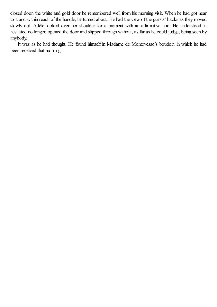closed door, the white and gold door he remembered well from his morning visit. When he had got near to it and within reach of the handle, he turned about. He had the view of the guests' backs as they moved slowly out. Adèle looked over her shoulder for a moment with an affirmative nod. He understood it, hesitated no longer, opened the door and slipped through without, as far as he could judge, being seen by anybody.

It was as he had thought. He found himself in Madame de Montevesso's boudoir, in which he had been received that morning.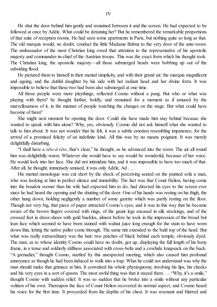He shut the door behind him gently and remained between it and the screen. He had expected to be followed at once by Adèle. What could be detaining her? But he remembered the remarkable proportions of that suite of reception rooms. He had seen some apartments in Paris, but nothing quite so long as that. The old marquis would, no doubt, conduct the little Madame Bubna to the very door of the ante-room. The ambassador of the most Christian king owed that attention to the representative of his apostolic majesty and commander-in-chief of the Austrian troops. This was the exact form which his thought took. The Christian king, the apostolic majesty—all those submerged heads were bobbing up out of the subsiding flood.

He pictured them to himself in their mental simplicity, and with their grand air; the marquis magnificent and ageing, and the dutiful daughter by his side with her radiant head and her divine form. It was impossible to believe that these two had been also submerged at one time.

All those people were mere playthings, reflected Cosmo without a pang. But who or what was playing with them? he thought further, boldly, and remained for a moment as if amused by the marvellousness of it, in the manner of people watching the changes on the stage. But what could have become of them?

She might next moment be opening the door. Could she have made him stay behind because she wanted to speak with him alone? Why, yes, obviously. Cosmo did not ask himself what she wanted to talk to him about. It was not wonder that he felt, it was a subtle emotion resembling impatience, for the arrival of a promised felicity of an indefinite kind. All this was by no means poignant. It was merely delightfully disturbing.

"I shall have a *tête-à-tête*, that's clear," he thought, as he advanced into the room. The air all round him was delightfully warm. Whatever she would have to say would be wonderful, because of her voice. He would look into her face. She did not intimidate him, and it was impossible to have too much of that. After all, he thought, immensely amused, it was only Adèle, Ad . . .

His mental monologue was cut short by the shock of perceiving seated on the painted sofa a man, who was looking at him in perfect silence and immobility. The fact was that Count Helion, having come into the boudoir sooner than his wife had expected him to do, had directed his eyes to the screen ever since he had heard the opening and the shutting of the door. One of his hands was resting on his thigh, the other hung down, holding negligently a number of some gazette which was partly resting on the floor. Though not very big, that piece of paper attracted Cosmo's eyes; and it was in this way that he became aware of the brown fingers covered with rings, of the gaunt legs encased in silk stockings, and of the crossed feet in dress-shoes with gold buckles, almost before he took in the impression of the broad but lean face which seemed to have been stained with walnut juice long enough for the stain to have worn down thin, letting the native pallor come through. The same tint extended to the bald top of the head. But what was really extraordinary was the hair: two patches of black behind each temple, obviously dyed. The man, as to whose identity Cosmo could have no doubt, got up, displaying the full length of his bony frame, in a tense and soldierly stiffness associated with cross-belts and a cowhide knapsack on the back. "A grenadier," thought Cosmo, startled by this unexpected meeting, which also caused him profound annoyance as though he had been induced to walk into a trap. What he could not understand was why the man should make that grimace at him. It convulsed his whole physiognomy, involving his lips, his cheeks and his very eyes in a sort of spasm. The most awful thing was that it stayed there. . . "Why, it's a smile," thought Cosmo with sudden relief. It was so sudden that he broke into a smile without any particular volition of his own. Thereupon the face of Count Helion recovered its normal aspect, and Cosmo heard his voice for the first time. It proceeded from the depths of his chest. It was resonant and blurred and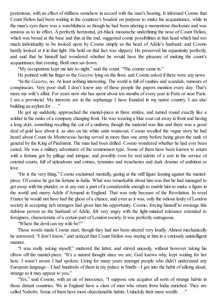portentous, with an effect of stiffness somehow in accord with the man's bearing. It informed Cosmo that Count Helion had been waiting in the countess's boudoir on purpose to make his acquaintance, while in the man's eyes there was a watchfulness as though he had been uttering a momentous disclosure and was anxious as to its effect. A perfectly horizontal, jet-black moustache underlining the nose of Count Helion, which was broad at the base and thin at the end, suggested comic possibilities in that head which had too much individuality to be looked upon by Cosmo simply as the head of Adèle's husband; and Cosmo hardly looked at it in that light. His hold on that fact was slippery. He preserved his equanimity perfectly, and said that he himself had wondered whether he would have the pleasure of making the count's acquaintance that evening. Both men sat down.

"My occupations kept me late to-night," said the count. "The courier came in."

He pointed with his finger to the *Gazette* lying on the floor, and Cosmo asked if there were any news. "In the *Gazette*, no. At least nothing interesting. The world is full of vanities and scandals, rumours of conspiracies. Very poor stuff. I don't know any of those people the papers mention every day. That's more my wife's affair. For years now she has spent about ten months of every year in Paris or near Paris. I am a provincial. My interests are in the orphanage I have founded in my native country. I am also building an asylum for . . ."

He got up suddenly, approached the mantel-piece in three strides, and turned round exactly like a soldier in the ranks of a company changing front. He was wearing a blue coat cut away in front and having a long skirt, something recalling the cut of a uniform, though the material was fine and there was a good deal of gold lace about it, as also on his white satin waistcoat. Cosmo recalled the vague story he had heard about Count de Montevesso having served in more than one army before being given the rank of general by the King of Piedmont. The man had been drilled. Cosmo wondered whether he had ever been caned. He was a military adventurer of the commonest type. Some of them have been known to return with a fortune got by pillage and intrigue, and possibly even by real talents of a sort in the service of oriental courts, full of splendours and crimes, tyrannies and treacheries and dark dramas of ambition or love.

"He is the very thing," Cosmo exclaimed mentally, gazing at the stiff figure leaning against the mantelpiece. Of course he got his fortune in India. What was remarkable about him was that he had managed to get away with his plunder, or at any rate a part of it considerable enough to enable him to make a figure in the world and marry Adèle d'Armand in England. That was only because of the Revolution. In royal France he would not have had the ghost of a chance; and even as it was, only the odious laxity of London society in accepting rich strangers had given him his opportunity. Cosmo, forcing himself to envisage this dubious person as the husband of Adèle, felt very angry with the light-minded tolerance extended to foreigners, characteristic of a certain part of London society. It was perfectly outrageous.

"Where the devil can my wife be?"

Those words made Cosmo start, though they had not been uttered very loudly. Almost mechanically he answered: "I don't know," and noticed that Count Helion was staring at him in a curiously unintelligent manner.

"I was really asking myself," muttered the latter, and stirred uneasily, without however taking his elbow off the mantel-piece. "It's a natural thought since we are, God knows why, kept waiting for her here. I wasn't aware I had spoken. Living for many years amongst people who didn't understand any European language—I had hundreds of them in my palace in Sindh—I got into the habit of talking aloud, strange as it may appear to you."

"Yes," said Cosmo, with an air of innocence, "I suppose one acquires all sorts of strange habits in those distant countries. We in England have a class of men who return from India enriched. They are called Nabobs. Some of them have most objectionable habits. Unluckily their mere wealth . . ."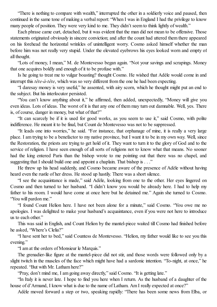"There is nothing to compare with wealth," interrupted the other in a soldierly voice and paused, then continued in the same tone of making a verbal report: "When I was in England I had the privilege to know many people of position. They were very kind to me. They didn't seem to think lightly of wealth."

Each phrase came curt, detached, but it was evident that the man did not mean to be offensive. Those statements originated obviously in sincere conviction; and after the count had uttered them there appeared on his forehead the horizontal wrinkles of unintelligent worry. Cosmo asked himself whether the man before him was not really very stupid. Under the elevated eyebrows his eyes looked worn and empty of all thought.

"Lots of money, I mean," M. de Montevesso began again. "Not your savings and scrapings. Money that one acquires boldly and enough of it to be profuse with."

Is he going to treat me to vulgar boasting? thought Cosmo. He wished that Adèle would come in and interrupt this *tête-à-tête*, which was so very different from the one he had been expecting.

"I daresay money is very useful," he assented, with airy scorn, which he thought might put an end to the subject. But his interlocutor persisted.

"You can't know anything about it," he affirmed, then added, unexpectedly, "Money will give you even ideas. Lots of ideas. The worst of it is that any one of them may turn out damnable. Well, yes. There is, of course, danger in money, but what of that?"

"It can scarcely be if it is used for good works, as you seem to use it," said Cosmo, with polite indifference. He meant it to be final, but Count de Montevesso was not to be suppressed.

"It leads one into worries," he said. "For instance, that orphanage of mine, it is really a very large place. I am trying to be a benefactor to my native province, but I want it to be in my own way. Well, since the Restoration, the priests are trying to get hold of it. They want to turn it to the glory of God and to the service of religion. I have seen enough of all sorts of religions not to know what that means. No sooner had the king entered Paris than the bishop wrote to me pointing out that there was no chapel, and suggesting that I should build one and appoint a chaplain. That bishop is . . ."

He threw up his head suddenly, and Cosmo became aware of the presence of Adèle without having heard even the rustle of her dress. He stood up hastily. There was a short silence.

"I see the acquaintance is made," said Adèle, looking from one to the other. Her eyes lingered on Cosmo and then turned to her husband. "I didn't know you would be already here. I had to help my father to his room. I would have come at once here but he detained me." Again she turned to Cosmo. "You will pardon me."

"I found Count Helion here. I have not been alone for a minute," said Cosmo. "You owe me no apologies. I was delighted to make your husband's acquaintance, even if you were not here to introduce us to each other."

This was said in English, and Count Helion by the mantel-piece waited till Cosmo had finished before he asked, "Where's Clelia?"

"I have sent her to bed," said Countess de Montevesso. "Helion, my father would like to see you this evening."

"I am at the orders of Monsieur le Marquis."

The grenadier-like figure at the mantel-piece did not stir, and those words were followed only by a slight twitch in the muscles of the face which might have had a sardonic intention. "To-night, at once," he repeated. "But with Mr. Latham here?"

"Pray, don't mind me, I am going away directly," said Cosmo. "It is getting late."

"In Italy it is never late. I hope to find you here when I return. As the husband of a daughter of the house of d'Armand, I know what is due to the name of Latham. Am I really expected at once?"

Adèle moved forward a step or two, speaking rapidly: "There has been some news from Elba, or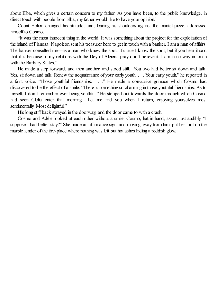about Elba, which gives a certain concern to my father. As you have been, to the public knowledge, in direct touch with people from Elba, my father would like to have your opinion."

Count Helion changed his attitude, and, leaning his shoulders against the mantel-piece, addressed himself to Cosmo.

"It was the most innocent thing in the world. It was something about the project for the exploitation of the island of Pianosa. Napoleon sent his treasurer here to get in touch with a banker. I am a man of affairs. The banker consulted me—as a man who knew the spot. It's true I know the spot, but if you hear it said that it is because of my relations with the Dey of Algiers, pray don't believe it. I am in no way in touch with the Barbary States."

He made a step forward, and then another, and stood still. "You two had better sit down and talk. Yes, sit down and talk. Renew the acquaintance of your early youth. . . . Your early youth," he repeated in a faint voice. "Those youthful friendships. . . ." He made a convulsive grimace which Cosmo had discovered to be the effect of a smile. "There is something so charming in those youthfulfriendships. As to myself, I don't remember ever being youthful." He stepped out towards the door through which Cosmo had seen Clelia enter that morning. "Let me find you when I return, enjoying yourselves most sentimentally. Most delightful."

His long stiff back swayed in the doorway, and the door came to with a crash.

Cosmo and Adèle looked at each other without a smile. Cosmo, hat in hand, asked just audibly, "I suppose I had better stay?" She made an affirmative sign, and moving away from him, put her foot on the marble fender of the fire-place where nothing was left but hot ashes hiding a reddish glow.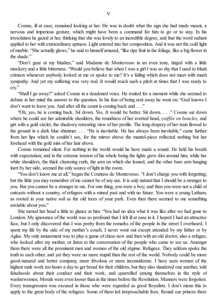Cosmo, ill at ease, remained looking at her. He was in doubt what the sign she had made meant, a nervous and imperious gesture, which might have been a command for him to go or to stay. In his irresolution he gazed at her, thinking that she was lovely to an incredible degree, and that the word radiant applied to her with extraordinary aptness. Light entered into her composition. And it was not the cold light of marble. "She actually glows," he said to himself amazed, "like ripe fruit in the foliage, like a big flower in the shade."

"Don't gaze at my blushes," said Madame de Montevesso in an even tone, tinged with a little mockery and a little bitterness. "Would you believe that when I was a girlI was so shy that I used to blush crimson whenever anybody looked at me or spoke to me? It's a failing which does not meet with much sympathy. And yet my suffering was very real. It would reach such a pitch at times that I was ready to cry."

"Shall I go away?" asked Cosmo in a deadened voice. He waited for a moment while she seemed to debate in her mind the answer to the question. In his fear of being sent away he went on: "God knows I don't want to leave you. And after all the count is coming back and . . ."

"Oh, yes, he is coming back. Sit down. Yes. It would be better. Sit down. . . ." Cosmo sat down where he could see her admirable shoulders, the roundness of her averted head, *coif ée en boucles*, and girt with a gold circlet, the shadowy retreating view of her profile. The long drapery of her train flowed to the ground in a dark blue shimmer. . . . "He is inevitable. He has always been inevitable," came further from her lips which he couldn't see, for the mirror above the mantel-piece reflected nothing but her forehead with the gold mist of her hair above.

Cosmo remained silent. For nothing in the world would he have made a sound. He held his breath with expectation; and in the extreme tension of his whole being the lights grew dim around him, while her white shoulders, the thick clustering curls, the arm on which she leaned, and the other bare arm hanging inert by her side, seemed the only source of light in the room.

"You don't know me at all," began the Countess de Montevesso. "I don't charge you with forgetting; but the little you may remember of me cannot be of any use. It is only natural that I should be a stranger to you. But you cannot be a stranger to me. For one thing, you were a boy; and then you were not a child of outcasts without a country, of refugees with a ruined past and with no future. You were a young Latham, as rooted in your native soil as the old trees of your park. Even then there seemed to me something enviable about you."

She turned her head a little to glance at him. "You had no idea what it was like after we had gone to London. My ignorance of the world was so profound that I felt ill at ease in it. I hoped I had an attractive face, but I only discovered that I was pretty from the remarks of the people in the street I overheard. I spent my life by the side of my mother's couch. I never went out except attended by my father or by Aglae. My only amusement was to play a game of chess now and then with an old doctor, also a refugee, who looked after my mother, or listen to the conversation of the people who came to see us. Amongst them there were all the prominent men and women of the old régime. Refugees. They seldom spoke the truth to each other, and yet they were no more stupid than the rest of the world. Nobody could be more good-natured and better company, more frivolous or more inconsiderate. I have seen women of the highest rank work ten hours a day to get bread for their children, but they also slandered one another, told falsehoods about their conduct and their work, and quarrelled among themselves in the style of washerwomen. Morals were even looser than in the times before the Revolution. Manners were forgotten. Every transgression was excused in those who were regarded as good Royalists. I don't mean this to apply to the great body of the refugees. Some of them led irreproachable lives. Round our princes there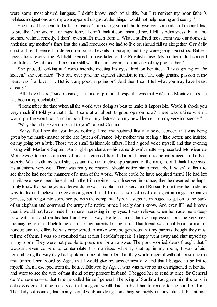were some most absurd intrigues. I didn't know much of all this, but I remember my poor father's helpless indignations and my own appalled disgust at the things I could not help hearing and seeing."

She turned her head to look at Cosmo. "I am telling you all this to give you some idea of the air I had to breathe," she said in a changed tone. "I don't think it contaminated me. I felt its odiousness; but all this seemed without remedy. I didn't even suffer much from it. What I suffered most from was our domestic anxieties; my mother's fears lest the small resources we had to live on should fail us altogether. Our daily crust of bread seemed to depend on political events in Europe, and they were going against us. Battles, negotiations, everything. A blight seemed to have fallen on the Royalist cause. My mother didn't conceal her distress. What touched me more still was the care-worn, silent anxiety of my poor father."

She paused, looking at Cosmo intently, meeting his eyes fixed on her face. "I was getting on for sixteen," she continued. "No one ever paid the slightest attention to me. The only genuine passion in my heart was filial love. . . . But is it any good in going on? And then I can't tell what you may have heard already."

"All I have heard," said Cosmo, in a tone of profound respect, "was that Adèle de Montevesso's life has been irreproachable."

"I remember the time when all the world was doing its best to make it impossible. Would it shock you very much if I told you that I don't care at all about its good opinion now? There was a time when it would put the worst construction possible on my distress, on my bewilderment, on my very innocence."

"Why should the world do that to you?" asked Cosmo.

"Why? But I see that you know nothing. I met my husband first at a select concert that was being given by the music-master of the late Queen of France. My mother was feeling a little better, and insisted on my going out a little. Those were small fashionable affairs. I had a good voice myself, and that evening I sang with Madame Seppio. An English gentleman—his name doesn't matter—presented Monsieur de Montevesso to me as a friend of his just returned from India, and anxious to be introduced to the best society. What with my usual shyness and the unattractive appearance of the man, I don't think I received his attentions very well. There was really no reason I should notice him particularly. It wasn't difficult to see that he had not the manners of a man of the world. Where could he have acquired them? He had left his village at seventeen, he enlisted in the Irish regiment which served in France, then he deserted perhaps. I only know that some years afterwards he was a captain in the service of Russia. From there he made his way to India. I believe the governor-general used him as a sort of unofficial agent amongst the native princes, but he got into some scrape with the company. By what steps he managed to get on to the back of an elephant and command the army of a native prince I really don't know. And even if I had known then it would not have made him more interesting in my eyes. I was relieved when he made me a deep bow with his hand on his heart and went away. He left a most fugitive impression, but the very next morning he sent his English friend to ask my parents for my hand. That friend was a nobleman, a man of honour, and the offers he was empowered to make were so generous that my parents thought they must tell me of them. I was so astonished that at first I couldn't speak. I simply went away and shut myself up in my room. They were not people to press me for an answer. The poor worried dears thought that I wouldn't even consent to contemplate this marriage; while I, shut up in my room, I was afraid, remembering the way they had spoken to me of that offer, that they would reject it without consulting me any further. I sent word by Aglae that I would give my answer next day, and that I begged to be left to myself. Then I escaped from the house, followed by Aglae, who was never so much frightened in her life, and went to see the wife of that friend of my present husband. I begged her to send at once for General de Montevesso—at that time he called himself general. The King of Sardinia had given him this rank in acknowledgment of some service that his great wealth had enabled him to render to the court of Turin. That lady, of course, had many scruples about doing something so highly unconventional, but at last,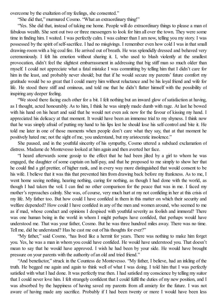overcome by the exaltation of my feelings, she consented."

"She did that," murmured Cosmo. "What an extraordinary thing!"

"Yes. She did that, instead of taking me home. People will do extraordinary things to please a man of fabulous wealth. She sent out two or three messengers to look for him all over the town. They were some time in finding him. I waited. I was perfectly calm. I was calmer than I am now, telling you my story. I was possessed by the spirit ofself-sacrifice. I had no misgivings. I remember even how cold I was in that small drawing-room with a big coalfire. He arrived out of breath. He was splendidly dressed and behaved very ceremoniously. I felt his emotion without sharing it. I, who used to blush violently at the smallest provocation, didn't feel the slightest embarrassment in addressing that big stiff man so much older than myself. I could not appreciate what a fatal mistake I was committing by telling him that I didn't care for him in the least, and probably never should; but that if he would secure my parents' future comfort my gratitude would be so great that I could marry him without reluctance and be his loyal friend and wife for life. He stood there stiff and ominous, and told me that he didn't flatter himself with the possibility of inspiring any deeper feeling.

"We stood there facing each other for a bit. I felt nothing but an inward glow ofsatisfaction at having, as I thought, acted honourably. As to him, I think he was simply made dumb with rage. At last he bowed with his hand on his heart and said that he would not even ask now for the favour of kissing my hand. I appreciated his delicacy at that moment. It would have been an immense trial to my shyness. I think now that he was simply afraid of putting my hand to his lips lest he should lose his self-control and bite it. He told me later in one of those moments when people don't care what they say, that at that moment he positively hated me; not the sight of me, you understand, but my aristocratic insolence."

She paused, and in the youthful sincerity of his sympathy, Cosmo uttered a subdued exclamation of distress. Madame de Montevesso looked at him again and then averted her face.

"I heard afterwards some gossip to the effect that he had been jilted by a girl to whom he was engaged, the daughter of some captain on half-pay, and that he proposed to me simply to show her that he could find a girl prettier, of higher rank, and in every way more distinguished that would consent to be his wife. I believe that it was this that prevented him from drawing back before my frankness. As to me, I went home seeing nothing, hearing nothing, caring for nothing, as though I had done with the world, as though I had taken the veil. I can find no other comparison for the peace that was in me. I faced my mother's reproaches calmly. She was, of course, very much hurt at my not confiding in her at this crisis of my life. My father too. But how could I have confided in them in this matter on which their security and welfare depended? How could I have confided in any of the men and women around, who seemed to me as if mad, whose conduct and opinions I despised with youthful severity as foolish and immoral? There was one human being in the world in whom I might perhaps have confided, that perhaps would have understood me. That was your father, Cosmo. But he was three hundred miles away. There was no time. Tell me, did he understand? Has he cast me out of his thoughts for ever?"

"My father," said Cosmo, "has lived like a hermit for years. There was nothing to make him forget you. Yes, he was a man in whom you could have confided. He would have understood you. That doesn't mean to say that he would have approved. I wish he had been by your side. He would have brought pressure on your parents with the authority of an old and tried friend."

"And benefactor," struck in the Countess de Montevesso. "My father, I believe, had an inkling of the truth. He begged me again and again to think well of what I was doing. I told him that I was perfectly satisfied with what I had done. It was perfectly true then. I had satisfied my conscience by telling my suitor that I could never love him. I felt strangely confident that I could fulfil the duties of my new position, and I was absorbed by the happiness of having saved my parents from all anxiety for the future. I was not aware of having made any sacrifice. Probably if I had been twenty or more I would have been less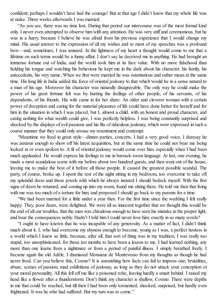confident; perhaps I wouldn't have had the courage! But at that age I didn't know that my whole life was at stake. Three weeks afterwards I was married.

"As you see, there was no time lost. During that period our intercourse was of the most formal kind only. I never even attempted to observe him with any attention. He was very stiff and ceremonious, but he was in a hurry, because I believe he was afraid from his previous experience that I would change my mind. His usual answer to the expression of all my wishes and to most of my speeches was a profound bow—and, sometimes, I was amused. In the lightness of my heart a thought would come to me that a lifetime on such terms would be a funny affair. I don't say he deceived me in anything. He had brought an immense fortune out of India, and the world took him at its face value. With no more falsehood than holding his tongue and watching his behaviour he kept me in the dark about his character, his family, his antecedents, his very name. When we first were married he was ostentatious and rather mean at the same time. His long life in India added the force of oriental jealousy to that which would be in a sense natural to a man of his age. Moreover his character was naturally disagreeable. The only way he could make the power of his great fortune felt was by hurting the feelings of other people, of his servants, of his dependents, of his friends. His wife came in for her share. An older and cleverer woman with a certain power of deception and caring for the material pleasures of life could have done better for herself and for him in the situation in which I was placed, but I, almost a child, with an honest and proud character, and caring nothing for what wealth could give, I was perfectly helpless. I was being constantly surprised and shocked by the displays of evil passions and his fits of ridiculous jealousy, which were expressed in such a coarse manner that they could only arouse my resentment and contempt.

"Meantime we lived in great style—dinner-parties, concerts. I had a very good voice. I daresay he was anxious enough to show off his latest acquisition, but at the same time he could not bear me being looked at or even spoken to. A fit of oriental jealousy would come over him, especially when I had been much applauded. He would express his feelings to me in barrack-room language. At last, one evening, he made a most scandalous scene with me before about two hundred guests, and then went out of the house, leaving me to make the best of it before all those people. It caused the greatest possible scandal. The party, of course, broke up. I spent the rest of the night sitting in my bedroom, too overcome to take off my splendid dress and those jewels with which he always insisted I should bedeck myself. With the first signs of dawn he returned, and coming up into my room, found me sitting there. He told me then that living with me was too much of a torture for him, and proposed I should go back to my parents for a time.

"We had been married for a little under a year then. For the first time since the wedding I felt really happy. They, poor dears, were delighted. We were all so innocent together that we thought this would be the end of all our troubles, that the man was chivalrous enough to have seen his mistake in the proper light, and bear the consequences nobly. Hadn't I told him I could never love him, exactly in so many words?

"I ought to have known that he was incapable of any generosity. As a matter of fact, I didn't think much about it. I, who had overcome my shyness enough to become, young as I was, a perfect hostess in a world which I knew so little, because, after all, that sort of thing was in my tradition, I was really too stupid, too unsophisticated, for those ten months to have been a lesson to me. I had learned nothing, any more than one learns from a nightmare or from a period of painful illness. I simply breathed freely. I became again the old Adèle. I dismissed Monsieur de Montevesso from my thoughts as though he had never lived. Can you believe this, Cosmo? It is astonishing how facts can fail to impress one; brutalities, abuse, scenes of passion, mad exhibitions of jealousy, as long as they do not attack your conception of your moral personality. All this fell off me like a poisoned robe, leaving hardly a smart behind. I raised my head like a flower after a thunderstorm. Don't think my character is shallow, Cosmo. There were depths in me that could be reached, but till then I had been only tormented, shocked, surprised, but hardly even frightened. It was he who had suffered. But my turn was to come."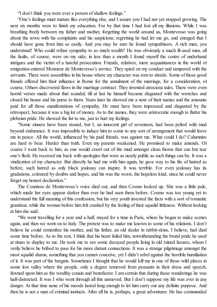"I don't think you were ever a person of shallow feelings."

"One's feelings must mature like everything else, and I assure you I had not yet stopped growing. The next six months were to finish my education. For by that time I had lost all my illusions. While I was breathing freely between my father and mother, forgetting the world around us, Montevesso was going about the town with his complaints and his suspicions; regretting he had let me go, and enraged that I should have gone from him so easily. And you may be sure he found sympathisers. A rich man, you understand! Who could refuse sympathy to so much wealth? He was obviously a much ill-used man, all the faults, of course, were on my side; in less than a month I found myself the centre of underhand intrigues and the victim of a hateful persecution. Friends, relatives, mere acquaintances in the world of emigration entered Monsieur de Montevesso's service. They spied on my conduct and tampered with the servants. There were assemblies in his house where my character was torn to shreds. Some of those good friends offered him their influence in Rome for the annulment of the marriage, for a consideration, of course. Others discovered flaws in the marriage contract. They invented atrocious tales. There were even horrid verses made about that scandal; till at last he himself became disgusted with the wretches and closed his house and his purse to them. Years later he showed me a note of their names and the amounts paid for all those manifestations of sympathy. He must have been impressed and disgusted by the retrospect, because it was a big lot of money. As to the names, they were aristocratic enough to flatter his plebeian pride. He showed the list to me, just to hurt my feelings.

"Some sinners have been stoned, but I, an innocent girl of seventeen, had been pelted with mud beyond endurance. It was impossible to induce him to come to any sort of arrangement that would leave me in peace. All the world, influenced by his paid friends, was against me. What could I do? Calumnies are hard to bear. Harder than truth. Even my parents weakened. He promised to make amends. Of course I went back to him, as one would crawl out of the mud amongst clean thorns that can but tear one's flesh. He received me back with apologies that were as nearly public as such things can be. It was a vindication of my character. But directly he had me with him again, he gave way to his fits of hatred as before, such hatred as only black jealousy can inspire. It was terrible. For even jealousy has its gradations, coloured by doubts and hopes, and his was the worst, the hopeless kind, since he could never forget my honest declaration."

The Countess de Montevesso's voice died out, and then Cosmo looked up. She was a little pale, which made her eyes appear darker than ever he had seen them before. Cosmo was too young yet to understand the full meaning of this confession, but his very youth invested the facts with a sort of romantic grandeur, while the woman before him felt crushed by the feeling of their squalid littleness. Without looking at him she said:

"We went travelling for a year and a half, stayed for a time in Paris, where he began to make scenes again, and then we went on to Italy. The pretext was to make me known to some of his relations. I don't believe he could remember his mother, and his father, an old dealer in rabbit-skins, I believe, had died some time before. As to the rest, I think that his heart failed him, notwithstanding the brutal pride he used at times to display to me. He took me to see some decayed people living in old ruined houses, whom I verily believe he bribed to pass for his more distant connections. It was a strange pilgrimage amongst the most squalid shams, something that you cannot conceive, yet I didn't rebel against the horrible humiliation of it. It was part of the bargain. Sometimes I thought that he would kill me in one of those wild places in some lost valley where the people, only a degree removed from peasants in their dress and speech, fawned upon him as the wealthy cousin and benefactor. I am certain that during those wanderings he was half-distracted. It was I who went through all this unmoved. But I don't suppose my life was ever in any danger. At that time none of his moods lasted long enough to let him carry out any definite purpose. And then he is not a man of criminal instincts. After all he is, perhaps, a great adventurer. He has commanded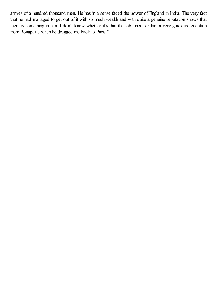armies of a hundred thousand men. He has in a sense faced the power of England in India. The very fact that he had managed to get out of it with so much wealth and with quite a genuine reputation shows that there is something in him. I don't know whether it's that that obtained for him a very gracious reception from Bonaparte when he dragged me back to Paris."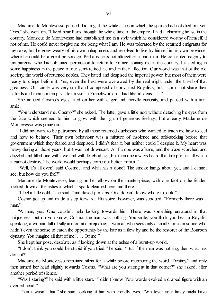Madame de Montevesso paused, looking at the white ashes in which the sparks had not died out yet. "Yes," she went on, "I lived near Paris through the whole time of the empire. I had a charming house in the country. Monsieur de Montevesso had established me in a style which he considered worthy of himself, if not of me. He could never forgive me for being what I am. He was tolerated by the returned emigrants for my sake, but he grew weary of his own unhappiness and resolved to live by himself in his own province, where he could be a great personage. Perhaps he is not altogether a bad man. He consented eagerly to my parents, who had obtained permission to return to France, joining me in the country. I tasted again some happiness in the peace of our semi-retired life and in their affection. Our world was that of the old society, the world of returned nobles. They hated and despised the imperial power, but most of them were ready to cringe before it. Yes, even the best were overawed by the real might under the tinsel of that greatness. Our circle was very small and composed of convinced Royalists, but I could not share their hatreds and their contempts. I felt myself a Frenchwoman. I had liberal ideas. . . ."

She noticed Cosmo's eyes fixed on her with eager and friendly curiosity, and paused with a faint smile.

"You understand me, Cosmo?" she asked. The latter gave a little nod without detaching his eyes from the face which seemed to him to glow with the light of generous feelings, but already Madame de Montevesso was going on.

"I did not want to be patronised by all those returned duchesses who wanted to teach me how to feel and how to behave. Their own behaviour was a mixture of insolence and self-seeking before that government which they feared and despised. I didn't fear it, but neither could I despise it. My heart was heavy during all those years, but it was not downcast. All Europe was aflame, and the blaze scorched and dazzled and filled one with awe and with forebodings; but then one always heard that fire purifies all which it cannot destroy. The world would perhaps come out better from it."

"Well, it's all over," said Cosmo, "and what has it done? The smoke hangs about yet, and I cannot see, but how do you feel?"

Madame de Montevesso, leaning on her elbow on the mantel-piece, with one foot on the fender, looked down at the ashes in which a spark gleamed here and there.

"I feel a little cold," she said, "and dazed perhaps. One doesn't know where to look."

Cosmo got up and made a step forward. His voice, however, was subdued. "Formerly there was a man."

"A man, yes. One couldn't help looking towards him. There was something unnatural in that uniqueness, but do you know, Cosmo, the man was nothing. You smile, you think you hear a Royalist speaking, a woman full of silly aristocratic prejudice; a woman who sees only a small Corsican squire who hadn't even the sense to catch the opportunity by the hair as it flew by and be the restorer of the Bourbon dynasty. You imagine all that of me! . . . Of me!"

She kept her pose, desolate, as if looking down at the ashes of a burnt-up world.

"I don't think you could be stupid if you tried," he said. "But if the man was nothing, then what has done it?"

Madame de Montevesso remained silent for a while before murmuring the word "Destiny," and only then turned her head slightly towards Cosmo. "What are you staring at in that corner?" she asked, after another period ofsilence.

"Was I staring?" he said with a little start. "I didn't know. Your words evoked a draped figure with an averted head."

"Then it wasn't that," she said, looking at him with friendly eyes. "Whatever your fancy might have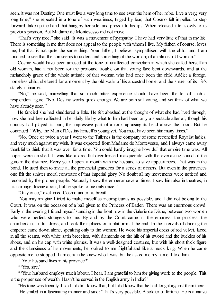seen, it was not Destiny. One must live a very long time to see even the hem of her robe. Live a very, very long time," she repeated in a tone of such weariness, tinged by fear, that Cosmo felt impelled to step forward, take up the hand that hung by her side, and press it to his lips. When released it fellslowly to its previous position. But Madame de Montevesso did not move.

"That's very nice," she said "It was a movement of sympathy. I have had very little of that in my life. There is something in me that does not appeal to the people with whom I live. My father, of course, loves me; but that is not quite the same thing. Your father, I believe, sympathised with the child, and I am touched to see that the son seems to understand something of the woman; of an almost old woman."

Cosmo would have been amused at the tone of unaffected conviction in which she called herself an old woman, had it not been for the profound trouble on that young face bent downwards, and at the melancholy grace of the whole attitude of that woman who had once been the child Adèle; a foreign, homeless child, sheltered for a moment by the old walls of his ancestral home, and the sharer of its life's stately intimacies.

"No," he said, marvelling that so much bitter experience should have been the lot of such a resplendent figure. "No. Destiny works quick enough. We are both still young, and yet think of what we have already seen."

He fancied she had shuddered a little. He felt abashed at the thought of what she had lived through, how she had been affected in her daily life by what to him had been only a spectacle after all, though his country had played its part, the impressive part of a rock upraising its head above the flood. But he continued: "Why, the Man of Destiny himself is young yet. You must have seen him many times."

"No. Once or twice a year I went to the Tuileries in the company of some reconciled Royalist ladies, and very much against my wish. It was expected from Madame de Montevesso, and I always came away thankful to think that it was over for a time. You could hardly imagine how dull that empire time was. All hopes were crushed. It was like a dreadful overdressed masquerade with the everlasting sound of the guns in the distance. Every year I spent a month with my husband to save appearances. That was in the bond. He used then to invite all the provincial grandees for a series of dinners. But even in the provinces one felt the sinister moral constraint of that imperial glory. No doubt all my movements were noticed and recorded by the proper people. Naturally I saw the emperor several times. I saw him also in theatres, in his carriage driving about, but he spoke to me only once."

"Only once," exclaimed Cosmo under his breath.

"You may imagine I tried to make myself as inconspicuous as possible, and I did not belong to the Court. It was on the occasion of a ball given to the Princess of Baden. There was an enormous crowd. Early in the evening I found myself standing in the front row in the Galerie de Diane, between two women who were perfect strangers to me. By and by the Court came in, the empress, the princess, the chamberlains, in full dress, and took their places on a platform at the end. In the intervals of dancing the emperor came down alone, speaking only to the women. He wore his imperial dress of red velvet, laced in all the seams, with white satin breeches, with diamonds on the hilt of his sword and the buckles of his shoes, and on his cap with white plumes. It was a well-designed costume, but with his short thick figure and the clumsiness of his movements, he looked to me frightful and like a mock king. When he came opposite me he stopped. I am certain he knew who I was, but he asked me my name. I told him.

" 'Your husband lives in his province?'

" 'Yes, sire.'

" 'Your husband employs much labour, I hear. I am grateful to him for giving work to the people. This is the proper use of wealth. Hasn't he served in the English army in India?'

"His tone was friendly. I said I didn't know that, but I did know that he had fought against them there. "He smiled in a fascinating manner and said: 'That's very possible. A soldier of fortune. He is a native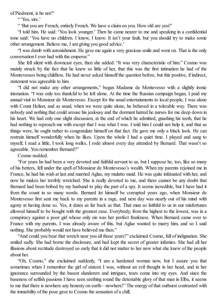of Piedmont, is he not?'

" 'Yes, sire.'

" 'But you are French, entirely French. We have a claim on you. How old are you?'

"I told him. He said: 'You look younger.' Then he came nearer to me and speaking in a confidential tone said: 'You have no children. I know, I know. It isn't your fault, but you should try to make some other arrangement. Believe me, I am giving you good advice.'

"I was dumb with astonishment. He gave me again a very gracious smile and went on. That is the only conversation I ever had with the emperor."

She fell silent with downcast eyes, then she added: "It was very characteristic of him." Cosmo was mainly struck by the fact that he knew so little of her, that this was the first intimation he had of the Montevessos being childless. He had never asked himself the question before, but this positive, if indirect, statement was agreeable to him.

"I did not make any other arrangements," began Madame de Montevesso with a slightly ironic intonation. "I was only too thankful to be left alone. At the time the Russian campaign began, I paid my annual visit to Monsieur de Montevesso. Except for the usual entertainments to local people, I was alone with Count Helion, and as usual, when we were quite alone, he behaved in a tolerable way. There was nobody and nothing that could arouse his jealousy and the dormant hatred he nurses for me deep down in his heart. We had only one slight discussion, at the end of which he admitted, gnashing his teeth, that he had nothing to reproach me with except that I was what I was. I told him I could not help it, and that as things were, he ought rather to congratulate himself on that fact. He gave me only a black look. He can restrain himself wonderfully when he likes. Upon the whole I had a quiet time. I played and sang to myself, I read a little, I took long walks, I rode almost every day attended by Bernard. That wasn't so agreeable. You remember Bernard?"

Cosmo nodded.

"For years he had been a very devoted and faithfulservant to us, but I suppose he, too, like so many of his betters, fell under the spell of Monsieur de Montevesso's wealth. When my parents rejoined me in France, he had his wish at last and married Aglae, my mulatto maid. He was quite infatuated with her, and now he makes her terribly wretched. She is really devoted to me, and there cannot be any doubt that Bernard had been bribed by my husband to play the part of a spy. It seems incredible, but I have had it from the count in so many words. Bernard let himself be corrupted years ago, when Monsieur de Montevesso first sent me back to my parents in a rage, and next day was nearly out of his mind with agony at having done so. Yes, it dates as far back as that. That man so faithful to us in our misfortunes allowed himself to be bought with the greatest ease. Everybody, from the highest to the lowest, was in a conspiracy against a poor girl whose only sin was her perfect frankness. When Bernard came over to France with my parents, I was already aware of this, but Aglae wanted to marry him, and so I said nothing. She probably would not have believed me then."

"And could you bear that wretch near you all those years?" exclaimed Cosmo, full of indignation. She smiled sadly. She had borne the disclosure, and had kept the secret of greater infamies. She had all her illusions about rectitude destroyed so early that it did not matter to her now what she knew of the people about her.

"Oh, Cosmo," she exclaimed suddenly, "I am a hardened woman now, but I assure you that sometimes when I remember the girl of sixteen I was, without an evil thought in her head, and in her ignorance surrounded by the basest slanderers and intrigues, tears come into my eyes. And since the baseness of selfish passions I have seen seething round the detestable glory of that man in Elba, it seems to me that there is nowhere any honesty on earth—nowhere!" The energy of that outburst contrasted with the immobility of the pose gave to Cosmo the sensation of a chill.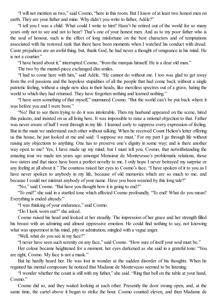"I will not mention us two," said Cosmo, "here in this room. But I know of at least two honest men on earth. They are your father and mine. Why didn't you write to father. Adèle?"

"I tell you I was a child. What could I write to him? Hasn't he retired out of the world for so many years only not to see and not to hear? That's one of your honest men. And as to my poor father who is the soul of honour, such is the effect of long misfortune on the best characters and of temptations associated with his restored rank that there have been moments when I watched his conduct with dread. Caste prejudices are an awful thing, but, thank God, he had never a thought of vengeance in his mind. He is not a courtier."

"I have heard about it," interrupted Cosmo, "from the marquis himself. He is a dear old man."

The two by the mantel-piece exchanged dim smiles.

"I had to come here with him," said Adèle. "He cannot do without me. I too was glad to get away from the evil passions and the hopeless stupidities of all the people that had come back without a single patriotic feeling, without a single new idea in their heads, like merciless spectres out of a grave, hating the world to which they had returned. They have forgotten nothing and learned nothing."

"I have seen something of that myself," murmured Cosmo. "But the world can't be put back where it was before you and I were born."

"No! But to see them trying to do it was intolerable. Then my husband appeared on the scene, hired this palazzo, and insisted on us all living here. It was impossible to raise a rational objection to that. Father was never aware of half I went through in my life. I learned early to suppress every expression of feeling. But in the main we understand each other without talking. When he received Count Helion's letter offering us this house, he just looked at me and said: 'I suppose we must.' For my part I go through life without raising any objections to anything. One has to preserve one's dignity in some way; and is there another way open to me? Yes, I have made up my mind; but I must tell you, Cosmo, that notwithstanding the amazing tour we made ten years ago amongst Monsieur de Montevesso's problematic relations, those two sisters and that niece have been a perfect novelty to me. I only hope I never betrayed my surprise or any feeling at all about it." The countess raised her eyes to Cosmo's face. "I have spoken of it to you as I have never spoken to anybody in my life, because of old memories which are so much to me, and because I could not mistrust anybody of your name. Have you been wearied by this long tale?"

"No," said Cosmo. "But have you thought how it is going to end?"

"To end!" she said in a startled tone which affected Cosmo profoundly. "To end! What do you mean? Everything is ended already."

"I was thinking of your endurance," said Cosmo.

"Do I look worn out?" she asked.

Cosmo raised his head and looked at her steadily. The impression of her grace and her strength filled his breast with an admiring and almost oppressive emotion. He could find nothing to say, not knowing what was uppermost in his mind, pity or admiration, mingled with a vague anger.

"Well, what do you see in my face?"

"I never have seen such serenity on any face," said Cosmo. "How sure of itself your soul must be."

Her colour became heightened for a moment, her eyes darkened as she said in a grateful tone: "You are right, Cosmo. My face is not a mask."

But he hardly heard her. He was lost in wonder at the sudden disorder of his thoughts. When he regained his mental composure he noticed that Madame de Montevesso seemed to be listening.

"I wonder whether the count is still with my father," she said. "Ring that bell on the table at your hand, Cosmo."

Cosmo did so, and they waited looking at each other. Presently the door swung open, and, at the same time, the cartel above it began to strike the hour. Cosmo counted eleven, and then Madame de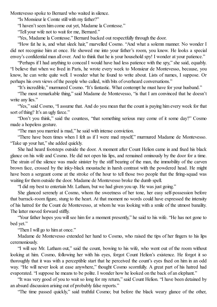Montevesso spoke to Bernard who waited in silence.

"Is Monsieur le Comte still with my father?"

"I haven't seen him come out yet, Madame la Comtesse."

"Tell your wife not to wait for me, Bernard."

"Yes, Madame la Comtesse." Bernard backed out respectfully through the door.

"How fat he is, and what sleek hair," marvelled Cosmo. "And what a solemn manner. No wonder I did not recognise him at once. He showed me into your father's room, you know. He looks a special envoy's confidential man all over. And to think that he is your household spy! I wonder at your patience."

"Perhaps if I had anything to conceal I would have had less patience with the spy," she said, equably. "I believe that when we lived in Paris, he wrote every week to Monsieur de Montevesso, because, you know, he can write quite well. I wonder what he found to write about. Lists of names, I suppose. Or perhaps his own views of the people who called, with bits of overheard conversations."

"It's incredible," murmured Cosmo. "It's fantastic. What contempt he must have for your husband."

"The most remarkable thing," said Madame de Montevesso, "is that I am convinced that he doesn't write any lies."

"Yes," said Cosmo, "I assume that. And do you mean that the count is paying him every week for that sort of thing? It's an ugly farce."

"Don't you think," said the countess, "that something serious may come of it some day?" Cosmo made a hopeless gesture.

"The man you married is mad," he said with intense conviction.

"There have been times when I felt as if I were mad myself," murmured Madame de Montevesso. "Take up your hat," she added quickly.

She had heard footsteps outside the door. A moment after Count Helion came in and fixed his black glance on his wife and Cosmo. He did not open his lips, and remained ominously by the door for a time. The strain of the silence was made sinister by the stiff bearing of the man, the immobility of the carven brown face, crossed by the inky-black moustache in harsh contrast with the powdered head. He might have been a sergeant come at the stroke of the hour to tell those two people that the firing-squad was waiting for them outside the door. Madame de Montevesso broke the dumb spell.

"I did my best to entertain Mr. Latham, but we had given you up. He was just going."

She glanced serenely at Cosmo, whom the sweetness of her tone, her easy self-possession before that barrack-room figure, stung to the heart. At that moment no words could have expressed the intensity of his hatred for the Count de Montevesso, at whom he was looking with a smile of the utmost banality. The latter moved forward stiffly.

"Your father hopes you willsee him for a moment presently," he said to his wife. "He has not gone to bed yet."

"Then I will go to him at once."

Madame de Montevesso extended her hand to Cosmo, who raised the tips of her fingers to his lips ceremoniously.

"I will see Mr. Latham out," said the count, bowing to his wife, who went out of the room without looking at him. Cosmo, following her with his eyes, forgot Count Helion's existence. He forgot it so thoroughly that it was with a perceptible start that he perceived the count's eyes fixed on him in an odd way. "He will never look at ease anywhere," thought Cosmo scornfully. A great part of his hatred had evaporated. "I suppose he means to be polite. I wonder how he looked on the back of an elephant."

"It was very good of you to wait so long for my return," said Count Helion. "I have been detained by an absurd discussion arising out of probably false reports."

"The time passed quickly," said truthful Cosmo; but before the black weary glance of the other,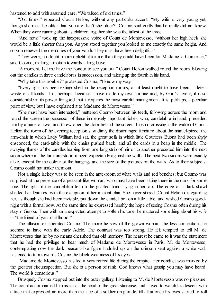hastened to add with assumed care, "We talked of old times."

"Old times," repeated Count Helion, without any particular accent. "My wife is very young yet, though she must be older than you are. Isn't she older?" Cosmo said curtly that he really did not know. When they were running about as children together she was the tallest of the three.

"And now," took up the inexpressive voice of Count de Montevesso, "without her high heels she would be a little shorter than you. As you stood together you looked to me exactly the same height. And so you renewed the memories of your youth. They must have been delightful."

"They were, no doubt, more delightful for me than they could have been for Madame la Comtesse," said Cosmo, making a motion towards taking leave.

"A moment. Let me have the honour to see you out." Count Helion walked round the room, blowing out the candles in three candelabras in succession, and taking up the fourth in his hand.

"Why take this trouble?" protested Cosmo; "I know my way."

"Every light has been extinguished in the reception-rooms; or at least ought to have been. I detest waste of all kinds. It is, perhaps, because I have made my own fortune and, by God's favour, it is so considerable in its power for good that it requires the most careful management. It is, perhaps, a peculiar point of view, but I have explained it to Madame de Montevesso."

"She must have been interested," muttered Cosmo between his teeth, following across the room and round the screen the possessor of these immensely important riches, who, candelabra in hand, preceded him by a pace or two, and threw open the door behind the screen. Cosmo crossing in the wake of Count Helion the room of the evening reception saw dimly the disarranged furniture about the mantel-piece, the arm-chair in which Lady William had sat, the great sofa in which little Countess Bubna had been shyly ensconced, the card-table with the chairs pushed back, and all the cards in a heap in the middle. The swaying flames of the candles leaping from one long strip of mirror to another preceded him into the next salon where all the furniture stood ranged expectantly against the walls. The next two salons were exactly alike, except for the colour of the hangings and the size of the pictures on the walls. As to their subjects, Cosmo could not make them out.

Not a single lackey was to be seen in the ante-room of white walls and red benches; but Cosmo was surprised at the presence of a peasant-like woman, who must have been sitting there in the dark for some time. The light of the candelabra fell on the gnarled hands lying in her lap. The edge of a dark shawl shaded her features, with the exception of her ancient chin. She never stirred. Count Helion disregarding her, as though she had been invisible, put down the candelabra on a little table, and wished Cosmo goodnight with a formal bow. At the same time he expressed harshly the hope ofseeing Cosmo often during his stay in Genoa. Then with an unexpected attempt to soften his tone, he muttered something about his wife —"the friend of your childhood."

The allusion exasperated Cosmo. The more he saw of the grown woman, the less connection she seemed to have with the early Adèle. The contrast was too strong. He felt tempted to tell M. de Montevesso that he by no means cherished that old memory. The nearest he came to it was the statement that he had the privilege to hear much of Madame de Montevesso in Paris. M. de Montevesso, contemplating now the dark peasant-like figure huddled up on the crimson seat against a white wall, hastened to turn towards Cosmo the black weariness of his eyes.

"Madame de Montevesso has led a very retired life during the empire. Her conduct was marked by the greatest circumspection. But she is a person of rank. God knows what gossip you may have heard. The world is censorious."

Brusquely Cosmo stepped out into the outer gallery. Listening to M. de Montevesso was no pleasure. The count accompanied him as far as the head of the great staircase, and stayed to watch his descent with a face that expressed no more than the face of a soldier on parade, till all at once his eyes started to roll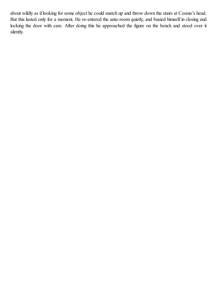about wildly as if looking for some object he could snatch up and throw down the stairs at Cosmo's head. But this lasted only for a moment. He re-entered the ante-room quietly, and busied himself in closing and locking the door with care. After doing this he approached the figure on the bench and stood over it silently.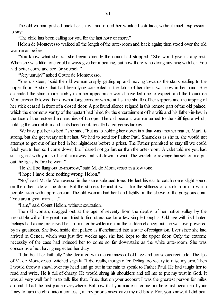The old woman pushed back her shawl, and raised her wrinkled soft face, without much expression, to say:

"The child has been calling for you for the last hour or more."

Helion de Montevesso walked all the length of the ante-room and back again; then stood over the old woman as before.

"You know what she is," she began directly the count had stopped. "She won't give us any rest. When she was little, one could always give her a beating, but now there is no doing anything with her. You had better come and see for yourself."

"Very unruly?" asked Count de Montevesso.

"She is sixteen," said the old woman crisply, getting up and moving towards the stairs leading to the upper floor. A stick that had been lying concealed in the folds of her dress was now in her hand. She ascended the stairs more nimbly than her appearance would have led one to expect, and the Count de Montevesso followed her down a long corridor where at last the shuffle of her slippers and the tapping of her stick ceased in front of a closed door. A profound silence reigned in this remote part of the old palace, which the enormous vanity of the upstart had hired for the entertainment of his wife and his father-in-law in the face of the restored monarchies of Europe. The old peasant woman turned to the stiff figure which, holding the candelabra and in its laced coat, recalled a gorgeous lackey.

"We have put her to bed," she said, "but as to holding her down in it that was another matter. Maria is strong, but she got weary of it at last. We had to send for Father Paul. Shameless as she is, she would not attempt to get out of her bed in her nightdress before a priest. The Father promised to stay till we could fetch you to her, so I came down, but I dared not go further than the ante-room. A valet told me you had still a guest with you, so I sent him away and sat down to wait. The wretch to revenge himself on me put out the lights before he went."

"He shall be flung out to-morrow," said M. de Montevesso in a low tone.

"I hope I have done nothing wrong, Helion."

"No," said M. de Montevesso in the same subdued tone. He lent his ear to catch some slight sound on the other side of the door. But the stillness behind it was like the stillness of a sick-room to which people listen with apprehension. The old woman laid her hand lightly on the sleeve of the gorgeous coat. "You are a great man. . . ."

"I am," said Count Helion, without exultation.

The old woman, dragged out at the age of seventy from the depths of her native valley by the irresistible will of the great man, tried to find utterance for a few simple thoughts. Old age with its blunted feelings had alone preserved her from utter bewilderment at the sudden change; but she was overpowered by its greatness. She lived inside that palace as if enchanted into a state of resignation. Ever since she had arrived in Genoa, which was just five weeks ago, she had kept to the upper floor. Only the extreme necessity of the case had induced her to come so far downstairs as the white ante-room. She was conscious of not having neglected her duty.

"I did beat her faithfully," she declared with the calmness of old age and conscious rectitude. The lips of M. de Montevesso twitched slightly. "I did really, though often feeling too weary to raise my arm. Then I would throw a shawl over my head and go out in the rain to speak to Father Paul. He had taught her to read and write. He is full of charity. He would shrug his shoulders and tell me to put my trust in God. It was all very well for him to talk like that. True, that on your account I was the greatest person for miles around. I had the first place everywhere. But now that you made us come out here just because of your fancy to turn the child into a contessa, all my poor senses leave my old body. For, you know, if I did beat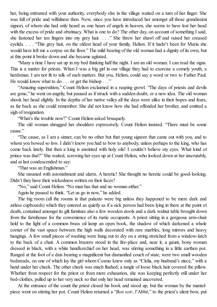her, being entrusted with your authority, everybody else in the village waited on a turn of her finger. She was full of pride and wilfulness then. Now, since you have introduced her amongst all those grandissimi signori, of whom she had only heard as one hears of angels in heaven, she seems to have lost her head with the excess of pride and obstinacy. What is one to do? The other day, on account of something I said, she fastened her ten fingers into my grey hair. . . ." She threw her shawl off and raised her creased eyelids. . . . "This grey hair, on the oldest head of your family. Helion. If it hadn't been for Maria she would have left me a corpse on the floor." The mild bearing of the old woman had a dignity of its own, but at this point it broke down and she became agitated.

"Many a time I have sat up in my bed thinking half the night. I am an old woman. I can read the signs. This is a matter for priests. When I was a big girl in our village they had to exorcise a comely youth, a herdsman. I am not fit to talk of such matters. But you, Helion, could say a word or two to Father Paul. He would know what to do . . . or get the bishop . . ."

"Amazing superstition," Count Helion exclaimed in a rasping growl. "The days of priests and devils are gone," he went on angrily, but paused as ifstruck with a sudden doubt, or a new idea. The old woman shook her head slightly. In the depths of her native valley all the days were alike in their hopes and fears, as far back as she could remember. She did not know how she had offended her brother, and emitted a sigh of resignation.

"What's the trouble now?" Count Helion asked brusquely.

The old woman shrugged her shoulders expressively. Count Helion insisted. "There must be some cause."

"The cause, as I am a sinner, can be no other but that young signore that came out with you, and to whom you bowed so low. I didn't know you had to bow to anybody, unless perhaps to the king, who has come back lately. But then a king is anointed with holy oils! I couldn't believe my eyes. What kind of prince was that?" She waited, screwing her eyes up at Count Helion, who looked down at her inscrutably, and at last condescended to say:

"That was an Englishman."

She moaned with astonishment and alarm. A heretic! She thought no heretic could be good-looking. Didn't they have their wickedness written on their faces?

"No," said Count Helion. "No man has that and no woman either."

Again he paused to think. "Let us go in now," he added.

The big room (all the rooms in that palazzo were big unless they happened to be mere dark and airless cupboards) which they entered as quietly as if a sick person had been lying in there at the point of death, contained amongst its gilt furniture also a few wooden stools and a dark walnut table brought down from the farmhouse for the convenience of its rustic occupants. A priest sitting in a gorgeous arm-chair held to the light of a common brass oil lamp an open book, the shadow of which darkened a whole corner of the vast space between the high walls decorated with rare marbles, long mirrors and heavy hangings. A few small pieces of washing were hung out to dry on a string stretched from a window-latch to the back of a chair. A common brazero stood in the fire-place and, near it, a gaunt, bony woman dressed in black, with a white handkerchief on her head, was stirring something in a little earthen pot. Ranged at the foot of a dais bearing a magnificent but dismantled couch of state, were two small wooden bedsteads, on one of which lay the girl whom Cosmo knew only as "Clelia, my husband's niece," with a hand under her cheek. The other cheek was much flushed; a tangle of loose black hair covered the pillow. Whether from respect for the priest or from mere exhaustion, she was keeping perfectly still under her bed-clothes, pulled up to her very neck so that only her head remained uncovered.

At the entrance of the count the priest closed his book and stood up, but the woman by the mantelpiece went on stirring her pot. Count Helion returned a "*Bon soir*, l'Abbé," to the priest's silent bow, put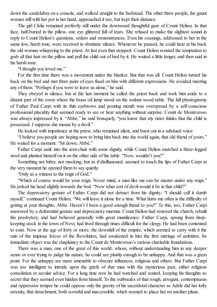down the candelabra on a console, and walked straight to the bedstead. The other three people, the gaunt woman still with her pot in her hand, approached it too, but kept their distance.

The girl Clelia remained perfectly still under the downward thoughtful gaze of Count Helion. In that face, half-buried in the pillow, one eye glittered full of tears. She refused to make the slightest sound in reply to Count Helion's questions, orders and remonstrances. Even his coaxings, addressed to her in the same low, harsh tone, were received in obstinate silence. Whenever he paused, he could hear at his back the old woman whispering to the priest. At last even that stopped. Count Helion resisted the temptation to grab all that hair on the pillow and pull the child out of bed by it. He waited a little longer, and then said in his harsh tone:

"I thought you loved me."

For the first time there was a movement under the blanket. But that was all. Count Helion turned his back on the bed and met three pairs of eyes fixed on him with different expressions. He avoided meeting any of them. "Perhaps if you were to leave us alone," he said.

They obeyed in silence, but at the last moment he called the priest back and took him aside to a distant part of the room where the brass oil lamp stood on the walnut-wood table. The full physiognomy of Father Paul Carpi with its thin eyebrows and pouting mouth was overspread by a self-conscious professional placidity that seemed ready to see or hear anything without surprise. Count de Montevesso was always impressed by it. "Abbé," he said brusquely, "you know that my sister thinks that the child is possessed. I suppose she means by a devil."

He looked with impatience at the priest, who remained silent, and burst out in a subdued voice:

"I believe you people are hoping now to bring him back into the world again, that old friend of yours." He waited for a moment. "Sit down, Abbé."

Father Carpi sank into the arm-chair with some dignity, while Count Helion snatched a three-legged stool and planted himself on it on the other side of the table. "Now, wouldn't you?"

Something not bitter, not mocking, but as if disillusioned, seemed to touch the lips of Father Carpi at the very moment he opened them to say quietly:

"Only as a witness to the reign of God."

"Which of course would be your reign. Never mind, a man like me can be master under any reign." He jerked his head slightly towards the bed. "Now what sort of devil would it be in that child?"

The deprecatory gesture of Father Carpi did not detract from his dignity. "I should call it dumb myself," continued Count Helion. "We will leave it alone for a time. What hurts me often is the difficulty of getting at your thoughts, Abbé. Haven't I been a good enough friend to you?" To this, too, Father Carpi answered by a deferential gesture and deprecatory murmur. Count Helion had restored the church, rebuilt the presbytery, and had behaved generally with great munificence. Father Carpi, sprung from shopkeeping stock in the town of Novi, had lived through times difficult for the clergy. He had been contented to exist. Now at the age of forty or more, the downfall of the empire, which seemed to carry with it the ruin of the impious forces of the Revolution, had awakened in him the first stirrings of ambition. Its immediate object was the chaplaincy to the Count de Montevesso's various charitable foundations.

There was a man, one of the great of this world, whom, without understanding him in any deeper sense or ever trying to judge his nature, he could see plainly enough to be unhappy. And that was a great point. For the unhappy are more amenable to obscure influences, religious and others. But Father Carpi was too intelligent to intrude upon the griefs of that man with the mysterious past, either religious consolation or secular advice. For a long time now he had watched and waited, keeping his thoughts so secret that they seemed even hidden from himself. To the outbreaks of that rough, arrogant, contemptuous and oppressive temper he could oppose only the gravity of his sacerdotal character as Adèle did her lofty serenity, that detachment, both scornful and inaccessible, which seemed to place her on another plane.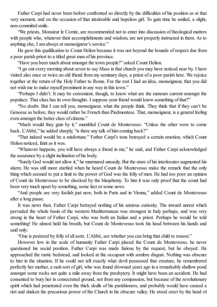Father Carpi had never been before confronted so directly by the difficulties of his position as at that very moment, and on the occasion of that intolerable and hopeless girl. To gain time he smiled, a slight, non-committalsmile.

"We priests, Monsieur le Comte, are recommended not to enter into discussion of theological matters with people who, whatever their accomplishments and wisdom, are not properly instructed in them. As to anything else, I am always at monseigneur's service."

He gave this qualification to Count Helion because it was not beyond the bounds of respect due from a poor parish priest to a titled great man of his province.

"Have you been much about amongst the town people?" asked Count Helion.

"I go out every morning about seven to say Mass in that church you may have noticed near by. I have visited also once or twice an old friend from my seminary days, a priest of a poor parish here. We rejoice together at the return of the Holy Father to Rome. For the rest I had an idea, monseigneur, that you did not wish me to make myself prominent in any way in this town."

"Perhaps I didn't. It may be convenient, though, to know what are the rumours current amongst the populace. That class has its own thoughts. I suppose your friend would know something of that?"

"No doubt. But I can tell you, monseigneur, what the people think. They think that if they can't be Genoese as before, they would rather be French than Piedmontese. That, monseigneur, is a general feeling even amongst the better class of citizens."

"Much would they gain by it," mumbled Count de Montevesso. "Unless the other were to come back. L'Abbé," he added sharply, "is there any talk of him coming back?"

"That indeed would be a misfortune." Father Carpi's tone betrayed a certain emotion, which Count Helion noticed, faint as it was.

"Whatever happens, you will have always a friend in me," he said, and Father Carpi acknowledged the assurance by a slight inclination of his body.

"Surely God would not allow it," he murmured uneasily. But the stare of his interlocutor augmented his alarm. He was still more startled when he heard Count de Montevesso make the remark that the only thing which seemed to put a limit to the power of God was the folly of men. He had too poor an opinion of Count de Montevesso to be shocked by the blasphemy. To him it was only proof that the count had been very much upset by something, some fact or some news.

"And people are very foolish just now, both in Paris and in Vienna," added Count de Montevesso after a long pause.

It was news then. Father Carpi betrayed nothing of his anxious curiosity. The inward unrest which pervaded the whole basin of the western Mediterranean was strongest in Italy perhaps, and was very strong in the heart of Father Carpi, who was both an Italian and a priest. Perhaps he would be told something! He almost held his breath, but Count de Montevesso took his head between his hands and said only:

"One is pestered by folly of allsorts. L'Abbé, see whether you can bring that child to reason."

However low in the scale of humanity Father Carpi placed the Count de Montevesso, he never questioned his social position. Father Carpi was made furious by the request, but he obeyed. He approached the rustic bedstead, and looked at the occupant with sombre disgust. Nothing was obscure to him in the situation. If he could not tell exactly what devil possessed that creature, he remembered perfectly her mother, a rash sort of girl, who was found drowned years ago in a remarkably shallow pond amongst some rocks not quite a mile away from the presbytery. It might have been an accident. He had consented to bury her in consecrated ground, not from any compassion, but because of the revolutionary spirit which had penetrated even the thick skulls of his parishioners, and probably would have caused a riot and shaken the precarious power of the Church in his obscure valley. He stood erect by the head of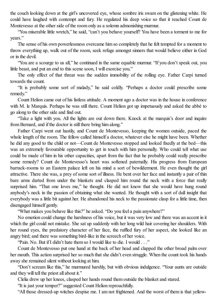the couch looking down at the girl's uncovered eye, whose sombre iris swam on the glistening white. He could have laughed with contempt and fury. He regulated his deep voice so that it reached Count de Montevesso at the other side of the room only as a solemn admonishing murmur.

"You miserable little wretch," he said, "can't you behave yourself? You have been a torment to me for years."

The sense of his own powerlessness overcame him so completely that he felt tempted for a moment to throw everything up, walk out of the room, seek refuge amongst sinners that would believe either in God or in the devil.

"You are a scourge to us all," he continued in the same equable murmur. "If you don't speak out, you little beast, and put an end to this scene soon, I will exorcise you."

The only effect of that threat was the sudden immobility of the rolling eye. Father Carpi turned towards the count.

"It is probably some sort of malady," he said coldly. "Perhaps a doctor could prescribe some remedy."

Count Helion came out of his listless attitude. A moment ago a doctor was in the house in conference with M. le Marquis. Perhaps he was still there. Count Helion got up impetuously and asked the abbé to go along to the other side and find out.

"Take a light with you. All the lights are out down there. Knock at the marquis's door and inquire from Bernard, and if the doctor is still there bring him along."

Father Carpi went out hastily, and Count de Montevesso, keeping the women outside, paced the whole length of the room. The fellow called himself a doctor, whatever else he might have been. Whether he did any good to the child or not—Count de Montevesso stopped and looked fixedly at the bed—this was an extremely favourable opportunity to get in touch with him personally. Who could tell what use could be made of him in his other capacities, apart from the fact that he probably could really prescribe some remedy? Count de Montevesso's heart was softened paternally. His progress from European barrack-rooms to an Eastern palace left on his mind a sort of bewilderment. He even thought the girl attractive. There she was, a prey ofsome sort of illness. He bent over her face and instantly a pair of thin bare arms darted from under the blankets and clasped him round the neck with a force that really surprised him. "That one loves me," he thought. He did not know that she would have hung round anybody's neck in the passion of obtaining what she wanted. He thought with a sort of dull insight that everybody was a little bit against her. He abandoned his neck to the passionate clasp for a little time, then disengaged himself gently.

"What makes you behave like this?" he asked. "Do you feel a pain anywhere?"

No emotion could change the harshness of his voice, but it was very low and there was an accent in it which the girl could not mistake. She sat up suddenly with her long wild hair covering her shoulders. With her round eyes, the predatory character of her face, the ruffled fury of her aspect, she looked like an angry bird; and there was something bird-like in the screech of her voice.

"Pain. No. But if I didn't hate them so I would like to die. I would . . ."

Count de Montevesso put one hand at the back of her head and clapped the other broad palm over her mouth. This action surprised her so much that she didn't even struggle. When the count took his hands away she remained silent without looking at him.

"Don't scream like this," he murmured harshly, but with obvious indulgence. "Your aunts are outside and they will tell the priest all about it."

Clelia drew up her knees, clasped her hands round them outside the blanket and stared.

"It is just your temper?" suggested Count Helion reproachfully.

"All those dressed-up witches despise me. I am not frightened. And the worst of them is that yellow-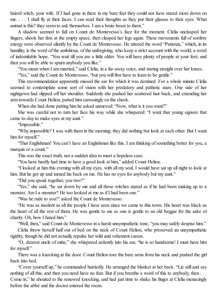haired witch, your wife. If I had gone in there in my bare feet they could not have stared more down on me. . . . I shall fly at their faces. I can read their thoughts as they put their glasses to their eyes. What animal is this? they seem to ask themselves. I am a brute beast to them."

A shadow seemed to fall on Count de Montevesso's face for the moment. Clelia unclasped her fingers, shook her fists at the empty space, then clasped her legs again. These movements full of sombre energy were observed silently by the Count de Montevesso. He uttered the word "Patienza," which, in its humility, is the word of the ambitious, of the unforgiving, who keep a strict account with the world; a word of indomitable hope. "You wait till you are a little older. You will have plenty of people at your feet; and then you will be able to spurn anybody you like."

"You mean when I am married," said Clelia, in a far-away voice, and staring straight over her knees.

"Yes," said the Count de Montevesso, "but you will first have to learn to be gentle."

This recommendation apparently missed the ear for which it was destined. For a whole minute Clelia seemed to contemplate some sort of vision with her predatory and pathetic stare. One side of her nightgown had slipped off her shoulder. Suddenly she pushed her scattered hair back, and extending her arm towards Count Helion, patted him caressingly on the cheek.

When she had done patting him he asked unmoved: "Now, what is it you want?"

She was careful not to turn her face his way while she whispered: "I want that young signore that came to-day to make eyes at my aunt."

"Impossible."

"Why impossible? I was with them in the morning; they did nothing but look at each other. But I want him for myself."

"That Englishman! You can't have an Englishman like this. I am thinking of something better for you, a marquis or a count."

This was the exact truth, not a sudden idea to meet a hopeless case.

"You have hardly had time to have a good look at him," added Count Helion.

"I looked at him this evening with all my eyes, with all my soul. I would have sat up all night to look at him. But he got up and turned his back on me. He has no eyes for anybody but my aunt."

"Did you speak together, you two?"

"Yes," she said, "he sat down by me and all those witches stared as if he had been making up to a monster. Am I a monster? He too looked at me as if I had been one."

"Was he rude to you?" asked the Count de Montevesso.

"He was as insolent as all the people I have seen since we came to this town. His heart was black as the heart of all the rest of them. He was gentle to me as one is gentle to an old beggar for the sake of charity. Oh, how I hated him."

"Well, then," said Count de Montevesso in a harsh unsympathetic tone, "you may safely despise him."

Clelia threw herself half out of bed on the neck of Count Helion, who preserved an unsympathetic rigidity, though he did not actually repulse her wild and vehement caress.

"O, dearest uncle of mine," she whispered ardently into his ear, "he is so handsome! I must have him for myself."

There was a knocking at the door. Count Helion tore the bare arms from his neck and pushed the girl back into bed.

"Cover yourself up," he commanded hurriedly. He arranged the blanket at her back. "Lie still and say nothing of all this, and then you need have no fear. But if you breathe a word of this to anybody, then . . . Come in," he shouted to the renewed knocking, and had just time to shake his finger at Clelia menacingly before the abbé and the doctor entered the room.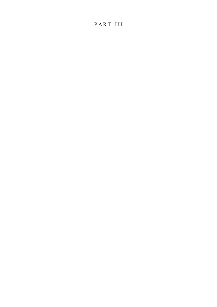## PART III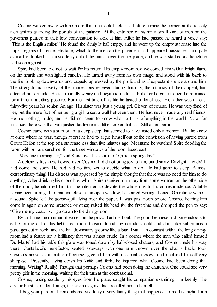Cosmo walked away with no more than one look back, just before turning the corner, at the tensely alert griffins guarding the portals of the palazzo. At the entrance of his inn a small knot of men on the pavement paused in their low conversation to look at him. After he had passed he heard a voice say: "This is the English milor." He found the dimly lit hall empty, and he went up the empty staircase into the upper regions of silence. His face, which to the men on the pavement had appeared passionless and pale as marble, looked at him suddenly out of the mirror over the fire-place, and he was startled as though he had seen a ghost.

Spire had been told not to wait for his return. His empty room had welcomed him with a bright flame on the hearth and with lighted candles. He turned away from his own image, and stood with his back to the fire, looking downwards and vaguely oppressed by the profound as if expectant silence around him. The strength and novelty of the impressions received during that day, the intimacy of their appeal, had affected his fortitude. He felt mortally weary and began to undress; but after he got into bed he remained for a time in a sitting posture. For the first time of his life he tasted of loneliness. His father was at least thirty-five years his senior. An age! His sister was just a young girl. Clever, of course. He was very fond of her, but the mere fact of her being a girl raised a wall between them. He had never made any real friends. He had nothing to do; and he did not seem to know what to think of anything in the world. Now, for instance, there was that vanquished fat figure in a little cocked hat. . . . Still an emperor.

Cosmo came with a start out of a deep sleep that seemed to have lasted only a moment. But he knew at once where he was, though at first he had to argue himself out of the conviction of having parted from Count Helion at the top of a staircase less than five minutes ago. Meantime he watched Spire flooding the room with brilliant sunshine, for the three windows of the room faced east.

"Very fine morning, sir," said Spire over his shoulder. "Quite a spring day."

A delicious freshness flowed over Cosmo. It did not bring joy to him, but dismay. Daylight already! It had come too soon. He had had no time yet to decide what to do. He had gone to sleep. A most extraordinary thing! His distress was appeased by the simple thought that there was no need for him to do anything. After drinking his chocolate, which Spire received on a tray from some woman on the other side of the door, he informed him that he intended to devote the whole day to his correspondence. A table having been arranged to that end close to an open window, he started writing at once. On retiring without a sound, Spire left the goose-quill flying over the paper. It was past noon before Cosmo, hearing him come in again on some pretence or other, raised his head for the first time and dropped the pen to say: "Give me my coat, I will go down to the dining-room."

By that time the murmur of voices on the piazza had died out. The good Genoese had gone indoors to eat. Coming out of his light-filled room Cosmo found the corridors cold and dark like subterranean passages cut in rock, and the hall downstairs gloomy like a burial vault. In contrast with it the long diningroom had a festive air, a brilliancy that was almost crude. In a corner where the man who called himself Dr. Martel had his table this glare was toned down by half-closed shutters, and Cosmo made his way there. Cantelucci's benefactor, seated sideways with one arm thrown over the chair's back, took Cosmo's arrival as a matter of course, greeted him with an amiable growl, and declared himself very sharp-set. Presently, laying down his knife and fork, he inquired what Cosmo had been doing that morning. Writing? Really! Thought that perhaps Cosmo had been doing the churches. One could see very pretty girls in the morning, waiting for their turn at the confessional.

Cosmo, raising suddenly his eyes from his plate, caught his companion examining him keenly. The doctor burst into a loud laugh, till Cosmo's grave face recalled him to himself.

"I beg your pardon. I remembered suddenly a very funny thing that happened to me last night. I am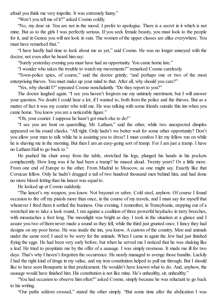afraid you think me very impolite. It was extremely funny."

"Won't you tell me of it?" asked Cosmo coldly.

"No, my dear sir. You are not in the mood. I prefer to apologise. There is a secret in it which is not mine. But as to the girls I was perfectly serious. If you seek female beauty, you must look to the people for it, and in Genoa you will not look in vain. The women of the upper classes are alike everywhere. You must have remarked that."

"I have hardly had time to look about me as yet," said Cosmo. He was no longer annoyed with the doctor, not even after he heard him say:

"Surely yesterday evening you must have had an opportunity. You came home late."

"I wonder who takes the trouble to watch my movements?" remarked Cosmo carelessly.

"Town-police spies, of course," said the doctor grimly; "and perhaps one or two of the most enterprising thieves. You must make up your mind to that. After all, why should you care?"

"Yes, why should I?" repeated Cosmo nonchalantly. "Do they report to you?"

The doctor laughed again. "I see you haven't forgiven me my untimely merriment; but I will answer your question. No doubt I could hear a lot, if I wanted to, both from the police and the thieves. But as a matter of fact it was my courier who told me. He was talking with some friends outside this inn when you came home. You know you are a noticeable figure."

"Oh, your courier. I suppose he hasn't got much else to do!"

"I see you are bent on quarrelling, Mr. Latham," said the other, while two unexpected dimples appeared on his round cheeks. "All right. Only hadn't we better wait for some other opportunity? Don't you allow your man to talk while he is assisting you to dress? I must confess I let my fellow run on while he is shaving me in the morning. But then I am an easy-going sort of tramp. For I am just a tramp. I have no Latham Hall to go back to."

He pushed his chair away from the table, stretched his legs, plunged his hands in his pockets complacently. How long was it he had been a tramp? he mused aloud. Twenty years? Or a little more. From one end of Europe to the other. From Madrid to Moscow, as one might say. Exactly like that Corsican fellow. Only he hadn't dragged a tail of two hundred thousand men behind him, and had done no more blood-letting than his lancet was equal to.

He looked up at Cosmo suddenly.

"The lancet's my weapon, you know. Not bayonet or sabre. Cold steel, anyhow. Of course I found occasion to fire off my pistols more than once, in the course of my travels, and I must say for myself that whenever I fired them it settled the business. One evening, I remember, in Transylvania, stepping out of a wretched inn to take a look round, I ran against a coalition of three powerful heyducks in tarry breeches, with moustaches a foot long. The moonlight was bright as day. I took in the situation at a glance and I assure you two of them never made a sound as they fell, while the third just grunted once. I fancy they had designs on my poor horse. He was inside the inn, you know. A custom of the country. Men and animals under the same roof; I used to be sorry for the animals. When I came in again the Jew had just finished frying the eggs. He had been very surly before, but when he served me I noticed that he was shaking like a leaf. He tried to propitiate me by the offer of a sausage. I was simply ravenous. It made me ill for two days. That's why I haven't forgotten the occurrence. He nearly managed to avenge those bandits. Luckily I had the right kind of drugs in my valise, and my iron constitution helped to pull me through. But I should like to have seen Bonaparte in that predicament. He wouldn't have known what to do. And, anyhow, the sausage would have finished him. His constitution is not like mine. He's unhealthy, sir, unhealthy."

"You had occasion to observe him often?" asked Cosmo, simply because he was reluctant to go back to his writing.

"Our paths seldom crossed," stated the other simply. "But some time after the abdication I was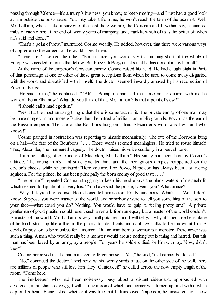passing through Valence—it's a tramp's business, you know, to keep moving—and I just had a good look at him outside the post-house. You may take it from me, he won't reach the term of the psalmist. Well, Mr. Latham, when I take a survey of the past, here we are, the Corsican and I, within, say, a hundred miles of each other, at the end of twenty years of tramping, and, frankly, which of us is the better off when all's said and done?"

"That's a point of view," murmured Cosmo wearily. He added, however, that there were various ways of appreciating the careers of the world's great men.

"There are," assented the other. "For instance, you would say that nothing short of the whole of Europe was needed to crush that fellow. But Pozzo di Borgo thinks that he has done it all by himself."

At the name of the emperor's Corsican enemy, Cosmo raised his head. He had caught sight in Paris of that personage at one or other of those great receptions from which he used to come away disgusted with the world and dissatisfied with himself. The doctor seemed inwardly amused by his recollection of Pozzo di Borgo.

"He said to me," he continued, " 'Ah! If Bonaparte had had the sense not to quarrel with me he wouldn't be in Elba now.' What do you think of that, Mr. Latham? Is that a point of view?"

"I should call it mad egotism."

"Yes. But the most amusing thing is that there is some truth in it. The private enmity of one man may be more dangerous and more effective than the hatred of millions on public grounds. Pozzo has the ear of the Russian emperor. The fate of the Bourbons hung on a hair. Alexander's word was law—and who knows!"

Cosmo plunged in abstraction was repeating to himself mechanically: "The fate of the Bourbons hung on a hair—the fate of the Bourbons." . . . Those words seemed meaningless. He tried to rouse himself. "Yes, Alexander," he murmured vaguely. The doctor raised his voice suddenly in a peevish tone.

"I am not talking of Alexander of Macedon, Mr. Latham." His vanity had been hurt by Cosmo's attitude. The young man's faint smile placated him, and the incongruous dimples reappeared on the doctor's cheeks while he continued: "Here you are. For Pozzo, Napoleon has always been a starveling squireen. For the prince, he has been principally the born enemy of good taste. . . ."

"The prince?" repeated Cosmo, struggling to keep his head above the black waters of melancholia which seemed to lap about his very lips. "You have said the prince, haven't you? What prince?"

"Why, Talleyrand, of course. He did once tell him so too. Pretty audacious! What? . . . Well, I don't know. Suppose you were master of the world, and somebody were to tell you something of the sort to your face—what could you do? Nothing. You would have to gulp it, feeling pretty small. A private gentleman of good position could resent such a remark from an equal, but a master of the world couldn't. A master of the world, Mr. Latham, is very small potatoes; and I will tell you why; it's because he is alone of his kind, stuck up like a thief in the pillory, for dead cats and cabbage stalks to be thrown at him. A devil of a position to be in unless for a moment. But no man born of woman is a monster. There never was such a thing. A man who would really be a monster would arouse nothing but loathing and hatred. But this man has been loved by an army, by a people. For years his soldiers died for him with joy. Now, didn't they?"

Cosmo perceived that he had managed to forget himself. "Yes," he said, "that cannot be denied."

"No," continued the doctor. "And now, within twenty yards of us, on the other side of the wall, there are millions of people who still love him. Hey! Cantelucci!" he called across the now empty length of the room. "Come here."

The inn-keeper, who had been noiselessly busy about a distant sideboard, approached with deference, in his shirt-sleeves, girt with a long apron of which one corner was turned up, and with a white cap on his head. Being asked whether it was true that Italians loved Napoleon, he answered by a bow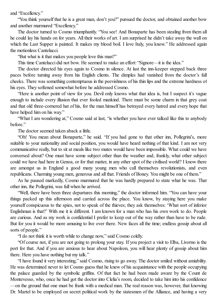and "Excellency."

"You think yourself that he is a great man, don't you?" pursued the doctor, and obtained another bow and another murmured "Excellency."

The doctor turned to Cosmo triumphantly. "You see! And Bonaparte has been stealing from them all he could lay his hands on for years. All their works of art. I am surprised he didn't take away the wall on which the Last Supper is painted. It makes my blood boil. I love Italy, you know." He addressed again the motionless Cantelucci.

"But what is it that makes you people love this man?"

This time Cantelucci did not bow. He seemed to make an effort: "Signore—it is the idea."

The doctor directed his eyes again to Cosmo in silence. At last the inn-keeper stepped back three paces before turning away from his English clients. The dimples had vanished from the doctor's full cheeks. There was something contemptuous in the peevishness of his thin lips and the extreme hardness of his eyes. They softened somewhat before he addressed Cosmo.

"Here is another point of view for you. Devil only knows what that idea is, but I suspect it's vague enough to include every illusion that ever fooled mankind. There must be some charm in that grey coat and that old three-cornered hat of his, for the man himself has betrayed every hatred and every hope that have helped him on his way."

"What I am wondering at," Cosmo said at last, "is whether you have ever talked like this to anybody before."

The doctor seemed taken aback a little.

"Oh! You mean about Bonaparte," he said. "If you had gone to that other inn, Pollegrini's, more suitable to your nationality and social position, you would have heard nothing of that kind. I am not very communicative really, but to sit at meals like two mutes would have been impossible. What could we have conversed about? One must have some subject other than the weather and, frankly, what other subject could we have had here in Genoa, or for that matter, in any other spot of the civilised world? I know there are amongst us in England a good many young men who call themselves revolutionists, and even republicans. Charming young men, generous and all that. Friends of Boney. You might be one of them."

As he paused markedly, Cosmo murmured that he was hardly prepared to state what he was. That other inn, the Pollegrini, was full when he arrived.

"Well, there have been three departures this morning," the doctor informed him. "You can have your things packed up this afternoon and carried across the place. You know, by staying here you make yourself conspicuous to the spies, not to speak of the thieves; they ask themselves: 'What sort of inferior Englishman is that?' With me it is different. I am known for a man who has his own work to do. People are curious. And as my work is confidential I prefer to keep out of the way rather than have to be rude. But for you it would be more amusing to live over there. New faces all the time; endless gossip about all sorts of people."

"I do not think it is worth while to change now," said Cosmo coldly.

"Of course not, if you are not going to prolong your stay. If you project a visit to Elba, Livorno is the port for that. And if you are anxious to hear about Napoleon, you will hear plenty of gossip about him there. Here you have nothing but my talk."

"I have found it very interesting," said Cosmo, rising to go away. The doctor smiled without amiability. He was determined never to let Cosmo guess that he knew of his acquaintance with the people occupying the palace guarded by the symbolic griffins. Of that fact he had been made aware by the Count de Montevesso, who, once he had got the doctor into Clelia's room, decided to take him into his confidence —on the ground that one must be frank with a medical man. The real reason was, however, that knowing Dr. Martel to be employed on secret political work by the statesmen of the Alliance, and having a very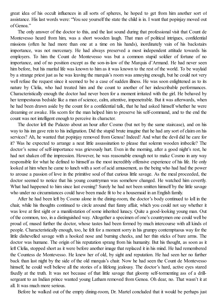great idea of his occult influences in all sorts of spheres, he hoped to get from him another sort of assistance. His last words were: "You see yourself the state the child is in. I want that popinjay moved out of Genoa<sup>"</sup>

The only answer of the doctor to this, and the last sound during that professional visit that Count de Montevesso heard from him, was a short wooden laugh. That man of political intrigues, confidential missions (often he had more than one at a time on his hands), inordinately vain of his backstairs importance, was not mercenary. He had always preserved a most independent attitude towards his employers. To him the Count de Montevesso was but a common stupid soldier of fortune of no importance, and of no position except as the son-in-law of the Marquis d'Armand. He had never seen him before, but his marital life was known to him as it was known to the rest of the world. To be waylaid by a strange priest just as he was leaving the marquis's room was annoying enough, but he could not very well refuse the request since it seemed to be a case of sudden illness. He was soon enlightened as to its nature by Clelia, who had treated him and the count to another of her indescribable performances. Characteristically enough the doctor had never been for a moment irritated with the girl. He behaved by her tempestuous bedside like a man of science, calm, attentive, impenetrable. But it was afterwards, when he had been drawn aside by the count for a confidential talk, that he had asked himself whether he were dreaming or awake. His scorn for the man helped him to preserve his self-command, and to the end the count was not intelligent enough to perceive its character.

The doctor left the Palazzo about an hour after Cosmo (but not by the same staircase), and on his way to his inn gave rein to his indignation. Did the stupid brute imagine that he had any sort of claim on his services? Ah, he wanted that popinjay removed from Genoa! Indeed! And what the devil did he care for it? Was he expected to arrange a neat little assassination to please that solemn wooden imbecile? The doctor's sense of self-importance was grievously hurt. Even in the morning, after a good night's rest, he had not shaken off the impression. However, he was reasonable enough not to make Cosmo in any way responsible for what he defined to himself as the most incredibly offensive experience of his life. He only looked at him when he came to lunch with a sort of acid amusement, as the being who had had the power to arouse a passion of love in the primitive soul of that curious little savage. As the meal proceeded, the doctor seemed to notice that his young countryman was somehow changed. He watched him covertly. What had happened to him since last evening? Surely he had not been smitten himself by the little savage who under no circumstances could have been made fit to be a housemaid in an English family.

After he had been left by Cosmo alone in the dining-room, the doctor's body continued to loll in the chair, while his thoughts continued to circle around that funny affair, which you could not say whether it was love at first sight or a manifestation of some inherited lunacy. Quite a good-looking young man. Out of the common, too, in a distinguished way. Altogether a specimen of one's countrymen one could well be proud of, mused further the doctor, whose tastes had been formed by much intercourse with all kinds of people. Characteristically enough, too, he felt for a moment sorry in his grumpy contemptuous way for the little dishevelled savage with a hooked nose and burning cheeks, and her thin sticks of bare arms. The doctor was humane. The origin of his reputation sprang from his humanity. But his thought, as soon as it left Clelia, stopped short as it were before another image that replaced it in his mind. He had remembered the Countess de Montevesso. He knew her of old, by sight and reputation. He had seen her no further back than last night by the side of the old marquis's chair. Now he had seen the Count de Montevesso himself, he could well believe all the stories of a lifelong jealousy. The doctor's hard, active eyes stared fixedly at the truth. It was not because of that little savage that gloomy self-tormenting ass of a drillsergeant to an Indian prince wanted young Latham removed from Genoa. Oh dear, no. That wasn't it at all. It was much more serious.

Before he walked out of the empty dining-room, Dr. Martel concluded that it would be perhaps just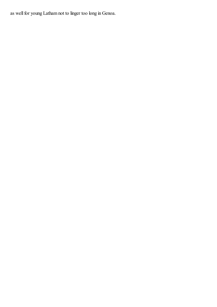as well for young Latham not to linger too long in Genoa.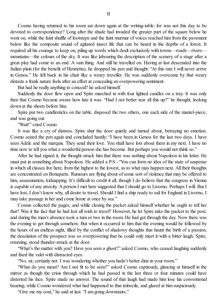Cosmo having returned to his room sat down again at the writing-table: for was not this day to be devoted to correspondence? Long after the shade had invaded the greater part of the square below he went on, while the faint shuffle of footsteps and the faint murmur of voices reached him from the pavement below like the composite sound of agitated insect life that can be heard in the depths of a forest. It required all his courage to keep on, piling up words which dealt exclusively with towns—roads—rivers mountains—the colours of the sky. It was like labouring the description of the scenery of a stage after a great play had come to an end. A vain thing. And still he travelled on. Having at last descended into the Italian plain (for the benefit of Henrietta), he dropped his pen and thought: "At this rate I will never arrive in Genoa." He fell back in his chair like a weary traveller. He was suddenly overcome by that weary distaste a frank nature feels after an effort at concealing an overpowering sentiment.

But had he really anything to conceal? he asked himself.

Suddenly the door flew open and Spire marched in with four lighted candles on a tray. It was only then that Cosmo became aware how late it was. "Had I not better tear all this up?" he thought, looking down at the sheets before him.

Spire put two candlesticks on the table, disposed the two others, one each side of the mantel-piece, and was going out.

"Wait!" cried Cosmo.

It was like a cry of distress. Spire shut the door quietly and turned about, betraying no emotion. Cosmo seized the pen again and concluded hastily: "I have been in Genoa for the last two days. I have seen Adèle and the marquis. They send their love. You shall have lots about them in my next. I have no time now to tell you what a wonderful person she has become. But perhaps you would not think so."

After he had signed it, the thought struck him that there was nothing about Napoleon in his letter. He must put in something about Napoleon. He added a P.S.: "You can form no idea of the state of suspense in which all classes live here, from the highest to the lowest, as to what may happen next. All their thoughts are concentrated on Bonaparte. Rumours are flying about of some sort of violence that may be offered to him, assassination, kidnapping. It's difficult to credit it all, though I do believe that the congress in Vienna is capable of any atrocity. A person I met here suggested that I should go to Livorno. Perhaps I will. But I have lost, I don't know why, all desire to travel. Should I find a ship ready to sail for England in Livorno, I may take passage in her and come home at once by sea."

Cosmo collected the pages, and while closing the packet asked himself whether he ought to tell her that? Was it the fact that he had lost all wish to travel? However, he let Spire take the packet to the post, and during the man's absence took a turn or two in the room. He had got through the day. Now there was the evening to get through somehow. But when it occurred to him that the evening would be followed by the hours of an endless night, filled by the conflict of shadowy thoughts that haunt the birth of a passion, the desolation of the prospect was so overpowering that he could only meet it with a bitter laugh. Spire, returning, stood thunder-struck at the door.

"What's the matter with you? Have you seen a ghost?" asked Cosmo, who ceased laughing suddenly and fixed the valet with distracted eyes.

"No, sir, certainly not. I was wondering whether you hadn't better dine in your room."

"What do you mean? Am I not fit to be seen?" asked Cosmo captiously, glancing at himself in the mirror as though the crisis through which he had passed in the last three or four minutes could have distorted his face. Spire made no answer. The sound of that laugh had made him lose his conventional bearing; while Cosmo wondered what had happened to that imbecile, and glared at him suspiciously.

"Give me my coat," he said at last. "I am going downstairs."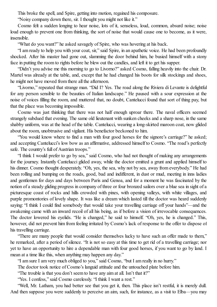This broke the spell, and Spire, getting into motion, regained his composure.

"Noisy company down there, sir. I thought you might not like it."

Cosmo felt a sudden longing to hear noise, lots of it, senseless, loud, common, absurd noise; noise loud enough to prevent one from thinking, the sort of noise that would cause one to become, as it were, insensible.

"What do you want?" he asked savagely of Spire, who was hovering at his back.

"I am ready to help you with your coat, sir," said Spire, in an apathetic voice. He had been profoundly shocked. After his master had gone out, slamming the door behind him, he busied himself with a stony face in putting the room to rights before he blew out the candles, and left it to get his supper.

"Didn't you advise me this morning to go to Livorno?" asked Cosmo, falling heavily into the chair. Dr. Martel was already at the table, and, except that he had changed his boots for silk stockings and shoes, he might not have moved from there all the afternoon.

"Livorno," repeated that strange man. "Did I? Yes. The road along the Riviera di Levante is delightful for any person sensible to the beauties of Italian landscape." He paused with a sour expression at the noise of voices filling the room, and muttered that, no doubt, Cantelucci found that sort of thing pay, but that the place was becoming impossible.

Cosmo was just thinking that there was not half enough uproar there. The naval officers seemed strangely subdued that evening. The same old lieutenant with sunken cheeks and a sharp nose, in the same shabby uniform, was at the head of the table. Cantelucci, wearing a long-skirted maroon coat, now glided about the room, unobtrusive and vigilant. His benefactor beckoned to him.

"You would know where to find a man with four good horses for the signore's carriage?" he asked; and accepting Cantelucci's low bow as an affirmative, addressed himself to Cosmo. "The road's perfectly safe. The country's full of Austrian troops."

"I think I would prefer to go by sea," said Cosmo, who had not thought of making any arrangements for the journey. Instantly Cantelucci glided away, while the doctor emitted a grunt and applied himself to his dinner. Cosmo thought desperately. "Oh, yes, the sea, why not by sea, away from everybody." He had been rolling and bumping on the roads, good, bad and indifferent, in dust or mud, meeting in inns ladies and gentlemen for days and days between Paris and Genoa, and for a moment he was fascinated by the notion of a steady gliding progress in company of three or four bronzed sailors over a blue sea in sight of a picturesque coast of rocks and hills crowded with pines, with opening valleys, with white villages, and purple promontories of lovely shape. It was like a dream which lasted till the doctor was heard suddenly saying: "I think I could find somebody that would take your travelling carriage off your hands"—and the awakening came with an inward recoil of all his being, as if before a vision of irrevocable consequences. The doctor lowered his eyelids. "He is changed," he said to himself. "Oh, yes, he is changed." This, however, did not prevent him from feeling irritated by Cosmo's lack of response to the offer to dispose of his travelling carriage.

"There are many people that would consider themselves lucky to have such an offer made to them," he remarked, after a period of silence. "It is not so easy at this time to get rid of a travelling carriage; nor yet to have an opportunity to hire a dependable man with four good horses, if you want to go by land. I mean at a time like this, when anything may happen any day."

"I am sure I am very much obliged to you," said Cosmo, "but I am really in no hurry."

The doctor took notice of Cosmo's languid attitude and the untouched plate before him.

"The trouble is that you don't seem to have any aim at all. Isn't that it?"

"Yes. I confess," said Cosmo carelessly. "I think I want a rest."

"Well, Mr. Latham, you had better see that you get it, then. This place isn't restful, it is merely dull. And then suppose you were suddenly to perceive an aim, such, for instance, as a visit to Elba—you may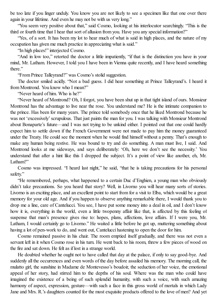be too late if you linger unduly. You know you are not likely to see a specimen like that one over there again in your lifetime. And even he may not be with us very long."

"You seem very positive about that," said Cosmo, looking at his interlocutor searchingly. "This is the third or fourth time that I hear that sort of allusion from you. Have you any special information?"

"Yes, of a sort. It has been my lot to hear much of what is said in high places, and the nature of my occupation has given me much practice in appreciating what is said."

"In high places!" interjected Cosmo.

"And in low too," retorted the doctor a little impatiently, "if that is the distinction you have in your mind, Mr. Latham. However, I told you I have been in Vienna quite recently, and I have heard something there."

"From Prince Talleyrand?" was Cosmo's stolid suggestion.

The doctor smiled acidly. "Not a bad guess. I did hear something at Prince Talleyrand's. I heard it from Montrond. You know who I mean?"

"Never heard of him. Who is he?"

"Never heard of Montrond? Oh, I forgot, you have been shut up in that tight island of ours. Monsieur Montrond has the advantage to live near the rose. You understand me? He is the intimate companion to the prince. Has been for many years. The prince told somebody once that he liked Montrond because he was not 'excessively'scrupulous. That just paints the man for you. I was talking with Monsieur Montrond about Bonaparte's future—and I was not trying to be unkind either. I pointed out that one could hardly expect him to settle down if the French Government were not made to pay him the money guaranteed under the Treaty. He could see the moment when he would find himself without a penny. That's enough to make any human being restive. He was bound to try and do something. A man must live, I said. And Montrond looks at me sideways, and says deliberately: 'Oh, here we don't see the necessity.' You understand that after a hint like this I dropped the subject. It's a point of view like another, eh, Mr. Latham?"

Cosmo was impressed. "I heard last night," he said, "that he is taking precautions for his personal safety."

"He remembered, perhaps, what happened to a certain Duc d'Enghien, a young man who obviously didn't take precautions. So you heard that story? Well, in Livorno you will hear many sorts of stories. Livorno is an exciting place, and an excellent point to start from for a visit to Elba, which would be a great memory for your old age. And if you happen to observe anything remarkable there, I would thank you to drop me a line, care of Cantelucci. You see, I have put some money into a deal in oil, and I don't know how it is, everything in the world, even a little twopenny affair like that, is affected by this feeling of suspense that man's presence gives rise to: hopes, plans, affections, love affairs. If I were you, Mr. Latham, I would certainly go to Livorno." He waited a little before he got up, muttering something about having a lot of pen-work to do, and went out, Cantelucci hastening to open the door for him.

Cosmo remained passive in his chair. The room emptied itself gradually, and there was not even a servant left in it when Cosmo rose in his turn. He went back to his room, threw a few pieces of wood on the fire and sat down. He felt as if lost in a strange world.

He doubted whether he ought not to have called that day at the palace, if only to say good-bye. And suddenly all the occurrences and even words of the day before assailed his memory. The morning call, the mulatto girl, the sunshine in Madame de Montevesso's boudoir, the seduction of her voice, the emotional appeal of her story, had stirred him to the depths of his soul. Where was the man who could have imagined the existence of a being of such splendid humanity, with such a voice, with such amazing harmony of aspect, expression, gesture—with such a face in this gross world of mortals in which Lady Jane and Mrs. R.'s daughters counted for the most exquisite products offered to the love of men? And yet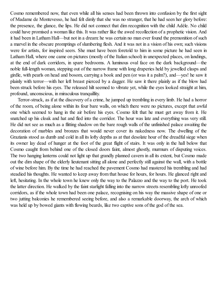Cosmo remembered now, that even while all his senses had been thrown into confusion by the first sight of Madame de Montevesso, he had felt dimly that she was no stranger, that he had seen her glory before: the presence, the glance, the lips. He did not connect that dim recognition with the child Adèle. No child could have promised a woman like this. It was rather like the awed recollection of a prophetic vision. And it had been in Latham Hall—but not in a dream: he was certain no man ever found the premonition ofsuch a marvel in the obscure promptings ofslumbering flesh. And it was not in a vision of his own; such visions were for artists, for inspired seers. She must have been foretold to him in some picture he had seen in Latham Hall, where one came on pictures (mostly of the Italian school) in unexpected places, on landings, at the end of dark corridors, in spare bedrooms. A luminous oval face on the dark background—the noble full-length woman, stepping out of the narrow frame with long draperies held by jewelled clasps and girdle, with pearls on head and bosom, carrying a book and pen (or was it a palm?), and—yes! he saw it plainly with terror—with her left breast pierced by a dagger. He saw it there plainly as if the blow had been struck before his eyes. The released hilt seemed to vibrate yet, while the eyes looked straight at him, profound, unconscious, in miraculous tranquillity.

Terror-struck, as if at the discovery of a crime, he jumped up trembling in every limb. He had a horror of the room, of being alone within its four bare walls, on which there were no pictures, except that awful one which seemed to hang in the air before his eyes. Cosmo felt that he must get away from it. He snatched up his cloak and hat and fled into the corridor. The hour was late and everything was very still. He did not see as much as a flitting shadow on the bare rough walls of the unfinished palace awaiting the decoration of marbles and bronzes that would never cover its nakedness now. The dwelling of the Grazianis stood as dumb and cold in all its lofty depths as at that desolate hour of the dreadfulsiege when its owner lay dead of hunger at the foot of the great flight of stairs. It was only in the hall below that Cosmo caught from behind one of the closed doors faint, almost ghostly, murmurs of disputing voices. The two hanging lanterns could not light up that grandly planned cavern in all its extent, but Cosmo made out the dim shape of the elderly lieutenant sitting all alone and perfectly still against the wall, with a bottle of wine before him. By the time he had reached the pavement Cosmo had mastered his trembling and had steadied his thoughts. He wanted to keep away from that house for hours, for hours. He glanced right and left, hesitating. In the whole town he knew only the way to the Palazzo and the way to the port. He took the latter direction. He walked by the faint starlight falling into the narrow streets resembling lofty unroofed corridors, as if the whole town had been one palace, recognising on his way the massive shape of one or two jutting balconies he remembered seeing before, and also a remarkable doorway, the arch of which was held up by bowed giants with flowing beards, like two captive sons of the god of the sea.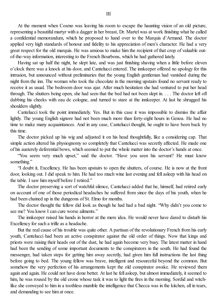At the moment when Cosmo was leaving his room to escape the haunting vision of an old picture, representing a beautiful martyr with a dagger in her breast, Dr. Martel was at work finishing what he called a confidential memorandum, which he proposed to hand over to the Marquis d'Armand. The doctor applied very high standards of honour and fidelity to his appreciation of men's character. He had a very great respect for the old marquis. He was anxious to make him the recipient of that crop of valuable outof-the-way information, interesting to the French Bourbons, which he had gathered lately.

Having sat up half the night, he slept late, and was just finishing shaving when a little before eleven o'clock there was a knock at his door, and Cantelucci entered. The innkeeper offered no apology for this intrusion, but announced without preliminaries that the young English gentleman had vanished during the night from the inn. The woman who took the chocolate in the morning upstairs found no servant ready to receive it as usual. The bedroom door was ajar. After much hesitation she had ventured to put her head through. The shutters being open, she had seen that the bed had not been slept in. . . . The doctor left off dabbing his cheeks with eau de cologne, and turned to stare at the innkeeper. At last he shrugged his shoulders slightly.

Cantelucci took the point immediately. Yes. But in this case it was impossible to dismiss the affair lightly. The young English signore had not been much more than forty-eight hours in Genoa. He had no time to make many acquaintances. And in any case, Cantelucci thought, he ought to have been back by this time.

The doctor picked up his wig and adjusted it on his head thoughtfully, like a considering cap. That simple action altered his physiognomy so completely that Cantelucci was secretly affected. He made one of his austerely deferential bows, which seemed to put the whole matter into the doctor's hands at once.

"You seem very much upset," said the doctor. "Have you seen his servant? He must know something."

"I doubt it, Excellency. He has been upstairs to open the shutters, of course. He is now at the front door, looking out. I did speak to him. He had too much wine last evening and fell asleep with his head on the table. I saw him myself before I retired."

The doctor preserving a sort of watchful silence, Cantelucci added that he, himself, had retired early on account of one of those periodical headaches he suffered from since the days of his youth, when he had been chained up in the dungeons of St. Elmo for months.

The doctor thought the fellow did look as though he had had a bad night. "Why didn't you come to see me? You know I can cure worse ailments."

The innkeeper raised his hands in horror at the mere idea. He would never have dared to disturb his Excellency for such a trifle as a headache.

But the real cause of his trouble was quite other. A partisan of the revolutionary French from his early youth, Cantelucci had been an active conspirator against the old order of things. Now that kings and priests were raising their heads out of the dust, he had again become very busy. The latest matter in hand had been the sending of some important documents to the conspirators in the south. He had found the messenger, had taken steps for getting him away secretly, had given him full instructions the last thing before going to bed. The young fellow was brave, intelligent and resourceful beyond the common. But somehow the very perfection of his arrangements kept the old conspirator awake. He reviewed them again and again. He could not have done better. At last he fell asleep, but almost immediately, it seemed to him, he was roused by the old crone whose task it was to light the fires in the morning. Sordid and witchlike she conveyed to him in a toothless mumble the intelligence that Checca was in the kitchen, all in tears, and demanding to see him at once.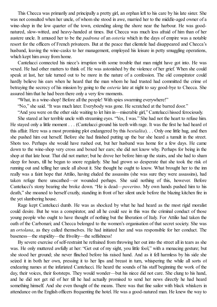This Checca was primarily and principally a pretty girl, an orphan left to his care by his late sister. She was not consulted when her uncle, of whom she stood in awe, married her to the middle-aged owner of a wine-shop in the low quarter of the town, extending along the shore near the harbour. He was goodnatured, slow-witted, and heavy-handed at times. But Checca was much less afraid of him than of her austere uncle. It amused her to be the *padrona* of an *osteria* which in the days of empire was a notable resort for the officers of French privateers. But at the peace that clientele had disappeared and Checca's husband, leaving the wine-casks to her management, employed his leisure in petty smuggling operations, which kept him away from home.

Cantelucci connected his niece's irruption with some trouble that man might have got into. He was vexed. He had other matters to think of. He was astonished by the violence of her grief. When she could speak at last, her tale turned out to be more in the nature of a confession. The old conspirator could hardly believe his ears when he heard that the man whom he had trusted had committed the crime of betraying the secrecy of his mission by going to the *osteria* late at night to say good-bye to Checca. She assured him that he had been there only a very few moments.

"What, in a wine-shop! Before all the people! With spies swarming everywhere!"

"No," she said. "It was much later. Everybody was gone. He scratched at the barred door."

"And you were on the other side waiting to let him in—miserable girl," Cantelucci hissed ferociously.

She stared at her terrible uncle with streaming eyes. "Yes, I was." She had not the heart to refuse him. He stayed only a little moment . . . (Cantelucci ground his teeth with rage. It was the first he had heard of this affair. Here was a most promising plot endangered by this *bestialita*). . . Only one little hug, and then she pushed him out herself. Before she had finished putting up the bar she heard a tumult in the street. Shots too. Perhaps she would have rushed out, but her husband was home for a few days. He came down to the wine-shop very cross and boxed her ears; she did not know why. Perhaps for being in the shop at that late hour. That did not matter; but he drove her before him up the stairs, and she had to sham sleep for hours, till he began to snore regularly. She had grown so desperate that she took the risk of running out and telling her uncle all about it. She thought he ought to know. What brought her to the inn really was a faint hope that Attilio, having eluded the assassins (she was sure they were assassins), had taken refuge there unscathed—or wounded perhaps. She said nothing of this, however. Before Cantelucci's stony bearing she broke down. "He is dead—*poverino*. My own hands pushed him to his death," she moaned to herself crazily, standing in front of her silent uncle before the blazing kitchen fire in the yet slumbering house.

Rage kept Cantelucci dumb. He was as shocked by what he had heard as the most rigid moralist could desire. But he was a conspirator, and all he could see in this was the criminal conduct of those young people who ought to have thought of nothing but the liberation of Italy. For Attilio had taken the oath of the Carbonari; and Checca belonged to the women's organisation of that secret society. She was an *ortolana*, as they called themselves. He had initiated her and was responsible for her conduct. The baseness—the stupidity—the frivolity—the selfishness!

By severe exercise ofself-restraint he refrained from throwing her out into the street all in tears as she was. He only muttered awfully at her: "Get out of my sight, you little fool," with a menacing gesture; but she stood her ground; she never flinched before his raised hand. And as it fell harmless by his side she seized it in both her own, pressing it to her lips and breast in turn, whispering the while all sorts of endearing names at the infuriated Cantelucci. He heard the sounds of his staff beginning the work of the day, their voices, their footsteps. They would wonder—but his niece did not care. She clung to his hand, and he did not get rid of her till he had actually promised to send her news directly he had heard something himself. And she even thought of the means. There was that fine sailor with black whiskers in attendance on the English officers frequenting the hotel. He was a good-natured man. He knew the way to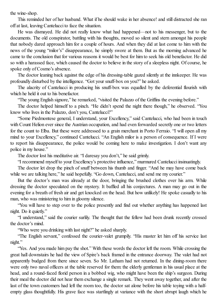the wine-shop.

This reminded her of her husband. What if he should wake in her absence! and still distracted she ran off at last, leaving Cantelucci to face the situation.

He was dismayed. He did not really know what had happened—not to his messenger, but to the documents. The old conspirator, battling with his thoughts, moved so silent and stern amongst his people that nobody dared approach him for a couple of hours. And when they did at last come to him with the news of the young "milor's" disappearance, he simply swore at them. But as the morning advanced he came to the conclusion that for various reasons it would be best for him to seek his old benefactor. He did so with a harassed face, which caused the doctor to believe in the story of a sleepless night. Of course, he spoke only of Cosmo's absence.

The doctor leaning back against the edge of his dressing-table gazed silently at the innkeeper. He was profoundly disturbed by the intelligence. "Got your snuff-box on you?" he asked.

The alacrity of Cantelucci in producing his snuff-box was equalled by the deferential flourish with which he held it out to his benefactor.

"The young English signore," he remarked, "visited the Palazzo of the Griffins the evening before."

The doctor helped himself to a pinch. "He didn't spend the night there though," he observed. "You know who lives in the Palazzo, don't you, Cantelucci?"

"Some Piedmontese general, I understand, your Excellency," said Cantelucci, who had been in touch with Count Helion ever since the Austrian occupation, and had even forwarded secretly one or two letters for the count to Elba. But these were addressed to a grain merchant in Porto Ferraio. "I will open all my mind to your Excellency," continued Cantelucci. "An English milor is a person of consequence. If I were to report his disappearance, the police would be coming here to make investigation. I don't want any police in my house."

The doctor lost his meditative air. "I daresay you don't," he said grimly.

"I recommend myself to your Excellency's protective influence," murmured Cantelucci insinuatingly.

The doctor let drop the pinch of snuff between his thumb and finger. "And he may have come back while we are talking here," he said hopefully. "Go down, Cantelucci, and send me my courier."

But the doctor's man was already at the door, bringing the brushed clothes over his arm. While dressing the doctor speculated on the mystery. It baffled all his conjectures. A man may go out in the evening for a breath of fresh air and get knocked on the head. But how unlikely! He spoke casually to his man, who was ministering to him in gloomy silence.

"You will have to step over to the police presently and find out whether anything has happened last night. Do it quietly."

"I understand," said the courier surlily. The thought that the fellow had been drunk recently crossed the doctor's mind.

"Who were you drinking with last night?" he asked sharply.

"The English servant," confessed the courier-valet grumpily. "His master let him off his service last night."

"Yes. And you made him pay the shot." With these words the doctor left the room. While crossing the great hall downstairs he had the view of Spire's back framed in the entrance doorway. The valet had not apparently budged from there since seven. So Mr. Latham had not returned. In the dining-room there were only two naval officers at the table reserved for them: the elderly gentleman in his usual place at the head, and a round-faced florid person in a bobbed wig, who might have been the ship's surgeon. During their meal the doctor did not hear them exchange a single remark. They went away together, and after the last of the town customers had left the room too, the doctor sat alone before his table toying with a halfempty glass thoughtfully. His grave face was startlingly at variance with the short abrupt laugh which he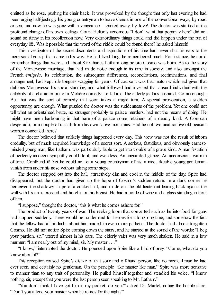emitted as he rose, pushing his chair back. It was provoked by the thought that only last evening he had been urging half-jestingly his young countryman to leave Genoa in one of the conventional ways, by road or sea, and now he was gone with a vengeance—spirited away, by Jove! The doctor was startled at the profound change of his own feelings. Count Helion's venomous "I don't want that popinjay here" did not sound so funny in his recollection now. Very extraordinary things could and did happen under the run of everyday life. Was it possible that the word of the riddle could be found there? he asked himself.

This investigator of the secret discontents and aspirations of his time had never shut his ears to the mere social gossip that came in his way. He had lived long, he remembered much. For instance, he could remember things that were said about Sir Charles Latham long before Cosmo was born. As to the story of the Montevesso marriage, that had made noise enough in its time in society, and also amongst the French *émigrés*. Its celebration, the subsequent differences, reconciliations, recriminations, and final arrangement, had kept idle tongues wagging for years. Of course it was that match which had given that dubious Montevesso his social standing; and what followed had invested that absurd individual with the celebrity of a character out of a Molière comedy: Le Jaloux. The elderly jealous husband. Comic enough. But that was the sort of comedy that soon takes a tragic turn. A special provocation, a sudden opportunity, are enough. What puzzled the doctor was the suddenness of the problem. Yet one could not tell what an orientalised brute, no stranger probably to palace murders, had not the means of doing. He might have been harbouring in that barn of a palace some retainers of a deadly kind. A Corsican desperado, or a couple of rascals from his own native mountains. Had he not two unattractive old peasant women concealed there?

The doctor believed that unlikely things happened every day. This view was not the result of inborn credulity, but of much acquired knowledge of a secret sort. A serious, fastidious, and obviously earnestminded young man, like Latham, was particularly liable to get into trouble of a grave kind. A manifestation of perfectly innocent sympathy could do it, and even less. An unguarded glance. An unconscious warmth of tone. Confound it! Yet he could not let a young countryman of his, a nice, likeable young gentleman, vanish from under his nose without taking some steps.

The doctor stepped out into the hall, attractively dim and cool in the middle of the day. Spire had disappeared, but the doctor had given up the hope of Cosmo's sudden return. In a dark corner he perceived the shadowy shape of a cocked hat, and made out the old lieutenant leaning back against the wall with his arms crossed and his chin on his breast. He had a bottle of wine and a glass standing in front of him.

"I suppose," thought the doctor, "this is what he comes ashore for."

The product of twenty years of war. The reeking loom that converted such as he into food for guns had stopped suddenly. There would be no demand for heroes for a long long time, and somehow the fact that the fellow had all his limbs about him made him even more pathetic. The doctor had almost forgotten Cosmo. He did not notice Spire coming down the stairs, and he started at the sound of the words: "I beg your pardon, sir," uttered almost in his ears. The elderly valet was very much shaken. He said in a low murmur: "I am nearly out of my mind, sir. My master . . ."

"I know," interrupted the doctor. He pounced upon Spire like a bird of prey. "Come, what do you know about it?"

This reception roused Spire's dislike of that sour and off-hand person, like no medical man he had ever seen, and certainly no gentleman. On the principle "like master like man," Spire was more sensitive to manner than to any trait of personality. He pulled himself together and steadied his voice. "I know nothing, sir, except that you were the last person seen speaking to Mr. Latham."

"You don't think I have got him in my pocket, do you?" asked Dr. Martel, noting the hostile stare. "Don't you attend your master when he retires for the night?"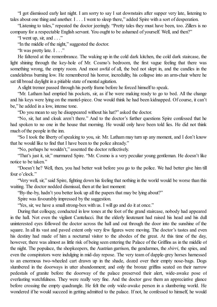"I got dismissed early last night. I am sorry to say I sat downstairs after supper very late, listening to tales about one thing and another. I . . . I went to sleep there," added Spire with a sort of desperation.

"Listening to tales," repeated the doctor jeeringly. "Pretty tales they must have been, too. Zillers is no company for a respectable English servant. You ought to be ashamed of yourself. Well, and then?"

"I went up, sir, and . . ."

"In the middle of the night," suggested the doctor.

"It was pretty late. I . . ."

He faltered at the remembrance. The waking up in the cold dark kitchen, the cold dark staircase, the light shining through the key-hole of Mr. Cosmo's bedroom, the first vague feeling that there was something wrong, the empty room. And most awful of all, the bed not slept in, and the candles in the candelabras burning low. He remembered his horror, incredulity, his collapse into an arm-chair where he sat till broad daylight in a pitiable state of mental agitation.

A slight tremor passed through his portly frame before he forced himself to speak.

"Mr. Latham had emptied his pockets, sir, as if he were making ready to go to bed. All the change and his keys were lying on the mantel-piece. One would think he had been kidnapped. Of course, it can't be," he added in a low, intense tone.

"Do you mean to say he disappeared without his hat?" asked the doctor.

"No, sir, hat and cloak aren't there." And to the doctor's further questions Spire confessed that he had spoken to no one in the house that morning. He would only have been told lies. He did not think much of the people in the inn.

"So I took the liberty of speaking to you, sir. Mr. Latham may turn up any moment, and I don't know that he would like to find that I have been to the police already."

"No, perhaps he wouldn't," assented the doctor reflectively.

"That's just it, sir," murmured Spire. "Mr. Cosmo is a very peculiar young gentleman. He doesn't like notice to be taken."

"Doesn't he? Well, then, you had better wait before you go to the police. We had better give him till four o'clock."

"Very well, sir," said Spire, fighting down his feeling that nothing in the world would be worse than this waiting. The doctor nodded dismissal, then at the last moment:

"By-the-by, hadn't you better look up all the papers that may be lying about?"

Spire was favourably impressed by the suggestion.

"Yes, sir, we have a small strong-box with us. I will go and do it at once."

During that colloquy, conducted in low tones at the foot of the grand staircase, nobody had appeared in the hall. Not even the vigilant Cantelucci. But the elderly lieutenant had raised his head and his dull uninterested eyes followed the doctor across the hall and out through the door into the sunshine of the square. In all its vast and paved extent only very few figures were moving. The doctor's tastes and even his destiny had made of him a nocturnal visitor to the abodes of the great. At this time of the day, however, there was almost as little risk of being seen entering the Palace of the Griffins as in the middle of the night. The populace, the shopkeepers, the Austrian garrison, the gendarmes, the *sbirri*, the spies, and even the conspirators were indulging in mid-day repose. The very team of dapple-grey horses harnessed to an enormous two-wheeled cart drawn up in the shade, dozed over their empty nose-bags. Dogs slumbered in the doorways in utter abandonment; and only the bronze griffins seated on their narrow pedestals of granite before the doorway of the palace preserved their alert, wide-awake pose of everlasting watchfulness. They were really very fine. And the doctor gave them an appreciative glance before crossing the empty quadrangle. He felt the only wide-awake person in a slumbering world. He wondered if he would succeed in getting admitted to the palace. If not, he confessed to himself, he would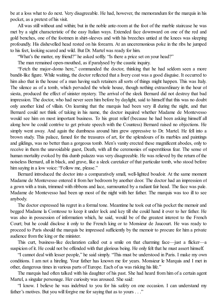be at a loss what to do next. Very disagreeable. He had, however, the memorandum for the marquis in his pocket, as a pretext of his visit.

All was still without and within; but in the noble ante-room at the foot of the marble staircase he was met by a sight characteristic of the easy Italian ways. Extended face downward on one of the red and gold benches, one of the footmen in shirt-sleeves and with his breeches untied at the knees was sleeping profoundly. His dishevelled head rested on his forearm. At an unceremonious poke in the ribs he jumped to his feet, looking scared and wild. But Dr. Martel was ready for him.

"What's the matter, my friend?" he asked softly. "Is there a price set on your head?"

The man remained open-mouthed, as if paralysed by the caustic inquiry.

"Fetch the major-domo here," commanded the doctor, thinking that he had seldom seen a more bandit-like figure. While waiting, the doctor reflected that a livery coat was a good disguise. It occurred to him also that in the house of a man having such retainers all sorts of things might happen. This was Italy. The silence as of a tomb, which pervaded the whole house, though nothing extraordinary in the hour of siesta, produced the effect of sinister mystery. The arrival of the sleek Bernard did not destroy that bad impression. The doctor, who had never seen him before by daylight, said to himself that this was no doubt only another kind of villain. On learning that the marquis had been very ill during the night, and that Bernard could not think of taking in his name, the doctor inquired whether Madame de Montevesso would see him on most important business. To his great relief (because he had been asking himself all along how he could contrive to get private speech with the Countess) Bernard raised no objections. He simply went away. And again the dumbness around him grew oppressive to Dr. Martel. He fell into a brown study. This palace, famed for the treasures of art, for the splendours of its marbles and paintings and gildings, was no better than a gorgeous tomb. Men's vanity erected these magnificent abodes, only to receive in them the unavoidable guest, Death, with all the ceremonies of superstitious fear. The sense of human mortality evoked by this dumb palazzo was very disagreeable. He was relieved by the return of the noiseless Bernard, all in black, and grave, like a sleek caretaker of that particular tomb, who stood before him saying in a low voice: "Follow me, please."

Bernard introduced the doctor into a comparatively small, well-lighted boudoir. At the same moment Madame de Montevesso entered it from her bedroom by another door. The doctor had an impression of a gown with a train, trimmed with ribbons and lace, surmounted by a radiant fair head. The face was pale. Madame de Montevesso had been up most of the night with her father. The marquis was too ill to see anybody.

The doctor expressed his regret in a formal tone. Meantime he took out of his pocket the memoir and begged Madame la Comtesse to keep it under lock and key till she could hand it over to her father. He was also in possession of information which, he said, would be of the greatest interest to the French Court; but he could disclose it only to the French king or to Monsieur de Jaucourt. He was ready to proceed to Paris should the marquis be impressed sufficiently by the memoir to procure for him a private audience from the king or the minister.

This curt, business-like declaration called out a smile on that charming face—just a flicker—a suspicion of it. He could not be offended with that glorious being. He only felt that he must assert himself.

"I cannot deal with lesser people," he said simply. "This must be understood in Paris. I make my own conditions. I am not a hireling. Your father has known me for years. Monsieur le Marquis and I met in other, dangerous times in various parts of Europe. Each of us was risking his life."

The marquis had often talked with his daughter of his past. She had heard from him of a certain agent Martel, a singular personage. Her curiosity was aroused. She said:

"I know. I believe he was indebted to you for his safety on one occasion. I can understand my father's motives. But you will forgive me for saying that as to yours . . ."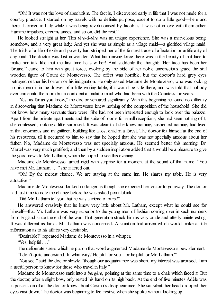"Oh! It was not the love of absolutism. The fact is, I discovered early in life that I was not made for a country practice. I started on my travels with no definite purpose, except to do a little good—here and there. I arrived in Italy while it was being revolutionised by Jacobins. I was not in love with them either. Humane impulses, circumstances, and so on, did the rest."

He looked straight at her. This *tête-à-tête* was an unique experience. She was a marvellous being, somehow, and a very great lady. And yet she was as simple as a village maid—a glorified village maid. The trials of a life of exile and poverty had stripped her of the faintest trace of affectation or artificiality of any kind. The doctor was lost in wonder. What humanising force there was in the beauty of that face to make him talk like that the first time he saw her! And suddenly the thought: "Her face has been her fortune," came to him with great force, evoking by the side of her noble unconscious grace the stiff wooden figure of Count de Montevesso. The effect was horrible, but the doctor's hard grey eyes betrayed neither his horror nor his indignation. He only asked Madame de Montevesso, who was locking up his memoir in the drawer of a little writing-table, if it would be safe there, and was told that nobody ever came into the room but a confidential mulatto maid who had been with the Countess for years.

"Yes, as far as you know," the doctor ventured significantly. With this beginning he found no difficulty in discovering that Madame de Montevesso knew nothing of the composition of the household. She did not know how many servants there were. She had not been interested enough to look over the palazzo. Apart from the private apartments and the suite of rooms for small receptions, she had seen nothing of it, she confessed, looking a little surprised. It was clear that she knew nothing, suspected nothing, had lived in that enormous and magnificent building like a lost child in a forest. The doctor felt himself at the end of his resources, till it occurred to him to say that he hoped that she was not specially anxious about her father. No, Madame de Montevesso was not specially anxious. He seemed better this morning. Dr. Martel was very much gratified; and then by a sudden inspiration added that it would be a pleasure to give the good news to Mr. Latham, whom he hoped to see this evening.

Madame de Montevesso turned rigid with surprise for a moment at the sound of that name. "You have met Mr. Latham . . ." she faltered out.

"Oh! By the merest chance. We are staying at the same inn. He shares my table. He is very attractive."

Madame de Montevesso looked no longer as though she expected her visitor to go away. The doctor had just time to note the change before he was asked point-blank:

"Did Mr. Latham tell you that he was a friend of ours?"

He answered evasively that he knew very little about Mr. Latham, except what he could see for himself—that Mr. Latham was very superior to the young men of fashion coming over in such numbers from England since the end of the war. That generation struck him as very crude and utterly uninteresting. It was different as far as Mr. Latham was concerned. A situation had arisen which would make a little information as to his affairs very desirable.

"Desirable?" repeated Madame de Montevesso in a whisper.

"Yes, helpful . . ."

The deliberate stress which he put on that word augmented Madame de Montevesso's bewilderment.

"I don't quite understand. In what way? Helpful for you—or helpful for Mr. Latham?"

"You see," said the doctor slowly, "though our acquaintance was short, my interest was aroused. I am a useful person to know for those who travel in Italy."

Madame de Montevesso sank into a *bergère*, pointing at the same time to a chair which faced it. But the doctor, after a slight bow, only rested his hand on its high back. At the end of five minutes Adèle was in possession of all the doctor knew about Cosmo's disappearance. She sat silent, her head drooped, her eyes cast down. The doctor was beginning to feelrestive when she spoke without looking up: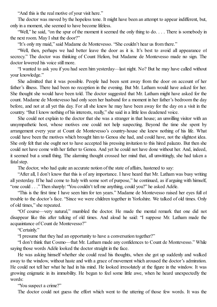"And this is the real motive of your visit here."

The doctor was moved by the hopeless tone. It might have been an attempt to appear indifferent, but, only in a moment, she seemed to have become lifeless.

"Well," he said, "on the spur of the moment it seemed the only thing to do.... There is somebody in the next room. May I shut the door?"

"It's only my maid," said Madame de Montevesso. "She couldn't hear us from there."

"Well, then, perhaps we had better leave the door as it is. It's best to avoid all appearance of secrecy." The doctor was thinking of Count Helion, but Madame de Montevesso made no sign. The doctor lowered his voice still more.

"I wanted to ask you if you had seen him yesterday—last night. No? But he may have called without your knowledge."

She admitted that it was possible. People had been sent away from the door on account of her father's illness. There had been no reception in the evening. But Mr. Latham would have asked for her. She thought she would have been told. The doctor suggested that Mr. Latham might have asked for the count. Madame de Montevesso had only seen her husband for a moment in her father's bedroom the day before, and not at all yet this day. For all she knew he may have been away for the day on a visit in the country. "But I know nothing of his interests, really," she said in a little less deadened voice.

She could not explain to the doctor that she was a stranger in that house; an unwilling visitor with an unsympathetic host, whose motives one could not help suspecting. Beyond the time she spent by arrangement every year at Count de Montevesso's country-house she knew nothing of his life. What could have been the motives which brought him to Genoa she had, and could have, not the slightest idea. She only felt that she ought not to have accepted his pressing invitation to this hired palazzo. But then she could not have come with her father to Genoa. And yet he could not have done without her. And, indeed, it seemed but a small thing. The alarming thought crossed her mind that, all unwittingly, she had taken a fatal step.

The doctor, who had quite an accurate notion of the state of affairs, hastened to say:

"After all, I don't know that this is of any importance. I have heard that Mr. Latham was busy writing all yesterday. If he had come to Italy with some sort of purpose," he continued, as if arguing with himself, "one could . . ." Then sharply: "You couldn't tell me anything, could you?" he asked Adèle.

"This is the first time I have seen him for ten years." Madame de Montevesso raised her eyes full of trouble to the doctor's face. "Since we were children together in Yorkshire. We talked of old times. Only of old times," she repeated.

"Of course—very natural," mumbled the doctor. He made the mental remark that one did not disappear like this after talking of old times. And aloud he said: "I suppose Mr. Latham made the acquaintance of Count de Montevesso?"

"Certainly."

"I presume that they had an opportunity to have a conversation together?"

"I don't think that Cosmo—that Mr. Latham made any confidences to Count de Montevesso." While saying those words Adèle looked the doctor straight in the face.

He was asking himself whether she could read his thoughts, when she got up suddenly and walked away to the window, without haste and with a grace of movement which aroused the doctor's admiration. He could not tell her what he had in his mind. He looked irresolutely at the figure in the window. It was growing enigmatic in its immobility. He began to feel some little awe, when he heard unexpectedly the words:

"You suspect a crime?"

The doctor could not guess the effort which went to the uttering of those few words. It was the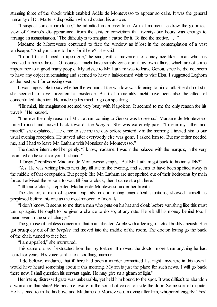stunning force of the shock which enabled Adèle de Montevesso to appear so calm. It was the general humanity of Dr. Martel's disposition which dictated his answer.

"I suspect some imprudence," he admitted in an easy tone. At that moment he drew the gloomiest view of Cosmo's disappearance, from the sinister conviction that twenty-four hours was enough to arrange an assassination. "The difficulty is to imagine a cause for it. To find the motive. . . ."

Madame de Montevesso continued to face the window as if lost in the contemplation of a vast landscape. "And you came to look for it here?" she said.

"I don't think I need to apologise," he said, with a movement of annoyance like a man who has received a home-thrust. "Of course I might have simply gone about my own affairs, which are of some importance to a good many people. My advice to Mr. Latham was to leave Genoa, since he did not seem to have any object in remaining and seemed to have a half-formed wish to visit Elba. I suggested Leghorn as the best port for crossing over."

It was impossible to say whether the woman at the window was listening to him at all. She did not stir, she seemed to have forgotten his existence. But that immobility might have been also the effect of concentrated attention. He made up his mind to go on speaking.

"His mind, his imagination seemed very busy with Napoleon. It seemed to me the only reason for his travels." He paused.

"I believe the only reason of Mr. Latham coming to Genoa was to see us." Madame de Montevesso turned round and moved back towards the *bergère*. She was extremely pale. "I mean my father and myself," she explained. "He came to see me the day before yesterday in the morning. I invited him to our usual evening reception. He stayed after everybody else was gone. I asked him to. But my father needed me, and I had to leave Mr. Latham with Monsieur de Montevesso."

The doctor interrupted her gently. "I know, madame. I was in the palazzo with the marquis, in the very room, when he sent for your husband."

"I forgot," confessed Madame de Montevesso simply. "But Mr. Latham got back to his inn safely?"

"Yes. He was writing letters next day till late in the evening, and seems to have been spirited away in the middle of that occupation. But people like Mr. Latham are not spirited out of their bedrooms by main force. I advised the servant to wait till four o'clock, then I came straight here."

"Till four o'clock," repeated Madame de Montevesso under her breath.

The doctor, a man of special capacity in confronting enigmatical situations, showed himself as perplexed before this one as the most innocent of mortals.

"I don't know. It seems to me that a man who puts on his hat and cloak before vanishing like this must turn up again. He ought to be given a chance to do so, at any rate. He left all his money behind too. I mean even to the small change."

The glimpse of helpless concern in that man affected Adèle with a feeling of actual bodily anguish. She got brusquely out of the *bergère* and moved into the middle of the room. The doctor, letting go the back of the chair, turned to face her.

"I am appalled," she murmured.

This came out as if extracted from her by torture. It moved the doctor more than anything he had heard for years. His voice sank into a soothing murmur.

"I do believe, madame, that if there had been a murder committed last night anywhere in this town I would have heard something about it this morning. My inn is just the place for such news. I will go back there now. I shall question his servant again. He may give us a gleam of light."

Her intent, distressed gaze was unbearable, yet held him bound to the spot. It was difficult to abandon a woman in that state! He became aware of the sound of voices outside the door. Some sort of dispute. He hastened to make his bow, and Madame de Montevesso, moving after him, whispered eagerly: "Yes!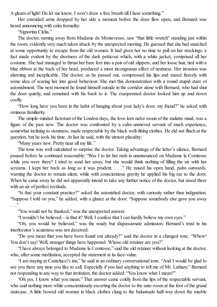A gleam of light! Do let me know. I won't draw a free breath till I hear something."

Her extended arms dropped by her side a moment before the door flew open, and Bernard was heard announcing with calm formality:

"Signorina Clelia."

The doctor, turning away from Madame de Montevesso, saw "that little wretch" standing just within the room, evidently very much taken aback by the unexpected meeting. He guessed that she had snatched at some opportunity to escape from the old women. It had given her no time to pull on her stockings, a fact made evident by the shortness of the dark petticoat which, with a white jacket, comprised all her costume. She had managed to thrust her bare feet into a pair of old slippers, and her loose hair, tied with a blue ribbon at the back of her head, produced a most incongruous effect of neatness. Her invasion was alarming and inexplicable. The doctor, as he passed out, compressed his lips and stared fiercely with some idea of scaring her into good behaviour. She met this demonstration with a round stupid stare of astonishment. The next moment he found himself outside in the corridor alone with Bernard, who had shut the door quietly, and remained with his back to it. The exasperated doctor looked him up and down coolly.

"How long have you been in the habit of hanging about your lady's door, my friend?" he asked with ominous familiarity.

The simple-minded factotum of the London days, the love-lorn naïve swain of the mulatto maid, was a figure of the past now. The doctor was confronted by a calm unmoved servant of much experience, somewhat inclining to stoutness, made respectable by the black well-fitting clothes. He did not flinch at the question, but he took his time. At last he said, with the utmost placidity:

"Many years now. Pretty near all my life."

The tone was well calculated to surprise the doctor. Taking advantage of the latter's silence, Bernard paused before he continued reasonably: "Was I to let her rush in unannounced on Madame la Comtesse while you were there? I tried to send her away, but she would think nothing of filling the air with her screams. I kept her back as long as it was prudent. . . ." He raised his open hand, palm outwards, warning the doctor to remain silent, while with conscientious gravity he applied his big ear to the door. When he came away he did not apparently intend to take any further notice of the doctor, but stood there with an air of perfect rectitude.

"Is that your constant practice?" asked the astonished doctor, with curiosity rather than indignation. "Suppose I told on you," he added, with a glance at the door. "Suppose somebody else gave you away  $\cdot$  .

"You would not be thanked," was the unexpected answer.

"I wouldn't be believed—is that it? Well, I confess that I can hardly believe my own eyes."

"Oh, you would be believed," was the ready but dispassionate admission. Bernard's trust in his interlocutor's acuteness was not deceived.

"Do you mean that you have been found out already?" said the doctor in a changed tone. "Whew! You don't say! Well, stranger things have happened. Whose old retainer are you?"

"I have always belonged to Madame la Comtesse," said the old retainer without looking at the doctor, who, after some meditation, accepted the statement at its face-value.

"I am staying at Cantelucci's inn," he said in an ordinary conversational tone. "And I would be glad to see you there any time you like to call. Especially if you had anything to tell me of Mr. Latham." Bernard not responding in any way to that invitation, the doctor added: "You know what I mean?"

"Oh yes, I know what you mean." That answer came coldly from the lips of the respectable servant, who said nothing more while conscientiously escorting the doctor to the ante-room at the foot of the grand staircase. A little bowed old woman in black clothes clung to the balustrade half-way down the marble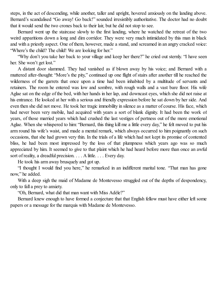steps, in the act of descending, while another, taller and upright, hovered anxiously on the landing above. Bernard's scandalised "Go away! Go back!" sounded irresistibly authoritative. The doctor had no doubt that it would send the two crones back to their lair, but he did not stop to see.

Bernard went up the staircase slowly to the first landing, where he watched the retreat of the two weird apparitions down a long and dim corridor. They were very much intimidated by this man in black and with a priestly aspect. One of them, however, made a stand, and screamed in an angry cracked voice: "Where's the child? The child! We are looking for her."

"Why don't you take her back to your village and keep her there?" he cried out sternly. "I have seen her. She won't get lost."

A distant door slammed. They had vanished as if blown away by his voice; and Bernard with a muttered after-thought: "More's the pity," continued up one flight of stairs after another till he reached the wilderness of the garrets that once upon a time had been inhabited by a multitude of servants and retainers. The room he entered was low and sombre, with rough walls and a vast bare floor. His wife Aglae sat on the edge of the bed, with her hands in her lap, and downcast eyes, which she did not raise at his entrance. He looked at her with a serious and friendly expression before he sat down by her side. And even then she did not move. He took her tragic immobility in silence as a matter of course. His face, which had never been very mobile, had acquired with years a sort of blank dignity. It had been the work of years, of those married years which had crushed the last vestiges of pertness out of the more emotional Aglae. When she whispered to him: "Bernard, this thing kill me a little every day," he felt moved to put his arm round his wife's waist, and made a mental remark, which always occurred to him poignantly on such occasions, that she had grown very thin. In the trials of a life which had not kept its promise of contented bliss, he had been most impressed by the loss of that plumpness which years ago was so much appreciated by him. It seemed to give to that plaint which he had heard before more than once an awful sort of reality, a dreadful precision. . . . A little. . . . Every day.

He took his arm away brusquely and got up.

"I thought I would find you here," he remarked in an indifferent marital tone. "That man has gone now," he added.

With a deep sigh the maid of Madame de Montevesso struggled out of the depths of despondency, only to fall a prey to anxiety.

"Oh, Bernard, what did that man want with Miss Adèle?"

Bernard knew enough to have formed a conjecture that that English fellow must have either left some papers or a message for the marquis with Madame de Montevesso.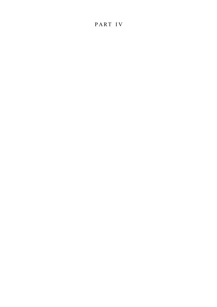## P ART I V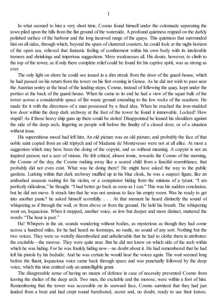In what seemed to him a very short time, Cosmo found himself under the colonnade separating the town piled upon the hills from the flat ground of the waterside. A profound quietness reigned on the darkly polished surface of the harbour and the long incurved range of the quays. This quietness that surrounded him on all sides, through which, beyond the spars of clustered coasters, he could look at the night-horizon of the open sea, relieved that fantastic feeling of confinement within his own body with its intolerable tremors and shrinkings and imperious suggestions. Mere weaknesses all. His desire, however, to climb to the top of the tower, as if only there complete relief could be found for his captive spirit, was as strong as ever.

The only light on shore he could see issued in a dim streak from the door of the guard-house, which he had passed on his return from the tower on his first evening in Genoa. As he did not wish to pass near the Austrian sentry at the head of the landing-steps, Cosmo, instead of following the quay, kept under the portico at the back of the guard-house. When he came to its end he had a view of the squat bulk of the tower across a considerable space of flat waste ground extending to the low rocks of the seashore. He made for it with the directness of a man possessed by a fixed idea. When he reached the iron-studded low door within the deep dark archway at the foot of the tower he found it immovable. Locked! How stupid! As if those heavy ship guns up there could be stolen! Disappointed he leaned his shoulders against the side of the deep arch, lingering as people will before the finality of a closed door, or of a situation without issue.

His superstitious mood had left him. An old picture was an old picture; and probably the face of that noble saint copied from an old triptych and of Madame de Montevesso were not at all alike. At most a suggestion which may have been the doing of the copyist, and so without meaning. A copyist is not an inspired person; not a seer of visions. He felt critical, almost ironic, towards the Cosmo of the morning, the Cosmo of the day, the Cosmo rushing away like a scared child from a fanciful resemblance, that probably did not even exist. What was he doing there? He might have asked the way to the public gardens. Lurking within that dark archway muffled up in his blue cloak, he was a suspect figure, like an ambushed assassin waiting for his victim, or a conspirator hiding from the minions of a tyrant. "I am perfectly ridiculous," he thought. "I had better go back as soon as I can." This was his sudden conclusion, but he did not move. It struck him that he was not anxious to face his empty room. Was he ready to get into another panic? he asked himself scornfully. . . . At that moment he heard distinctly the sound of whispering as if through the wall, or from above or from the ground. He held his breath. The whispering went on, loquacious. When it stopped, another voice, as low but deeper and more distinct, muttered the words: "The hour is past."

Ha! Whispers in the air, sounds wandering without bodies, as mysterious as though they had come across a hundred miles, for he had heard no footsteps, no rustle, no sound of any sort. Nothing but the two voices. They were so weirdly disembodied and unbelievable that he had to clothe them in attributes: the excitable—the morose. They were quite near. But he did not know on which side of the arch within which he was hiding. For he was frankly hiding now—no doubt about it. He had remembered that he had left his pistols by his bedside. And he was certain he would hear the voices again. The wait seemed long before the fluent, loquacious voice came back through space and was punctually followed by the deep voice, which this time emitted only an unintelligible grunt.

The disagreeable sense of having no means of defence in case of necessity prevented Cosmo from leaving the shelter of the deep arch. Two men, the excitable and the morose, were within a foot of him. Remembering that the tower was accessible on its seaward face, Cosmo surmised that they had just landed from a boat and had crept round barefooted, secret and, no doubt, ready to use their knives.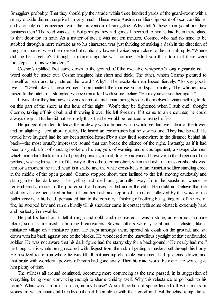Smugglers probably. That they should ply their trade within three hundred yards of the guard-room with a sentry outside did not surprise him very much. These were Austrian soldiers, ignorant of local conditions, and certainly not concerned with the prevention of smuggling. Why didn't these men go about their business then? The road was clear. But perhaps they had gone? It seemed to him he had been there glued to that door for an hour. As a matter of fact it was not ten minutes. Cosmo, who had no mind to be stabbed through a mere mistake as to his character, was just thinking of making a dash in the direction of the guard-house, when the morose but cautiously lowered voice began close to the arch abruptly: "Where did the beast get to? I thought a moment ago he was coming. Didn't you think too that there were footsteps—just as we landed?"

Cosmo's uplifted foot came down to the ground. Of the excitable whisperer's long rigmarole not a word could be made out. Cosmo imagined him short and thick. The other, whom Cosmo pictured to himself as lean and tall, uttered the word "Why?" The excitable man hissed fiercely: "To say goodbye."—"Devil take all these women," commented the morose voice dispassionately. The whisper now raised to the pitch of a strangled wheeze remarked with some feeling: "He may never see her again."

It was clear they had never even dreamt of any human being besides themselves having anything to do on this part of the shore at this hour of the night. "Won't they be frightened when I rush out!" thought Cosmo, taking off his cloak and throwing it over his left forearm. If it came to an encounter, he could always drop it. But he did not seriously think that he would be reduced to using his fists.

He judged it prudent to leave the archway with a bound which would get him well clear of the tower, and on alighting faced about quickly. He heard an exclamation but he saw no one. They had bolted! He would have laughed had he not been startled himself by a shot fired somewhere in the distance behind his back—the most brutally impressive sound that can break the silence of the night. Instantly, as if it had been a signal, a lot of shouting broke on his ear, yells of warning and encouragement, a savage clamour, which made him think of a lot of people pursuing a mad dog. He advanced however in the direction of the portico, wishing himself out of the way of this odious commotion, when the flash of a musket-shot showed him for a moment the tilted head in a shako and the white cross-belts of an Austrian soldier standing erect in the middle of the open ground. Cosmo stopped short, then inclined to the left, moving cautiously and staring into the darkness. The yelling had died out gradually away from the seashore, where he remembered a cluster of the poorer sort of houses nestled under the cliffs. He could not believe that the shot could have been fired at him, till another flash and report of a musket, followed by the whizz of the bullet very near his head, persuaded him to the contrary. Thinking of nothing but getting out of the line of fire, he stooped low and ran on blindly till his shoulder came in contact with some obstacle extremely hard and perfectly immovable.

He put his hand on it, felt it rough and cold, and discovered it was a stone, an enormous square block, such as are used in building breakwaters. Several others were lying about in a cluster, like a miniature village on a miniature plain. He crept amongst them, spread his cloak on the ground, and sat down with his back against one of the blocks. He wondered at the marvellous eyesight of that confounded soldier. He was not aware that his dark figure had the starry sky for a background. "He nearly had me," he thought. His whole being recoiled with disgust from the risk of getting a musket-ball through his body. He resolved to remain where he was till all that incomprehensible excitement had quietened down, and that brute with wonderful powers of vision had gone away. Then his road would be clear. He would give him plenty of time.

The stillness all around continued, becoming more convincing as the time passed, in its suggestion of everything being over, convincing enough to shame timidity itself. Why this reluctance to go back to his room? What was a room in an inn, in any house? A small portion of space fenced off with bricks or stones, in which innumerable individuals had been alone with their good and evil thoughts, temptations,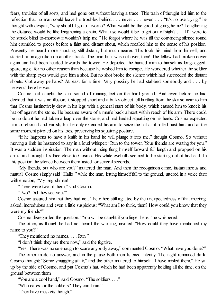fears, troubles of all sorts, and had gone out without leaving a trace. This train of thought led him to the reflection that no man could leave his troubles behind . . . never . . . never. . . . "It's no use trying," he thought with despair, "why should I go to Livorno? What would be the good of going home? Lengthening the distance would be like lengthening a chain. What use would it be to get out of sight? . . . If I were to be struck blind to-morrow it wouldn't help me." He forgot where he was till the convincing silence round him crumbled to pieces before a faint and distant shout, which recalled him to the sense of his position. Presently he heard more shouting, still distant, but much nearer. This took his mind from himself, and started his imagination on another track. The man-hunt was not over, then! The fellow had broken cover again and had been headed towards the tower. He depicted the hunted man to himself as long-legged, spare, agile, for no other reason than because he wished him to escape. He wondered whether the soldier with the sharp eyes would give him a shot. But no shot broke the silence which had succeeded the distant shouts. Got away perhaps? At least for a time. Very possibly he had stabbed somebody and . . . by heavens! here he was!

Cosmo had caught the faint sound of running feet on the hard ground. And even before he had decided that it was no illusion, it stopped short and a bulky object fell hurtling from the sky so near to him that Cosmo instinctively drew in his legs with a general start of his body, which caused him to knock his hat off against the stone. He became aware of a man's back almost within reach of his arm. There could be no doubt he had taken a leap over the stone, and had landed squatting on his heels. Cosmo expected him to rebound and vanish, but he only extended his arm to seize the hat as it rolled past him, and at the same moment pivoted on his toes, preserving his squatting posture.

"If he happens to have a knife in his hand he will plunge it into me," thought Cosmo. So without moving a limb he hastened to say in a loud whisper: "Run to the tower. Your friends are waiting for you." It was a sudden inspiration. The man without rising flung himself forward full length and propped on his arms, and brought his face close to Cosmo. His white eyeballs seemed to be starting out of his head. In this position the silence between them lasted for several seconds.

"My friends, but who are you?" muttered the man. And then the recognition came, instantaneous and mutual. Cosmo simply said "Hallo!" while the man, letting himself fall to the ground, uttered in a voice faint with emotion, "My Englishman!"

"There were two of them," said Cosmo.

"Two? Did they see you?"

Cosmo assured him that they had not. The other, still agitated by the unexpectedness of that meeting, asked, incredulous and even a little suspicious: "What am I to think, then? How could you know that they were my friends?"

Cosmo disregarded the question. "You will be caught if you linger here," he whispered.

The other, as though he had not heard the warning, insisted: "How could they have mentioned my name to you?"

"They mentioned no names. . . . Run."

"I don't think they are there now," said the fugitive.

"Yes. There was noise enough to scare anybody away," commented Cosmo. "What have you done?"

The other made no answer, and in the pause both men listened intently. The night remained dark. Cosmo thought: "Some smuggling affair," and the other muttered to himself: "I have misled them." He sat up by the side of Cosmo, and put Cosmo's hat, which he had been apparently holding all the time, on the ground between them.

"You are a cool hand," said Cosmo. "The soldiers . . ."

"Who cares for the soldiers? They can't run."

"They have muskets though."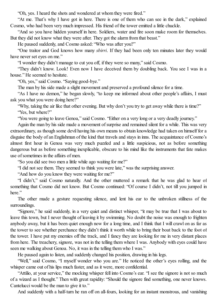"Oh, yes. I heard the shots and wondered at whom they were fired."

"At me. That's why I have got in here. There is one of them who can see in the dark," explained Cosmo, who had been very much impressed. His friend of the tower emitted a little chuckle.

"And so you have hidden yourself in here. Soldiers, water and fire soon make room for themselves. But they did not know what they were after. They got the alarm from that beast."

He paused suddenly, and Cosmo asked: "Who was after you?"

"One traitor and God knows how many *sbirri*. If they had been only ten minutes later they would have never set eyes on me."

"I wonder they didn't manage to cut you off, if they were so many," said Cosmo.

"They didn't know. Look! Even now I have deceived them by doubling back. You see I was in a house." He seemed to hesitate.

"Oh, yes," said Cosmo. "Saying good-bye."

The man by his side made a slight movement and preserved a profound silence for a time.

"As I have no demon," he began slowly, "to keep me informed about other people's affairs, I must ask you what you were doing here?"

"Why, taking the air like that other evening. But why don't you try to get away while there is time?" "Yes, but where?"

"You were going to leave Genoa," said Cosmo. "Either on a very long or a very deadly journey."

Again the man by his side made a movement of surprise and remained silent for a while. This was very extraordinary, as though some devil having his own means to obtain knowledge had taken on himself for a disguise the body of an Englishman of the kind that travels and stays in inns. The acquaintance of Cosmo's almost first hour in Genoa was very much puzzled and a little suspicious, not as before something dangerous but as before something inexplicable, obscure to his mind like the instruments that fate makes use of sometimes in the affairs of men.

"So you did see two men a little while ago waiting for me?"

"I did not see them. They seemed to think you were late," was the surprising answer.

"And how do you know they were waiting for me?"

"I didn't," said Cosmo naturally. And the other muttered a remark that he was glad to hear of something that Cosmo did not know. But Cosmo continued: "Of course I didn't, not till you jumped in here."

The other made a gesture requesting silence, and lent his ear to the unbroken stillness of the surroundings.

"Signore," he said suddenly, in a very quiet and distinct whisper, "it may be true that I was about to leave this town, but I never thought of leaving it by swimming. No doubt the noise was enough to frighten anybody away, but it has been quiet enough now for a long time, and I think that I will crawl on as far as the tower to see whether perchance they didn't think it worth while to bring their boat back to the foot of the tower. I have put my enemies off the track, and I fancy they are looking for me in very distant places from here. The treachery, signore, was not in the telling them where I was. Anybody with eyes could have seen me walking about Genoa. No, it was in the telling them who I was."

He paused again to listen, and suddenly changed his position, drawing in his legs.

"Well," said Cosmo, "I myself wonder who you are." He noticed the other's eyes rolling, and the whisper came out of his lips much faster, and as it were, more confidential.

"Attilio, at your service," the mocking whisper fell into Cosmo's ear. "I see the signore is not so much of a wizard as I thought." Then with great rapidity: "Should the signore find something, one never knows. Cantelucci would be the man to give it to."

And suddenly with a half-turn he ran off on all-fours, looking for an instant monstrous, and vanishing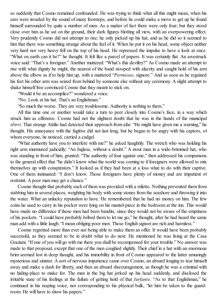so suddenly that Cosmo remained confounded. He was trying to think what all this might mean, when his ears were invaded by the sound of many footsteps, and before he could make a move to get up he found himself surrounded by quite a number of men. As a matter of fact there were only four; but they stood close over him as he sat on the ground, their dark figures blotting all view, with an overpowering effect. Very prudently Cosmo did not attempt to rise; he only picked up his hat, and as he did so it seemed to him that there was something strange about the feel of it. When he put it on his head, some object neither very hard nor very heavy fell on the top of his head. He repressed the impulse to have a look at once. "What on earth can it be?" he thought. It felt like a parcel of papers. It was certainly flat. An awestruck voice said: "That's a foreigner." Another muttered: "What's this deviltry?" As Cosmo made an attempt to rise with what dignity he might, the nearest of the band stooped with alacrity and caught hold of his arm above the elbow as if to help him up, with a muttered "*Permesso*, signore." And as soon as he regained his feet his other arm was seized from behind by someone else without any ceremony. A slight attempt to shake himself free convinced Cosmo that they meant to stick on.

"Would it be an accomplice?" wondered a voice.

"No. Look at his hat. That's an Englishman."

"So much the worse. They are very troublesome. Authority is nothing to them."

All this time one or another would take a turn to peer closely into Cosmo's face, in a way which struck him as offensive. Cosmo had not the slightest doubt that he was in the hands of the municipal *sbirri*. That strange Attilio had detected their approach from afar. "He might have given me a warning," he thought. His annoyance with the fugitive did not last long, but he began to be angry with his captors, of whom everyone, he noticed, carried a cudgel.

"What authority have you to interfere with me?" he asked haughtily. The wretch who was holding his right arm murmured judicially: "An Inglese, without a doubt." A stout man in a wide-brimmed hat, who was standing in front of him, grunted: "The authority of four against one," then addressed his companions to the general effect that "he didn't know what the world was coming to if foreigners were allowed to mix themselves up with conspirators." It looked as if they had been at a loss what to do with their captive. One of them insinuated: "I don't know. Those foreigners have plenty of money and are impatient of restraint. A poor man may get a chance."

Cosmo thought that probably each of them was provided with a stiletto. Nothing prevented them from stabbing him in several places, weighting his body with some stones from the seashore and throwing it into the water. What an unlucky reputation to have. He remembered that he had no money on him. The few coins he used to carry in his pocket were lying on his mantel-piece in the bedroom at the inn. This would have made no difference if those men had been bandits, since they would not be aware of the emptiness of his pockets. "I could have probably bribed them to let me go," he thought, after he had heard the same man add with a little laugh: "I mean obliging poor men. Those English signori are rich and harmless."

Cosmo regretted more than ever not being able to make them an offer. It would have been probably successful, as they seemed to be in doubt what to do next. He mentioned he was living at the Casa Graziani. "If one of you will go with me there you shall be recompensed for your trouble." No answer was made to that proposal, except that one of the men coughed slightly. Their chief in a hat with an enormous brim seemed lost in deep thought, and his immobility in front of Cosmo appeared to the latter amusingly mysterious and sinister. A sort of nervous impatience came over Cosmo, an absurd longing to tear himself away and make a dash for liberty, and then an absurd discouragement, as though he was a criminal with no hiding-place to make for. The man in the big hat jerked up his head suddenly, and disclosed the irritable state of his feelings at the failure of getting hold of that *furfante*. "As to that Englishman," he continued in his rasping voice, not corresponding to his physical bulk, "let him be taken to the guardroom. He will have to show his papers."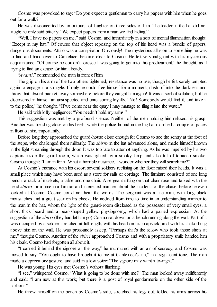Cosmo was provoked to say: "Do you expect a gentleman to carry his papers with him when he goes out for a walk?"

He was disconcerted by an outburst of laughter on three sides of him. The leader in the hat did not laugh; he only said bitterly: "We expect papers from a man we find hiding."

"Well, I have no papers on me," said Cosmo, and immediately in a sort of mental illumination thought, "Except in my hat." Of course that object reposing on the top of his head was a bundle of papers, dangerous documents. Attilio was a conspirator. Obviously! The mysterious allusion to something he was to find and hand over to Cantelucci became clear to Cosmo. He felt very indignant with his mysterious acquaintance. "Of course he couldn't foresee I was going to get into this predicament." he thought, as if trying to find an excuse for him already.

"*Avanti*," commanded the man in front of him.

The grip on his arm of the two others tightened, resistance was no use, though he felt sorely tempted again to engage in a struggle. If only he could free himself for a moment, dash off into the darkness and throw that absurd packet away somewhere before they caught him again! It was a sort ofsolution; but he discovered in himself an unsuspected and unreasoning loyalty. "No! Somebody would find it, and take it to the police," he thought. "If we come near the quay I may manage to fling it into the water."

He said with lofty negligence: "You needn't hold my arms."

This suggestion was met by a profound silence. Neither of the men holding him relaxed his grasp. Another was treading close on his heels, while the police-hound in the big hat marched a couple of paces in front of him, importantly.

Before long they approached the guard-house close enough for Cosmo to see the sentry at the foot of the steps, who challenged them militarily. The *sbirro* in the hat advanced alone, and made himself known in the light streaming through the door. It was too late to attempt anything. As he was impelled by his two captors inside the guard-room, which was lighted by a smoky lamp and also full of tobacco smoke, Cosmo thought: "I am in for it. What a horrible nuisance. I wonder whether they will search me?"

At Cosmo's entrance with his escort severalsoldiers reclining on the floor raised their heads. It was a small place which may have been used as a store for sails or cordage. The furniture consisted of one long bench, a rack of muskets, a table and one chair. A sergeant sitting on that chair rose and talked with the head *sbirro* for a time in a familiar and interested manner about the incidents of the chase, before he even looked at Cosmo. Cosmo could not hear the words. The sergeant was a fine man, with long black moustaches and a great scar on his cheek. He nodded from time to time in an understanding manner to the man in the hat, whom the light of the guard-room disclosed as the possessor of very small eyes, a short thick beard and a pear-shaped yellow physiognomy, which had a pained expression. At the suggestion of the *sbirri* (they had let him go) Cosmo sat down on a bench running along the wall. Part of it was occupied by a soldier stretched at full length, with his head on his knapsack, and with his shako hung above him on the wall. He was profoundly asleep. "Perhaps that's the fellow who took those shots at me," thought Cosmo. Another of the *sbirri* approached Cosmo and with a propitiatory smile handed him his cloak. Cosmo had forgotten all about it.

"I carried it behind the signore all the way," he murmured with an air of secrecy; and Cosmo was moved to say: "You ought to have brought it to me at Cantelucci's inn," in a significant tone. The man made a deprecatory gesture, and said in a low voice: "The signore may want it to-night."

He was young. His eyes met Cosmo's without flinching.

"I see," whispered Cosmo. "What is going to be done with me?" The man looked away indifferently and said: "I am new at this work; but there is a post of royal gendarmerie on the other side of the harhour."

He threw himself on the bench by Cosmo's side, stretched his legs out, folded his arms across his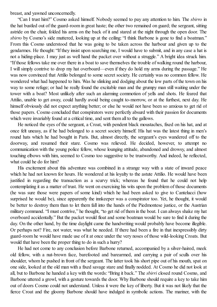breast, and yawned unconcernedly.

"Can I trust him?" Cosmo asked himself. Nobody seemed to pay any attention to him. The *sbirro* in the hat bustled out of the guard-room in great haste; the other two remained on guard; the sergeant, sitting astride on the chair, folded his arms on the back of it and stared at the night through the open door. The *sbirro* by Cosmo's side muttered, looking up at the ceiling: "I think Barbone is gone to find a boatman." From this Cosmo understood that he was going to be taken across the harbour and given up to the gendarmes. He thought: "If they insist upon searching me, I would have to submit, and in any case a hat is not a hiding-place. I may just as well hand the packet over without a struggle." A bright idea struck him. "If those fellows take me over there in a boat to save themselves the trouble of walking round the harbour, I will simply contrive to drop my hat overboard—even if they do hold my arms during the passage." He was now convinced that Attilio belonged to some secret society. He certainly was no common fellow. He wondered what had happened to him. Was he slinking and dodging about the low parts of the town on his way to some refuge; or had he really found the excitable man and the grumpy man still waiting under the tower with a boat? Most unlikely after such an alarming commotion of yells and shots. He feared that Attilio, unable to get away, could hardly avoid being caught to-morrow, or at the furthest, next day. He himself obviously did not expect anything better; or else he would not have been so anxious to get rid of those papers. Cosmo concluded that conspirators were perfectly absurd with their passion for documents which were invariably found at a critical time, and sent them all to the gallows.

He noticed the eyes of the sergeant, a Croat, with pendent black moustaches, fixed on his hat, and at once felt uneasy, as if he had belonged to a secret society himself. His hat was the latest thing in men's round hats which he had bought in Paris. But, almost directly, the sergeant's eyes wandered off to the doorway, and resumed their stare. Cosmo was relieved. He decided, however, to attempt no communication with the young police fellow, whose lounging attitude, abandoned and drowsy, and almost touching elbows with him, seemed to Cosmo too suggestive to be trustworthy. And indeed, he reflected, what could he do for him?

His excitement about this adventure was combined in a strange way with a state of inward peace which he had not known for hours. He wondered at his loyalty to the astute Attilio. He would have been justified in regarding the transaction as a scurvy trick; whereas he found that he could not help contemplating it as a matter of trust. He went on exercising his wits upon the problem of those documents (he was sure those were papers of some kind) which he had been asked to give to Cantelucci (how surprised he would be), since apparently the innkeeper was a conspirator too. Yet, he thought, it would be better to destroy them than to let them fall into the hands of the Piedmontese justice, or the Austrian military command. "I must contrive," he thought, "to get rid of them in the boat. I can always shake my hat overboard accidentally." But the packet would float and some boatman would be sure to find it during the day. On the other hand, by the time daylight came the handwriting would probably have become illegible. Or perhaps not? Fire, not water, was what he needed. If there had been a fire in that inexpressibly dirty guard-room he would have made use of it at once under the very noses of those wild-looking Croats. But would that have been the proper thing to do in such a hurry?

He had not come to any conclusion before Barbone returned, accompanied by a silver-haired, meek old fellow, with a nut-brown face, barefooted and barearmed, and carrying a pair of sculls over his shoulder, whom he pushed in front of the sergeant. The latter took his short pipe out of his mouth, spat on one side, looked at the old man with a fixed savage stare and finally nodded. At Cosmo he did not look at all, but to Barbone he handed a key with the words: "Bring it back." The *sbirri* closed round Cosmo, and Barbone uttered a growl, with a gesture towards the door. Why Barbone should require a key to take him out of doors Cosmo could not understand. Unless it were the key of liberty. But it was not likely that the fierce Croat and the gloomy Barbone should have indulged in symbolic actions. The mariner, with the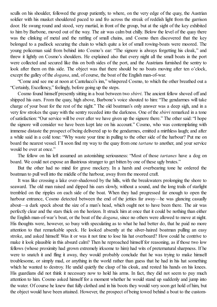sculls on his shoulder, followed the group patiently, to where, on the very edge of the quay, the Austrian soldier with his musket shouldered paced to and fro across the streak of reddish light from the garrison door. He swung round and stood, very martial, in front of the group, but at the sight of the key exhibited to him by Barbone, moved out of the way. The air was calm but chilly. Below the level of the quay there was the clinking of metal and the rattling of small chains, and Cosmo then discovered that the key belonged to a padlock securing the chain to which quite a lot of small rowing-boats were moored. The young policeman said from behind into Cosmo's ear: "The signore is always forgetting his cloak," and threw it lightly on Cosmo's shoulders. He explained also that every night all the small boats in the port were collected and secured like this on both sides of the port, and the Austrians furnished the sentry to look after them on this side. The object was that there should be no boats moving after ten o'clock, except the galley of the *dogana*, and, of course, the boat of the English man-of-war.

"Come and see me at noon at Cantelucci's inn," whispered Cosmo, to which the other breathed out a "Certainly, Excellency," feelingly, before going up the steps.

Cosmo found himself presently sitting in a boat between two *sbirri*. The ancient fellow shoved off and shipped his oars. From the quay, high above, Barbone's voice shouted to him: "The gendarmes will take charge of your boat for the rest of the night." The old boatman's only answer was a deep sigh, and in a very few strokes the quay with the sentry receded into the darkness. One of the *sbirri* remarked in a tone ofsatisfaction: "Our service will be over after we have given up the signore there." The other said: "I hope the signore will consider we have been kept late on his account." Cosmo, who was contemplating with immense distaste the prospect of being delivered up to the gendarmes, emitted a mirthless laugh; and after a while said in a cold tone: "Why waste your time in pulling to the other side of the harbour? Put me on board the nearest vessel. I'll soon find my way to the quay from one *tartane* to another, and your service would be over at once."

The fellow on his left assumed an astonishing seriousness: "Most of those *tartanes* have a dog on board. We could not expose an illustrious stranger to get bitten by one of these ugly brutes."

But the other had no mind for grave mockery. In a harsh and overbearing tone he ordered the boatman to pull well into the middle of the harbour, away from the moored craft.

It was like crossing a lake over-shadowed by the hills, with the breakwaters prolonging the shore to seaward. The old man raised and dipped his oars slowly, without a sound, and the long trails of starlight trembled on the ripples on each side of the boat. When they had progressed far enough to open the harbour entrance, Cosmo detected between the end of the jetties far away—he was glancing casually about—a dark speck about the size of a man's head, which ought not to have been there. The air was perfectly clear and the stars thick on the horizon. It struck him at once that it could be nothing than either the English man-of-war's boat, or the boat of the *dogana*, since no others were allowed to move at night. His thoughts were, however, so busy with speculating as to what he had better do, that he paid no more attention to that remarkable speck. He looked absently at the silver-haired boatman pulling an easy stroke, and asked himself: Was it or was it not time to lose his hat overboard? How could he contrive to make it look plausible in this absurd calm? Then he reproached himself for reasoning, as if those two low fellows (whose proximity had grown extremely irksome to him) had wits of preternatural sharpness. If he were to snatch it and fling it away, they would probably conclude that he was trying to make himself troublesome, or simply mad, or anything in the world rather than guess that he had in his hat something which he wanted to destroy. He undid quietly the clasp of his cloak, and rested his hands on his knees. His guardians did not think it necessary now to hold his arms. In fact, they did not seem to pay much attention to him. Cosmo asked himself for a moment whether he would stand up suddenly and jump into the water. Of course he knew that fully clothed and in his boots they would very soon get hold of him, but the object would have been attained. However, the prospect of being towed behind a boat to the custom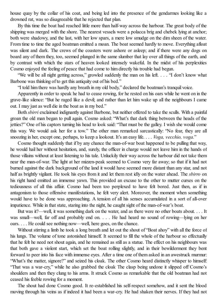house quay by the collar of his coat, and being led into the presence of the gendarmes looking like a drowned rat, was so disagreeable that he rejected that plan.

By this time the boat had reached little more than half-way across the harbour. The great body of the shipping was merged with the shore. The nearest vessels were a polacca brig and chebek lying at anchor; both were shadowy, and the last, with her low spars, a mere low smudge on the dim sheen of the water. From time to time the aged boatman emitted a moan. The boat seemed hardly to move. Everything afloat was silent and dark. The crews of the coasters were ashore or asleep; and if there were any dogs on board any of them they, too, seemed plunged in the same slumber that lay over all things of the earth, and by contrast with which the stars of heaven looked intensely wakeful. In the midst of his perplexities Cosmo enjoyed the feeling of peace that had come to him directly his trouble had begun.

"We will be all night getting across," growled suddenly the man on his left. . . . "I don't know what Barbone was thinking of to get this antiquity out of his bed."

"I told him there was hardly any breath in my old body," declared the boatman's tranquil voice.

Apparently in order to speak he had to cease rowing, for he rested on his oars while he went on in the grave-like silence: "But he raged like a devil; and rather than let him wake up all the neighbours I came out. I may just as well die in the boat as in my bed."

Both *sbirri* exclaimed indignantly against Barbone, but neither offered to take the sculls. With a painful groan the old man began to pull again. Cosmo asked: "What's that dark thing between the heads of the jetties?" One of his captors turning his head to look said: "That must be the galley. I wish she would come this way. We would ask her for a tow." The other man remarked sarcastically: "No fear, they are all snoozing in her, except one, perhaps, to keep a lookout. It's an easy life. . . . *Voga, vecchio, voga.*"

Cosmo thought suddenly that if by any chance the man-of-war boat happened to be pulling that way, he would hail her without hesitation, and, surely, the officer in charge would not leave him in the hands of those villains without at least listening to his tale. Unluckily their way across the harbour did not take them near the man-of-war. The light at her mizzen-peak seemed to Cosmo very far away; so that if it had not burned against the dark background of the land it would have seemed more distant than any star, and not half as brightly vigilant. He took his eyes from it and let them rest idly on the water ahead. The *sbirro* on his right hand emitted an immense yawn. This provided an excuse to the other to mutter curses on the tediousness of all this affair. Cosmo had been too perplexed to have felt bored. Just then, as if in antagonism to those offensive manifestations, he felt very alert. Moreover, the moment when something would have to be done was approaching. A tension of all his senses accumulated in a sort of all-over impatience. While in that state, staring into the night, he caught sight of the man-of-war's boat.

But was it?—well, it was something dark on the water, and as there were no other boats about. . . . It was small—well, far off and probably end on. . . . He had heard no sound of rowing—lying on her oars. . . . He could see nothing now—well, here goes, on the chance.

Without stirring a limb he took a long breath and let out the shout of "Boat ahoy" with all the force of his lungs. The volume of tone astonished himself. It seemed to fill the whole of the harbour so effectually that he felt he need not shout again, and he remained as still as a statue. The effect on his neighbours was that both gave a violent start, which set the boat rolling slightly, and in their bewilderment they bent forward to peer into his face with immense eyes. After a time one of them asked in an awestruck murmur: "What's the matter, signore?" and seized his cloak. The other Cosmo heard distinctly whisper to himself: "That was a war-cry," while he also grabbed the cloak The clasp being undone it slipped off Cosmo's shoulders and then they clung to his arms. It struck Cosmo as remarkable that the old boatman had not ceased his feeble rowing for a moment.

The shout had done Cosmo good. It re-established his self-respect somehow, and it sent the blood moving through his veins as if indeed it had been a war-cry. He had shaken their nerves. If they had not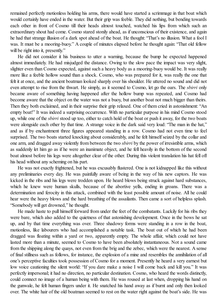remained perfectly motionless holding his arms, there would have started a scrimmage in that boat which would certainly have ended in the water. But their grip was feeble. They did nothing, but bending towards each other in front of Cosmo till their heads almost touched, watched his lips from which such an extraordinary shout had come. Cosmo stared stonily ahead, as if unconscious of their existence, and again he had that strange illusion of a dark spot ahead of the boat. He thought: "That's no illusion. What a fool I was. It must be a mooring-buoy." A couple of minutes elapsed before he thought again: "That old fellow will be right into it, presently."

He did not consider it his business to utter a warning, because the bump he expected happened almost immediately. He had misjudged the distance. Owing to the slow pace the impact was very slight, slighter even than Cosmo expected, against such a heavy body as a mooring-buoy would be. It was really more like a feeble hollow sound than a shock. Cosmo, who was prepared for it, was really the one that felt it at once, and the ancient boatman looked sharply over his shoulder. He uttered no sound and did not even attempt to rise from the thwart. He simply, as it seemed to Cosmo, let go the oars. The *sbirri* only became aware of something having happened after the hollow bump was repeated, and Cosmo had become aware that the object on the water was not a buoy, but another boat not much bigger than theirs. Then they both exclaimed, and in their surprise their grip relaxed. One of them cried in astonishment: "An empty boat!" It was indeed a surprising occurrence. With no particular purpose in his mind Cosmo stood up, while one of the *sbirri* stood up too, either to catch hold of the boat or push it away, for the two boats were alongside each other by that time. A strange voice in the dark said very loud: "The man in the hat," and as if by enchantment three figures appeared standing in a row. Cosmo had not even time to feel surprised. The two boats started knocking about considerably, and he felt himself seized by the collar and one arm, and dragged away violently from between the two *sbirri* by the power of irresistible arms, which as suddenly let him go as if he were an inanimate object, and he fell heavily in the bottom of the second boat almost before his legs were altogether clear of the other. During this violent translation his hat fell off his head without any scheming on his part.

He was not exactly frightened, but he was excusably flustered. One is not kidnapped like this without any preliminaries every day. He was painfully aware of being in the way of his new captors. He was kicked in the ribs and his legs were trodden upon. He heard blows being struck against hard substances, which he knew were human skulls, because of the abortive yells, ending in groans. There was a determination and ferocity in this attack, combined with the least possible amount of noise. All he could hear were the heavy blows and the hard breathing of the assailants. Then came a sort of helpless splash. "Somebody will get drowned," he thought.

He made haste to pull himself forward from under the feet of the combatants. Luckily for his ribs they were bare, which also added to the quietness of that astonishing development. Once in the bows he sat up, and by that time everything was over. Three shadowy forms were standing in a row in the boat, motionless, like labourers who had accomplished a notable task. The boat out of which he had been dragged was floating within a yard or two, apparently empty. The whole affair, which could not have lasted more than a minute, seemed to Cosmo to have been absolutely instantaneous. Not a sound came from the shipping along the quays, not even from the brig and the zebec, which were the nearest. A sense of final stillness such as follows, for instance, the explosion of a mine and resembles the annihilation of all one's perceptive faculties took possession of Cosmo for a moment. Presently he heard a very earnest but low voice cautioning the silent world: "If you dare make a noise I will come back and kill you." It was perfectly impersonal; it had no direction, no particular destination. Cosmo, who heard the words distinctly, could connect no image of a human being with them. He was roused at last when, dropping his hand on the gunwale, he felt human fingers under it. He snatched his hand away as if burnt and only then looked over. The white hair of the old boatman seemed to rest on the water right against the boat's side. He was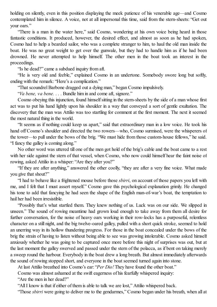holding on silently, even in this position displaying the meek patience of his venerable age—and Cosmo contemplated him in silence. A voice, not at all impersonal this time, said from the stern-sheets: "Get out your oars."

"There is a man in the water here," said Cosmo, wondering at his own voice being heard in those fantastic conditions. It produced, however, the desired effect, and almost as soon as he had spoken, Cosmo had to help a bearded sailor, who was a complete stranger to him, to haul the old man inside the boat. He was no great weight to get over the gunwale, but they had to handle him as if he had been drowned. He never attempted to help himself. The other men in the boat took an interest in the proceedings.

"Is he dead?" came a subdued inquiry from aft.

"He is very old and feeble," explained Cosmo in an undertone. Somebody swore long but softly, ending with the remark: "Here's a complication."

"That scoundrel Barbone dragged out a dying man," began Cosmo impulsively.

"*Va bene, va bene.* . . . Bundle him in and come aft, signore."

Cosmo obeying this injunction, found himselfsitting in the stern-sheets by the side of a man whose first act was to put his hand lightly upon his shoulder in a way that conveyed a sort of gentle exultation. The discovery that the man was Attilio was too startling for comment at the first moment. The next it seemed the most natural thing in the world.

"It seems as if nothing could keep us apart," said that extraordinary man in a low voice. He took his hand off Cosmo's shoulder and directed the two rowers—who, Cosmo surmised, were the whisperers of the tower—to pull under the bows of the brig. "We must hide from those custom-house fellows," he said. "I fancy the galley is coming along."

No other word was uttered till one of the men got hold of the brig's cable and the boat came to a rest with her side against the stern of that vessel, when Cosmo, who now could himself hear the faint noise of rowing, asked Attilio in a whisper: "Are they after you?"

"If they are after anything," answered the other coolly, "they are after a very fine voice. What made you give that shout?"

"I had to behave like a frightened mouse before those *sbirri*, on account of those papers you left with me, and I felt that I must assert myself." Cosmo gave this psychological explanation grimly. He changed his tone to add that fancying he had seen the shape of the English man-of-war's boat, the temptation to hail her had been irresistible.

"Possibly that's what startled them. They knew nothing of us. Luck was on our side. We slipped in unseen." The sound of rowing meantime had grown loud enough to take away from them all desire for further conversation, for the noise of heavy oars working in their row-locks has a purposeful, relentless character on a still night, and the big twelve-oared galley, pulled with a short quick stroke, seemed to hold an unerring way in its hollow thundering progress. For those in the boat concealed under the bows of the brig the strain of having to listen without being able to see was growing intolerable. Cosmo asked himself anxiously whether he was going to be captured once more before this night of surprises was out, but at the last moment the galley swerved and passed under the stern of the polacca, as if bent on taking merely a sweep round the harbour. Everybody in the boat drew a long breath. But almost immediately afterwards the sound of rowing stopped short, and everyone in the boat seemed turned again into stone.

At last Attilio breathed into Cosmo's ear: "*Per Dio!* They have found the other boat."

Cosmo was almost ashamed at the swift eagerness of his fearfully whispered inquiry:

"Are the men in her dead?"

"AllI know is that if either of them is able to talk we are lost," Attilio whispered back.

"Those *sbirri* were going to deliver me to the gendarmes," Cosmo began under his breath, when all at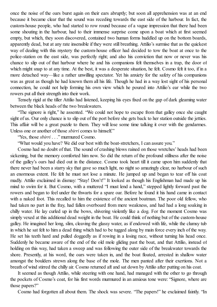once the noise of the oars burst again on their ears abruptly; but soon all apprehension was at an end because it became clear that the sound was receding towards the east side of the harbour. In fact, the custom-house people, who had started to row round because of a vague impression that there had been some shouting in the harbour, had to their immense surprise come upon a boat which at first seemed empty, but which, they soon discovered, contained two human forms huddled up on the bottom boards. apparently dead, but at any rate insensible if they were still breathing. Attilio's surmise that as the quickest way of dealing with this mystery the custom-house officer had decided to tow the boat at once to the police-station on the east side, was perfectly right; and also his conviction that now or never was his chance to slip out of that harbour where he and his companions felt themselves in a trap, the door of which might snap to at any time. At the best, it was a desperate situation, he felt. Cosmo felt it too, if in a more detached way—like a rather unwilling spectator. Yet his anxiety for the safety of his companions was as great as though he had known them all his life. Though he had in a way lost sight of his personal connection, he could not help forming his own view which he poured into Attilio's ear while the two rowers put all their strength into their work.

Tensely rigid at the tiller Attilio had listened, keeping his eyes fixed on the gap of dark gleaming water between the black heads of the two breakwaters.

"The signore is right," he assented. "We could not hope to escape from that galley once she caught sight of us. Our only chance is to slip out of the port before she gets back to her station outside the jetties. This affair will be a great puzzle to them. They will lose some time talking it over with the gendarmes. Unless one or another of those *sbirri* comes to himself."

"Yes, those *sbirri* . . ." murmured Cosmo.

"What would you have? We did our best with the boat-stretchers, I can assure you."

Cosmo had no doubt of that. The sound of crashing blows rained on those wretches' heads had been sickening, but the memory comforted him now. So did the return of the profound stillness after the noise of the galley's oars had died out in the distance. Cosmo took heart till it came upon him suddenly that there never had been a starry sky that gave so much light, no night so amazingly clear, no harbour of such an enormous extent. He felt he must not lose a minute. He jumped up and began to tear off his coat madly. Attilio exclaimed in dismay: "Stay! Don't!" It looked as though his Englishman had made up his mind to swim for it. But Cosmo, with a muttered "I must lend a hand," stepped lightly forward past the rowers and began to feel under the thwarts for a spare oar. Before he found it his hand came in contact with a naked foot. This recalled to him the existence of the ancient boatman. The poor old fellow, who had taken no part in the fray, had fallen overboard from mere weakness, and had had a long soaking in chilly water. He lay curled up in the bows, shivering violently like a dog. For the moment Cosmo was simply vexed at this additional dead weight in the boat. He could think of nothing but of the custom-house galley. He imagined her long, slim, cleaving the glassy water, as if endowed with life, while the clumsy tub in which he sat felt to him a dead thing which had to be tugged along by main force every inch of the way. He set his teeth hard and pulled doggedly as if rowing in a losing race, without turning his head once. Suddenly he became aware of the end of the old mole gliding past the boat, and that Attilio, instead of holding on this way, had taken a sweep and was following the outer side of the breakwater towards the shore. Presently, at his word, the oars were taken in, and the boat floated, arrested in shallow water amongst the boulders strewn along the base of the mole. The men panted after their exertions. Not a breath of wind stirred the chilly air. Cosmo returned aft and sat down by Attilio after putting on his coat.

It seemed as though Attilio, while steering with one hand, had managed with the other to go through the pockets of Cosmo's coat, for his first words murmured in an anxious tone were: "Signore, where are those papers?"

Cosmo had forgotten all about them. The shock was severe. "The papers!" he exclaimed faintly. "In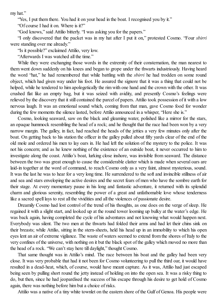my hat."

"Yes, I put them there. You had it on your head in the boat. I recognised you by it."

"Of course I had it on. Where is it?"

"God knows," said Attilio bitterly. "I was asking you for the papers."

"I only discovered that the packet was in my hat after I put it on," protested Cosmo. "Four *sbirri* were standing over me already."

"Is it possible?" exclaimed Attilio, very low.

"Afterwards I was watched all the time."

While they were exchanging those words in the extremity of their consternation, the man nearest to them went down suddenly on his knees and began to grope under the thwarts industriously. Having heard the word "hat," he had remembered that while battling with the *sbirri* he had trodden on some round object, which had given way under his foot. He assured the signore that it was a thing that could not be helped, while he tendered to him apologetically the rim with one hand and the crown with the other. It was crushed flat like an empty bag, but it was seized with avidity, and presently Cosmo's feelings were relieved by the discovery that it still contained the parcel of papers. Attilio took possession of it with a low nervous laugh. It was an emotional sound which, coming from that man, gave Cosmo food for wonder during the few moments the silence lasted, before Attilio announced in a whisper, "Here she is."

Cosmo, looking seaward, saw on the black and gleaming water, polished like a mirror for the stars, an opaque hummock resembling the head of a rock; and he thought that the race had been won by a very narrow margin. The galley, in fact, had reached the heads of the jetties a very few minutes only after the boat. On getting back to his station the officer in the galley pulled about fifty yards clear of the end of the old mole and ordered his men to lay oars in. He had left the solution of the mystery to the police. It was not his concern; and as he knew nothing of the existence of an outside boat, it never occurred to him to investigate along the coast. Attilio's boat, lurking close inshore, was invisible from seaward. The distance between the two was great enough to cause the considerable clatter which is made when several oars are laid-in together at the word of command, to reach Cosmo only as a very faint, almost mysterious, sound. It was the last he was to hear for a very long time. He surrendered to the soft and invincible stillness of air and sea and stars enveloping the active desires and the secret fears of men who have the sombre earth for their stage. At every momentary pause in his long and fantastic adventure, it returned with its splendid charm and glorious serenity, resembling the power of a great and unfathomable love whose tenderness like a sacred spell lays to rest all the vividities and all the violences of passionate desire.

Dreamily Cosmo had lost control of the trend of his thoughts, as one does on the verge of sleep. He regained it with a slight start, and looked up at the round tower looming up bulky at the water's edge. He was back again, having completed the cycle of his adventures and not knowing what would happen next. Everybody was silent. The two men at the thwarts had folded their arms and had let their chins sink on their breasts; while Attilio, sitting in the stern-sheets, held his head up in an immobility to which his open eyes lent an air of extreme vigilance. The waste of waters seemed to extend from the shores of Italy to the very confines of the universe, with nothing on it but the black spot of the galley which moved no more than the head of a rock. "We can't stay here till daylight," thought Cosmo.

That same thought was in Attilio's mind. The race between his boat and the galley had been very close. It was very probable that had it not been for Cosmo volunteering to pull the third oar, it would have resulted in a dead-heat, which, of course, would have meant capture. As it was, Attilio had just escaped being seen by pulling short round the jetty instead of holding on into the open sea. It was a risky thing to do, but then, since he had jeopardised the success of his escape through his desire to get hold of Cosmo again, there was nothing before him but a choice of risks.

Attilio was a native of a tiny white townlet on the eastern shore of the Gulf of Genoa. His people were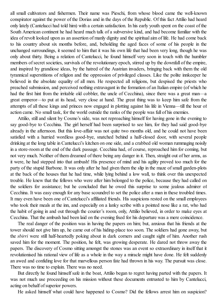all small cultivators and fishermen. Their name was Pieschi, from whose blood came the well-known conspirator against the power of the Dorias and in the days of the Republic. Of this fact Attilio had heard only lately (Cantelucci had told him) with a certain satisfaction. In his early youth spent on the coast of the South American continent he had heard much talk of a subversive kind, and had become familiar with the idea of revolt looked upon as an assertion of manly dignity and the spiritual aim of life. He had come back to his country about six months before, and, beholding the aged faces of some of his people in the unchanged surroundings, it seemed to him that it was his own life that had been very long, though he was only about thirty. Being a relation of Cantelucci, he found himself very soon in touch with the humbler members ofsecret societies, survivals of the revolutionary epoch, stirred up by the downfall of the empire, and inspired by grandiose ideas, by the hatred of the Austrian invaders, bringing back with them the old tyrannical superstitions of religion and the oppression of privileged classes. Like the polite innkeeper he believed in the absolute equality of all men. He respected all religions, but despised the priests who preached submission, and perceived nothing extravagant in the formation of an Italian empire (of which he had the first hint from the irritable old cobbler, the uncle of Cecchina), since there was a great man—a great emperor—to put at its head, very close at hand. The great thing was to keep him safe from the attempts of all these kings and princes now engaged in plotting against his life in Vienna—till the hour of action came. No small task, for the world outside the ranks of the people was full of his enemies.

Attilio, still and silent by Cosmo's side, was not reproaching himself for having gone in the evening to say good-bye to Cecchina. The girl herself had been surprised to see him, for they had said good-bye already in the afternoon. But this love-affair was not quite two months old, and he could not have been satisfied with a hurried wordless good-bye, snatched behind a half-closed door, with several people drinking at the long table in Cantelucci's kitchen on one side, and a crabbed old woman rummaging noisily in a store-room at the end of the dark passage. Cecchina had, of course, reproached him for coming, but not very much. Neither of them dreamed of there being any danger in it. Then, straight out of her arms, as it were, he had stepped into that ambush! His presence of mind and his agility proved too much for the party of the stupid Barbone. It was only after he had given them the slip in the maze ofsmall garden-plots at the back of the houses that he had time, while lying behind a low wall, to think over this unexpected trouble. He knew that the fellows who were after him belonged to the police, because they had called on the soldiers for assistance; but he concluded that he owed this surprise to some jealous admirer of Cecchina. It was easy enough for any base scoundrel to set the police after a man in these troubled times. It may even have been one of Cantelucci's affiliated friends. His suspicions rested on the small employees who took their meals at the inn, and especially on a lanky scribe with a pointed nose like a rat, who had the habit of going in and out through the courier's room, only, Attilio believed, in order to make eyes at Cecchina. That the ambush had been laid on the evening fixed for his departure was a mere coincidence.

The real danger of the position was in having the papers on him; but, anxious that his friends at the tower should not give him up, he came out of his hiding-place too soon. The soldiers had gone away, but the *sbirri* were still half-heartedly poking about in dark corners and caught sight of him. Another rush saved him for the moment. The position, he felt, was growing desperate. He dared not throw away the papers. The discovery of Cosmo sitting amongst the stones was an event so extraordinary in itself that it revolutionised his rational view of life as a whole in the way a miracle might have done. He felt suddenly an awed and confiding love for that marvellous person fate had thrown in his way. The pursuit was close. There was no time to explain. There was no need.

But directly he found himself safe in the boat, Attilio began to regret having parted with the papers. It was not much use proceeding on his mission without these documents entrusted to him by Cantelucci, acting on behalf of superior powers.

He asked himself what could have happened to Cosmo? Did the fellows arrest him on suspicion?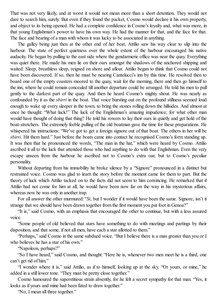That was not very likely, and at worst it would not mean more than a short detention. They would not dare to search him, surely. But even if they found the packet, Cosmo would declare it his own property, and object to its being opened. He had a complete confidence in Cosmo's loyalty and, what was more, in that young Englishman's power to have his own way. He had the manner for that, and the face for that. The face and bearing of a man with whom it was lucky to be associated in anything.

The galley being just then at the other end of her beat, Attilio saw his way clear to slip into the harbour. The state of perfect quietness over the whole extent of the harbour encouraged his native audacity. He began by pulling to the east side where the gendarmerie office was near the quay. Everything was quiet there. He made his men lie on their oars amongst the shadows of the anchored shipping and waited. Sleep, breathless sleep, reigned on shore and afloat. Attilio began to think that Cosmo could not have been discovered. If so, then he must be nearing Cantelucci's inn by this time. He resolved then to board one of the empty coasters moored to the quay, wait for the morning, there and then go himself to the inn, where he could remain concealed till another departure could be arranged. He told his men to pull gently to the darkest part of the quay. And then he heard Cosmo's mighty shout. He was nearly as confounded by it as the *sbirri* in the boat. That voice bursting out on the profound stillness seemed loud enough to wake up every sleeper in the town, to bring the stones rolling down the hillsides. And almost at once he thought: "What luck!" The luck of the Englishman's amazing impudence; for what other man would have thought of doing that thing? He told his rowers to lay their oars in quietly and get hold of the boat-stretchers. The extremely feeble pulling of the old boatman gave the time for these preparations. He whispered his instructions: "We've got to get a foreign signore out of that boat. The others in her will be *sbirri*. Hit them hard." Just before the boats came into contact he recognised Cosmo's form standing up. It was then that he pronounced the words, "The man in the hat," which were heard by Cosmo. Attilio ascribed it all to the luck that attended those who had anything to do with that Englishman. Even the very escape unseen from the harbour he ascribed not to Cosmo's extra oar, but to Cosmo's peculiar personality.

Without departing from his immobility he broke silence by a "Signore" pronounced in a distinct but restrained voice. Cosmo was glad to learn the story before the moment came for them to part. But the theory of luck which Attilio tacked on to the facts did not seem to him convincing. He remarked that if Attilio had not come for him at all, he would have been now far on the way in his mysterious affairs, whereas now he was only in another trap.

For all answer the other murmured: "*Si*, but I wonder if it would have been the same. Signore, isn't it strange that we should have been drawn together from the first moment you put foot in Genoa?"

"It is," said Cosmo, with an emphasis that encouraged the other to continue, but with a less assured voice.

"Some people of old believed that stars have something to do with meetings and partings by their disposition, and that some, if not all men, have each a star allotted to them."

"Perhaps," said Cosmo in the same subdued voice. "But I believe there is a man greater than you or I who believes he has a star of his own."

"Napoleon, perhaps?"

"So I have heard," said Cosmo, and thought: "Here he is, whenever two men meet he is a third, one can't get rid of him."

"I wonder where it is," said Attilio, as if to himself, looking up at the sky. "Or yours, or mine," he added in a still lower tone. "They must be pretty close together."

Cosmo humoured the superstitious strain absently, for he felt a secret sympathy for that man. "Yes, it looks as if yours and mine had been fated to draw together."

"No, I mean all three together."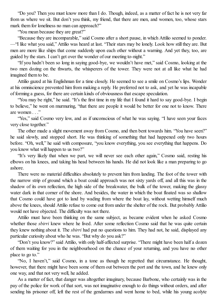"Do you? Then you must know more than I do. Though, indeed, as a matter of fact he is not very far from us where we sit. But don't you think, my friend, that there are men, and women, too, whose stars mark them for loneliness no man can approach?"

"You mean because they are great?"

"Because they are incomparable," said Cosmo after a short pause, in which Attilio seemed to ponder. —"I like what you said," Attilio was heard at last. "Their stars may be lonely. Look how still they are. But men are more like ships that come suddenly upon each other without a warning. And yet they, too, are guided by the stars. I can't get over the wonder of our meeting to-night."

"If you hadn't been so long in saying good-bye, we wouldn't have met," said Cosmo, looking at the two men dozing on the thwarts, the whisperers of the tower. They were not at all like what he had imagined them to be.

Attilio gazed at his Englishman for a time closely. He seemed to see a smile on Cosmo's lips. Wonder at his omniscience prevented him from making a reply. He preferred not to ask, and yet he was incapable of forming a guess, for there are certain kinds of obviousness that escape speculation.

"You may be right," he said. "It's the first time in my life that I found it hard to say good-bye. I begin to believe," he went on murmuring, "that there are people it would be better for one not to know. There are women . . ."

"Yes," said Cosmo very low, and as if unconscious of what he was saying. "I have seen your faces very close together."

The other made a slight movement away from Cosmo, and then bent towards him. "You have seen?" he said slowly, and stopped short. He was thinking of something that had happened only two hours before. "Oh, well," he said with composure, "you know everything, you see everything that happens. Do you know what will happen to us two?"

"It's very likely that when we part, we will never see each other again," Cosmo said, resting his elbows on his knees, and taking his head between his hands. He did not look like a man preparing to go ashore.

There were no material difficulties absolutely to prevent him from landing. The foot of the tower with the narrow strip of ground which a boat could approach was not sixty yards off, and all this was in the shadow of its own reflection, the high side of the breakwater, the bulk of the tower, making the glassy water dark in that corner of the shore. And besides, the water in which the boat floated was so shallow that Cosmo could have got to land by wading from where the boat lay, without wetting himself much above the knees, should Attilio refuse to come out from under the shelter of the rock. But probably Attilio would not have objected. The difficulty was not there.

Attilio must have been thinking on the same subject, as became evident when he asked Cosmo whether those *sbirri* knew where he lived. After some reflection Cosmo said that he was quite certain they knew nothing about it. The *sbirri* had put no questions to him. They had not, he said, displayed any particular curiosity about who he was. "But why do you ask?"

"Don't you know?" said Attilio, with only half-affected surprise. "There might have been half a dozen of them waiting for you in the neighbourhood on the chance of your returning, and you have no other place to go to."

"No, I haven't," said Cosmo, in a tone as though he regretted that circumstance. He thought, however, that there might have been some of them out between the port and the town, and he knew only one way, and that not very well, he added.

As a matter of fact, that danger was altogether imaginary, because Barbone, who certainly was in the pay of the police for work of that sort, was not imaginative enough to do things without orders, and after sending his prisoner off, left the rest of the gendarmes and went home to bed, while his young acolyte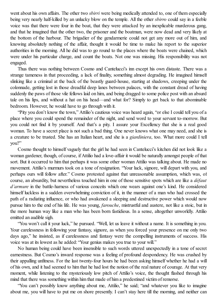went about his own affairs. The other two *sbirri* were being medically attended to, one of them especially being very nearly half-killed by an unlucky blow on the temple. All the other *sbirro* could say in a feeble voice was that there were four in the boat, that they were attacked by an inexplicable murderous gang, and that he imagined that the other two, the prisoner and the boatman, were now dead and very likely at the bottom of the harbour. The brigadier of the gendarmerie could not get any more out of him, and knowing absolutely nothing of the affair, thought it would be time to make his report to the superior authorities in the morning. All he did was to go round to the places where the boats were chained, which were under his particular charge, and count the boats. Not one was missing. His responsibility was not engaged.

Thus there was nothing between Cosmo and Cantelucci's inn except his own distaste. There was a strange tameness in that proceeding, a lack of finality, something almost degrading. He imagined himself slinking like a criminal at the back of the beastly guard-house, starting at shadows, creeping under the colonnade, getting lost in those dreadful deep lanes between palaces, with the constant dread of having suddenly the paws of those vile fellows laid on him, and being dragged to some police post with an absurd tale on his lips, and without a hat on his head—and what for? Simply to get back to that abominable bedroom. However, he would have to go through with it.

"Pity you don't know the town," Attilio's cautious voice was heard again, "or else I could tell you of a place where you could spend the remainder of the night, and send word to your servant to-morrow. But you could not find it by yourself. And that's a pity. I assure your Excellency that she is a real good woman. To have a secret place is not such a bad thing. One never knows what one may need, and she is a creature to be trusted. She has an Italian heart, and she is a *giardiniera*, too. What more could I tell you?"

Cosmo thought to himself vaguely that the girl he had seen in Cantelucci's kitchen did not look like a woman gardener, though, of course, if Attilio had a love-affair it would be naturally amongst people of that sort. But it occurred to him that perhaps it was some other woman Attilio was talking about. He made no movement. Attilio's murmurs took on a tone of resignation. "Your luck, signore, will depart with you, and perhaps ours will follow after." Cosmo protested against that unreasonable assumption, which was, of course, an absurdity, but nevertheless touched him in one of those sensitive spots which are like a *défaut d'armure* in the battle-harness of various conceits which one wears against one's kind. He considered himself luckless in a sudden overwhelming conviction of it, in the manner of a man who had crossed the path of a radiating influence, or who had awakened a sleeping and destructive power which would now pursue him to the end of his life. He was young, *farouche*, mistrustful and austere, not like a stoic, but in the more human way like a man who has been born fastidious. In a sense, altogether unworldly. Attilio emitted an audible sigh.

"You won't call it your luck," he pursued. "Well, let us leave it without a name. It is something in you. Your carelessness in following your fantasy, signore, as when you forced your presence on me only two days ago," he insisted, as if carelessness and fantasy were the compelling instruments of success. His voice was at its lowest as he added: "Your genius makes you true to your will."

No human being could have been insensible to such words uttered unexpectedly in a tone of secret earnestness. But Cosmo's inward response was a feeling of profound despondency. He was crushed by their appalling unfitness. For the last twenty-four hours he had been asking himself whether he had a will of his own, and it had seemed to him that he had lost the notion of the real nature of courage. At that very moment, while listening to the mysteriously low pitch of Attilio's voice, the thought flashed through his mind that there was something within him that made of him a predestined victim of remorse.

"You can't possibly know anything about me, Attilio," he said; "and whatever you like to imagine about me, you will have to put me on shore presently. I can't stay here till the morning, and neither can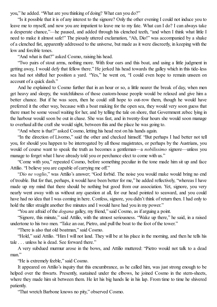you," he added. "What are you thinking of doing? What can you do?"

"Is it possible that it is of any interest to the signore? Only the other evening I could not induce you to leave me to myself, and now you are impatient to leave me to my fate. What can I do? I can always take a desperate chance,"—he paused, and added through his clenched teeth, "and when I think what little I need to make it almost safe!" The piously uttered exclamation, "Ah, Dio!" was accompanied by a shake of a clenched fist, apparently addressed to the universe, but made as it were discreetly, in keeping with the low and forcible tones.

"And what is that?" asked Cosmo, raising his head.

"Two pairs of stout arms, nothing more. With four oars and this boat, and using a little judgment in getting away, I would defy that fellow there." He jerked his head towards the galley which in this tide-less sea had not shifted her position a yard. "Yes," he went on, "I could even hope to remain unseen on account of a quick dash."

And he explained to Cosmo further that in an hour or so, a little nearer the break of day, when men get heavy and sleepy, the watchfulness of those custom-house people would be relaxed and give him a better chance. But if he was seen, then he could still hope to out-row them, though he would have preferred it the other way, because with a boat making for the open sea, they would very soon guess that there must be some vessel waiting for her, and by telling the tale on shore, that Government zebec lying in the harbour would soon be out in chase. She was fast, and in twenty-four hours she would soon manage to overhaul all the craft she would sight, between this and the place he was going to.

"And where is that?" asked Cosmo, letting his head rest on his hands again.

"In the direction of Livorno," said the other and checked himself. "But perhaps I had better not tell you, for should you happen to be interrogated by all those magistrates, or perhaps by the Austrians, you would of course want to speak the truth as becomes a gentleman—a *nobilissimo* signore—unless you manage to forget what I have already told you or perchance elect to come with us."

"Come with you," repeated Cosmo, before something peculiar in the tone made him sit up and face Attilio. "I believe you are capable of carrying me off."

"*Dio ne voglio*," was Attilio's answer; "God forbid. The noise you would make would bring no end of trouble. But for that, perhaps, it would have been better for me," he added reflectively, "whereas I have made up my mind that there should be nothing but good from our association. Yet, signore, you very nearly went away with us without any question at all, for our head pointed to seaward, and you could have had no idea that I was coming in here. Confess, signore, you didn't think of return then. I had only to hold the tiller straight another five minutes and I would have had you in my power."

"You are afraid of the *dogana* galley, my friend," said Cosmo, as if arguing a point.

"Signore, this minute," said Attilio, with the utmost seriousness. "Wake up there," he said, in a raised undertone to his two men. "Take an oar, Pietro, and pull the boat to the foot of the tower."

"There is also that old boatman," said Cosmo.

"Hold," said Attilio. "Him I will not land. They will be at his place in the morning, and then he tells his tale . . . unless he is dead. See forward there."

A very subdued murmur arose in the bows, and Attilio muttered: "Pietro would not talk to a dead man"

"He is extremely feeble," said Cosmo.

It appeared on Attilio's inquiry that this encumbrance, as he called him, was just strong enough to be helped over the thwarts. Presently, sustained under the elbows, he joined Cosmo in the stern-sheets, where they made him sit between them. He let his big hands lie in his lap. From time to time he shivered patiently.

"That wretch Barbone knows no pity," observed Cosmo.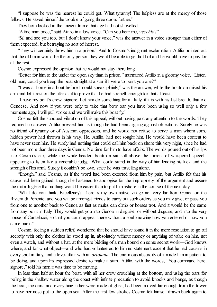"I suppose he was the nearest he could get. What tyranny! The helpless are at the mercy of those fellows. He saved himself the trouble of going three doors further."

They both looked at the ancient frame that age had not shrivelled.

"A fine man once," said Attilio in a low voice. "Can you hear me, *vecchio*?"

"*Si*, and see you too, but I don't know your voice," was the answer in a voice stronger than either of them expected, but betraying no sort of interest.

"They will certainly throw him into prison." And to Cosmo's indignant exclamation, Attilio pointed out that the old man would be the only person they would be able to get hold of and he would have to pay for all the rest.

Cosmo expressed the opinion that he would not stay there long.

"Better for him to die under the open sky than in prison," murmured Attilio in a gloomy voice. "Listen, old man, could you keep the boat straight at a star if I were to point you one?"

"I was at home in a boat before I could speak plainly," was the answer, while the boatman raised his arm and let it rest on the tiller as if to prove that he had strength enough for that at least.

"I have my boat's crew, signore. Let him do something for all Italy, if it is with his last breath, that old Genoese. And now if you were only to take that bow oar you have been using so well only a few moments ago, I will pull stroke and we will make this boat fly."

Cosmo felt the subdued vibration of this appeal, without having paid any attention to the words. They required no answer. Attilio pressed him as though he had been arguing against objections. Surely he was no friend of tyranny or of Austrian oppressors, and he would not refuse to serve a man whom some hidden power had thrown in his way. He, Attilio, had not sought him. He would have been content to have never seen him. He surely had nothing that could call him back on shore this very night, since he had not been more than three days in Genoa. No time for him to have affairs. The words poured out of his lips into Cosmo's ear, while the white-headed boatman sat still above the torrent of whispered speech, appearing to listen like a venerable judge. What could stand in the way of him lending his luck and the strength of his arm? Surely it couldn't be love, since he was travelling alone.

"Enough," said Cosmo, as if the word had been extorted from him by pain, but Attilio felt that his cause had been gained, though he hastened to apologise for the impropriety of the argument and assure the milor Inglese that nothing would be easier than to put him ashore in the course of the next day.

"What do you think, Excellency? There is my own native village not very far from Genoa on the Riviera di Ponente, and you will be amongst friends to carry out such orders as you may give, or pass you from one to another back to Genoa as fast as mules can climb or horses trot. And it would be the same from any point in Italy. They would get you into Genoa in disguise, or without disguise, and into the very house of Cantelucci, so that you could appear there without a soul knowing how you entered or how you came back."

Cosmo, feeling a sudden relief, wondered that he should have found it in the mere resolution to go off secretly with only the clothes he stood up in, absolutely without money or anything of value on him, not even a watch, and without a hat, at the mere bidding of a man bound on some secret work—God knows where, and for what object—and who had volunteered to him no statement except that he had cousins in every spot in Italy, and a love-affair with an *ortolana*. The enormous absurdity of it made him impatient to be doing, and upon his expressed desire to make a start, Attilio, with the words, "You command here, signore," told his men it was time to be moving.

In less than half an hour the boat, with all her crew crouching at the bottom, and using the oars for poling in the shallow water along the coast with infinite precaution to avoid knocks and bangs, as though the boat, the oars, and everything in her were made of glass, had been moved far enough from the tower to have her nose put to the open sea. After the first few strokes Cosmo felt himself drawn back again to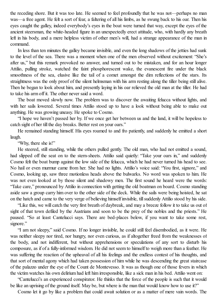the receding shore. But it was too late. He seemed to feel profoundly that he was not—perhaps no man was—a free agent. He felt a sort of fear, a faltering of all his limbs, as he swung back to his oar. Then his eyes caught the galley, indeed everybody's eyes in the boat were turned that way, except the eyes of the ancient steersman, the white-headed figure in an unexpectedly erect attitude, who, with hardly any breath left in his body, and a mere helpless victim of other men's will, had a strange appearance of the man in command.

In less than ten minutes the galley became invisible, and even the long shadows of the jetties had sunk to the level of the sea. There was a moment when one of the men observed without excitement: "She's after us," but this remark provoked no answer, and turned out to be mistaken, and for an hour longer Attilio, pulling stroke, watched the faint phosphorescent wake, the evanescent fire under the black smoothness of the sea, elusive like the tail of a comet amongst the dim reflections of the stars. Its straightness was the only proof of the silent helmsman with his arm resting along the tiller being still alive. Then he began to look about him, and presently laying in his oar relieved the old man at the tiller. He had to take his arm off it. The other never said a word.

The boat moved slowly now. The problem was to discover the awaiting felucca without lights, and with her sails lowered. Several times Attilio stood up to have a look without being able to make out anything. He was growing uneasy. He spoke to Cosmo.

"I hope we haven't passed her by. If we once get her between us and the land, it will be hopeless to catch sight of her till the day breaks. Better rest on your oars."

He remained standing himself. His eyes roamed to and fro patiently, and suddenly he emitted a short laugh.

"Why, there she is!"

He steered, still standing, while the others pulled gently. The old man, who had not emitted a sound, had slipped off the seat on to the stern-sheets. Attilio said quietly: "Take your oars in," and suddenly Cosmo felt the boat bump against the low side of the felucca, which he had never turned his head to see. No hail or even murmur came from her. She had no lights. Attilio's voice said: "You first, signore," and Cosmo, looking up, saw three motionless heads above the bulwarks. No word was spoken to him. He was not even looked at by those silent and shadowy men. The first sound he heard were the words: "Take care," pronounced by Attilio in connection with getting the old boatman on board. Cosmo standing aside saw a group carry him over to the other side of the deck. While the sails were being hoisted, he sat on the hatch and came to the very verge of believing himself invisible, tillsuddenly Attilio stood by his side.

"Like this, we will catch the very first breath of daybreak, and may a breeze follow it to take us out of sight of that town defiled by the Austrians and soon to be the prey of the nobles and the priests." He paused. "So at least Cantelucci says. There are bed-places below, if you want to take some rest, signore."

"I am not sleepy," said Cosmo. If no longer invisible, he could still feel disembodied, as it were. He was neither sleepy nor tired, nor hungry, nor even curious, as if altogether freed from the weaknesses of the body, and not indifferent, but without apprehensions or speculations of any sort to disturb his composure, as if of a fully-informed wisdom. He did not seem to himself to weigh more than a feather. He was suffering the reaction of the upheaval of all his feelings and the endless contest of his thoughts, and that sort of mental agony which had taken possession of him while he was descending the great staircase of the palazzo under the eye of the Count de Montevesso. It was as though one of those fevers in which the victim watches his own delirium had left him irresponsible, like a sick man in his bed. Attilio went on:

"Cantelucci's an experienced conspirator. He thinks that the force of the people is such that it would be like an uprising of the ground itself. May be, but where is the man that would know how to use it?"

Cosmo let it go by like a problem that could await solution or as a matter of mere vain words. The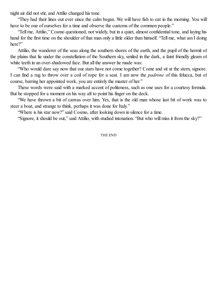night air did not stir, and Attilio changed his tone.

"They had their lines out ever since the calm began. We will have fish to eat in the morning. You will have to be one of ourselves for a time and observe the customs of the common people."

"Tell me, Attilio," Cosmo questioned, not widely, but in a quiet, almost confidential tone, and laying his hand for the first time on the shoulder of that man only a little older than himself. "Tell me, what am I doing here?"

Attilio, the wanderer of the seas along the southern shores of the earth, and the pupil of the hermit of the plains that lie under the constellation of the Southern sky, smiled in the dark, a faint friendly gleam of white teeth in an over-shadowed face. But all the answer he made was:

"Who would dare say now that our stars have not come together? Come and sit at the stern, signore. I can find a rug to throw over a coil of rope for a seat. I am now the *padrone* of this felucca, but of course, barring her appointed work, you are entirely the master of her."

These words were said with a marked accent of politeness, such as one uses for a courtesy formula. But he stopped for a moment on his way aft to point his finger on the deck.

"We have thrown a bit of canvas over him. Yes, that is the old man whose last bit of work was to steer a boat, and strange to think, perhaps it was done for Italy."

"Where is his star now?" said Cosmo, after looking down in silence for a time.

"Signore, it should be out," said Attilio, with studied intonation. "But who will miss it from the sky?"

THE END